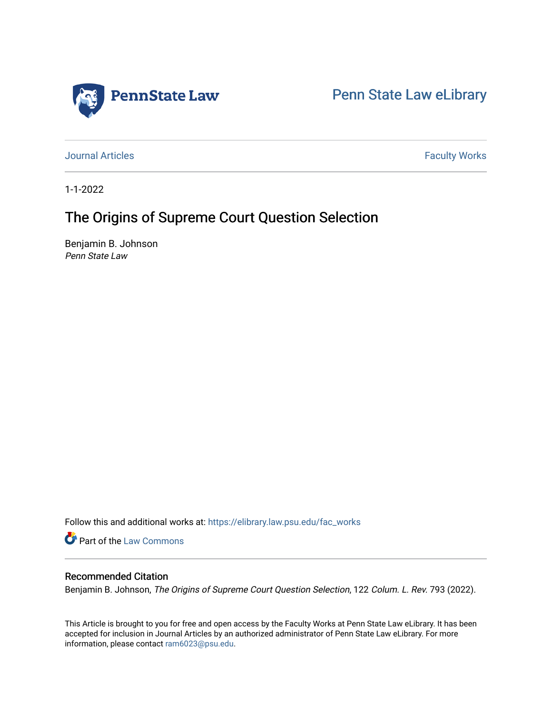

[Penn State Law eLibrary](https://elibrary.law.psu.edu/) 

[Journal Articles](https://elibrary.law.psu.edu/fac_works) **Faculty Works Journal Articles** 

1-1-2022

# The Origins of Supreme Court Question Selection

Benjamin B. Johnson Penn State Law

Follow this and additional works at: [https://elibrary.law.psu.edu/fac\\_works](https://elibrary.law.psu.edu/fac_works?utm_source=elibrary.law.psu.edu%2Ffac_works%2F440&utm_medium=PDF&utm_campaign=PDFCoverPages)

**Part of the [Law Commons](https://network.bepress.com/hgg/discipline/578?utm_source=elibrary.law.psu.edu%2Ffac_works%2F440&utm_medium=PDF&utm_campaign=PDFCoverPages)** 

## Recommended Citation

Benjamin B. Johnson, The Origins of Supreme Court Question Selection, 122 Colum. L. Rev. 793 (2022).

This Article is brought to you for free and open access by the Faculty Works at Penn State Law eLibrary. It has been accepted for inclusion in Journal Articles by an authorized administrator of Penn State Law eLibrary. For more information, please contact [ram6023@psu.edu](mailto:ram6023@psu.edu).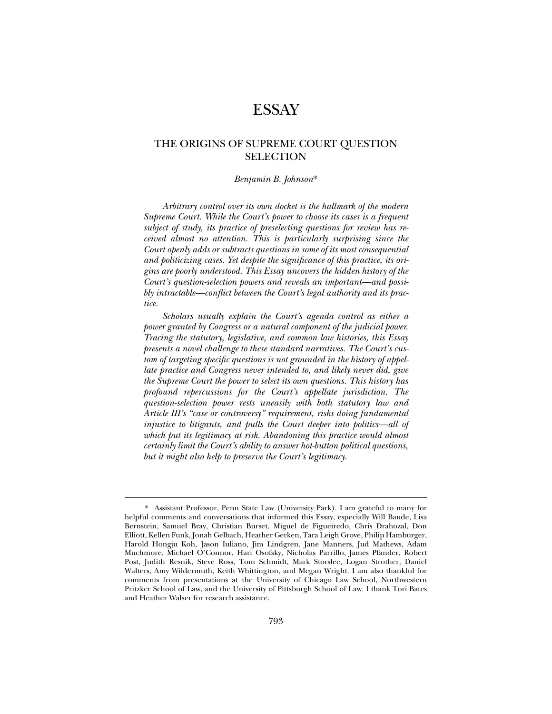## **ESSAY**

## THE ORIGINS OF SUPREME COURT QUESTION SELECTION

#### *Benjamin B. Johnson*\*

*Arbitrary control over its own docket is the hallmark of the modern Supreme Court. While the Court's power to choose its cases is a frequent subject of study, its practice of preselecting questions for review has received almost no attention. This is particularly surprising since the Court openly adds or subtracts questions in some of its most consequential and politicizing cases. Yet despite the significance of this practice, its origins are poorly understood. This Essay uncovers the hidden history of the Court's question-selection powers and reveals an important—and possibly intractable—conflict between the Court's legal authority and its practice.* 

*Scholars usually explain the Court's agenda control as either a power granted by Congress or a natural component of the judicial power. Tracing the statutory, legislative, and common law histories, this Essay presents a novel challenge to these standard narratives. The Court's custom of targeting specific questions is not grounded in the history of appellate practice and Congress never intended to, and likely never did, give the Supreme Court the power to select its own questions. This history has profound repercussions for the Court's appellate jurisdiction. The question-selection power rests uneasily with both statutory law and Article III's "case or controversy" requirement, risks doing fundamental injustice to litigants, and pulls the Court deeper into politics—all of which put its legitimacy at risk. Abandoning this practice would almost certainly limit the Court's ability to answer hot-button political questions, but it might also help to preserve the Court's legitimacy.* 

<sup>\*.</sup> Assistant Professor, Penn State Law (University Park). I am grateful to many for helpful comments and conversations that informed this Essay, especially Will Baude, Lisa Bernstein, Samuel Bray, Christian Burset, Miguel de Figueiredo, Chris Drahozal, Don Elliott, Kellen Funk, Jonah Gelbach, Heather Gerken, Tara Leigh Grove, Philip Hamburger, Harold Hongju Koh, Jason Iuliano, Jim Lindgren, Jane Manners, Jud Mathews, Adam Muchmore, Michael O'Connor, Hari Osofsky, Nicholas Parrillo, James Pfander, Robert Post, Judith Resnik, Steve Ross, Tom Schmidt, Mark Storslee, Logan Strother, Daniel Walters, Amy Wildermuth, Keith Whittington, and Megan Wright. I am also thankful for comments from presentations at the University of Chicago Law School, Northwestern Pritzker School of Law, and the University of Pittsburgh School of Law. I thank Tori Bates and Heather Walser for research assistance.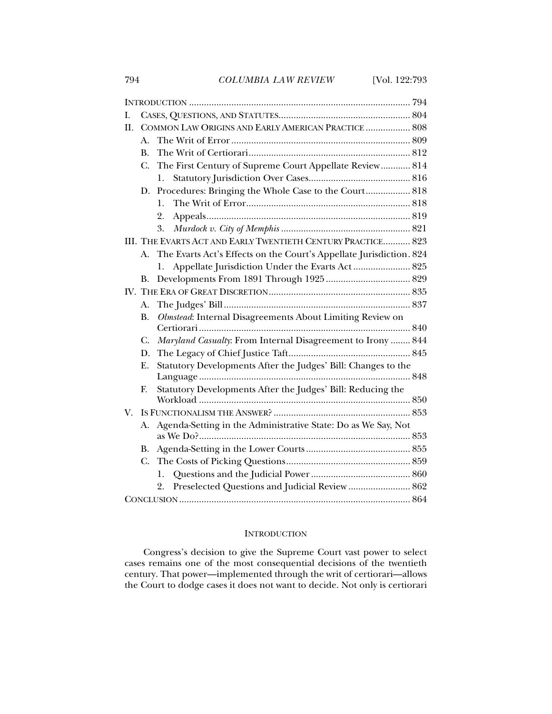794 *COLUMBIA LAW REVIEW* [Vol. 122:793

| I.  |                                                              |                                                                     |  |
|-----|--------------------------------------------------------------|---------------------------------------------------------------------|--|
| II. |                                                              | COMMON LAW ORIGINS AND EARLY AMERICAN PRACTICE  808                 |  |
|     | А.                                                           |                                                                     |  |
|     | $\bf{B}$ .                                                   |                                                                     |  |
|     | $C_{\cdot}$                                                  | The First Century of Supreme Court Appellate Review 814             |  |
|     |                                                              | 1.                                                                  |  |
|     | D.                                                           | Procedures: Bringing the Whole Case to the Court 818                |  |
|     |                                                              | 1.                                                                  |  |
|     |                                                              | 2.                                                                  |  |
|     |                                                              | 3.                                                                  |  |
|     | III. THE EVARTS ACT AND EARLY TWENTIETH CENTURY PRACTICE 823 |                                                                     |  |
|     | $A_{-}$                                                      | The Evarts Act's Effects on the Court's Appellate Jurisdiction. 824 |  |
|     |                                                              | Appellate Jurisdiction Under the Evarts Act 825<br>1.               |  |
|     | <b>B.</b>                                                    |                                                                     |  |
|     |                                                              |                                                                     |  |
|     | A.                                                           |                                                                     |  |
|     | <b>B.</b>                                                    | Olmstead: Internal Disagreements About Limiting Review on           |  |
|     |                                                              |                                                                     |  |
|     | $\mathcal{C}$ .                                              | Maryland Casualty: From Internal Disagreement to Irony  844         |  |
|     | D.                                                           |                                                                     |  |
|     | Ε.                                                           | Statutory Developments After the Judges' Bill: Changes to the       |  |
|     |                                                              |                                                                     |  |
|     | F.                                                           | Statutory Developments After the Judges' Bill: Reducing the         |  |
|     |                                                              |                                                                     |  |
| V.  |                                                              | Agenda-Setting in the Administrative State: Do as We Say, Not       |  |
|     | А.                                                           |                                                                     |  |
|     | В.                                                           |                                                                     |  |
|     | $C_{\cdot}$                                                  |                                                                     |  |
|     |                                                              | l.                                                                  |  |
|     |                                                              | Preselected Questions and Judicial Review  862<br>2.                |  |
|     |                                                              |                                                                     |  |

#### INTRODUCTION

Congress's decision to give the Supreme Court vast power to select cases remains one of the most consequential decisions of the twentieth century. That power—implemented through the writ of certiorari—allows the Court to dodge cases it does not want to decide. Not only is certiorari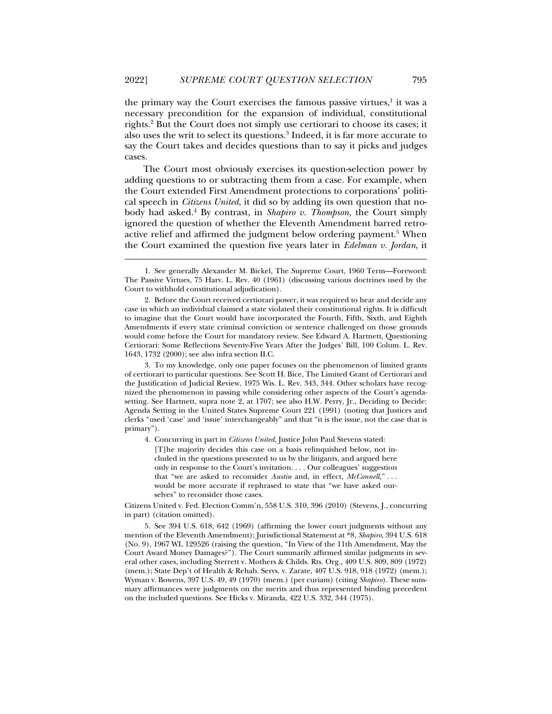the primary way the Court exercises the famous passive virtues,<sup>1</sup> it was a necessary precondition for the expansion of individual, constitutional rights.2 But the Court does not simply use certiorari to choose its cases; it also uses the writ to select its questions.3 Indeed, it is far more accurate to say the Court takes and decides questions than to say it picks and judges cases.

The Court most obviously exercises its question-selection power by adding questions to or subtracting them from a case. For example, when the Court extended First Amendment protections to corporations' political speech in *Citizens United*, it did so by adding its own question that nobody had asked.4 By contrast, in *Shapiro v. Thompson*, the Court simply ignored the question of whether the Eleventh Amendment barred retroactive relief and affirmed the judgment below ordering payment.<sup>5</sup> When the Court examined the question five years later in *Edelman v. Jordan*, it

j

 3. To my knowledge, only one paper focuses on the phenomenon of limited grants of certiorari to particular questions. See Scott H. Bice, The Limited Grant of Certiorari and the Justification of Judicial Review, 1975 Wis. L. Rev. 343, 344. Other scholars have recognized the phenomenon in passing while considering other aspects of the Court's agendasetting. See Hartnett, supra note 2, at 1707; see also H.W. Perry, Jr., Deciding to Decide: Agenda Setting in the United States Supreme Court 221 (1991) (noting that Justices and clerks "used 'case' and 'issue' interchangeably" and that "it is the issue, not the case that is primary").

 4. Concurring in part in *Citizens United*, Justice John Paul Stevens stated: [T]he majority decides this case on a basis relinquished below, not included in the questions presented to us by the litigants, and argued here only in response to the Court's invitation. . . . Our colleagues' suggestion that "we are asked to reconsider *Austin* and, in effect, *McConnell*," . . . would be more accurate if rephrased to state that "we have asked ourselves" to reconsider those cases.

Citizens United v. Fed. Election Comm'n, 558 U.S. 310, 396 (2010) (Stevens, J., concurring in part) (citation omitted).

 5. See 394 U.S. 618, 642 (1969) (affirming the lower court judgments without any mention of the Eleventh Amendment); Jurisdictional Statement at \*8, *Shapiro*, 394 U.S. 618 (No. 9), 1967 WL 129526 (raising the question, "In View of the 11th Amendment, May the Court Award Money Damages?"). The Court summarily affirmed similar judgments in several other cases, including Sterrett v. Mothers & Childs. Rts. Org., 409 U.S. 809, 809 (1972) (mem.); State Dep't of Health & Rehab. Servs. v. Zarate, 407 U.S. 918, 918 (1972) (mem.); Wyman v. Bowens, 397 U.S. 49, 49 (1970) (mem.) (per curiam) (citing *Shapiro*). These summary affirmances were judgments on the merits and thus represented binding precedent on the included questions. See Hicks v. Miranda, 422 U.S. 332, 344 (1975).

 <sup>1.</sup> See generally Alexander M. Bickel, The Supreme Court, 1960 Term—Foreword: The Passive Virtues, 75 Harv. L. Rev. 40 (1961) (discussing various doctrines used by the Court to withhold constitutional adjudication).

 <sup>2.</sup> Before the Court received certiorari power, it was required to hear and decide any case in which an individual claimed a state violated their constitutional rights. It is difficult to imagine that the Court would have incorporated the Fourth, Fifth, Sixth, and Eighth Amendments if every state criminal conviction or sentence challenged on those grounds would come before the Court for mandatory review. See Edward A. Hartnett, Questioning Certiorari: Some Reflections Seventy-Five Years After the Judges' Bill, 100 Colum. L. Rev. 1643, 1732 (2000); see also infra section II.C.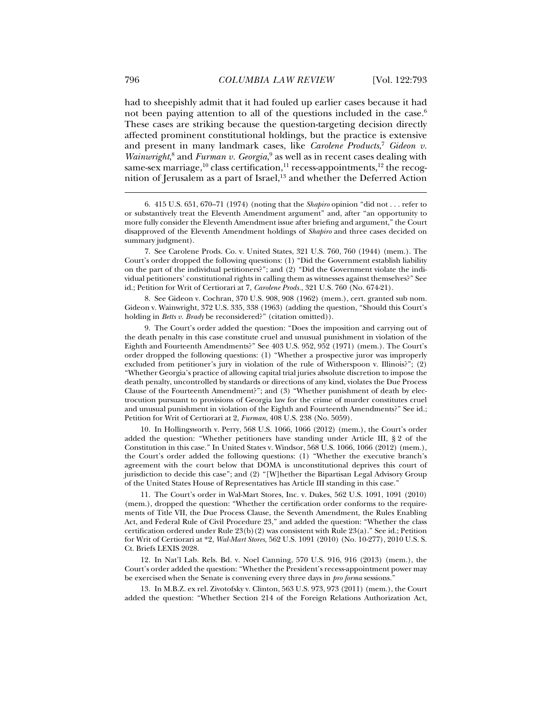had to sheepishly admit that it had fouled up earlier cases because it had not been paying attention to all of the questions included in the case.<sup>6</sup> These cases are striking because the question-targeting decision directly affected prominent constitutional holdings, but the practice is extensive and present in many landmark cases, like *Carolene Products*, <sup>7</sup> *Gideon v.*  Wainwright,<sup>8</sup> and *Furman v. Georgia*,<sup>9</sup> as well as in recent cases dealing with same-sex marriage,<sup>10</sup> class certification,<sup>11</sup> recess-appointments,<sup>12</sup> the recognition of Jerusalem as a part of Israel, $13$  and whether the Deferred Action

 8. See Gideon v. Cochran, 370 U.S. 908, 908 (1962) (mem.), cert. granted sub nom. Gideon v. Wainwright, 372 U.S. 335, 338 (1963) (adding the question, "Should this Court's holding in *Betts v. Brady* be reconsidered?" (citation omitted)).

 9. The Court's order added the question: "Does the imposition and carrying out of the death penalty in this case constitute cruel and unusual punishment in violation of the Eighth and Fourteenth Amendments?" See 403 U.S. 952, 952 (1971) (mem.). The Court's order dropped the following questions: (1) "Whether a prospective juror was improperly excluded from petitioner's jury in violation of the rule of Witherspoon v. Illinois?"; (2) "Whether Georgia's practice of allowing capital trial juries absolute discretion to impose the death penalty, uncontrolled by standards or directions of any kind, violates the Due Process Clause of the Fourteenth Amendment?"; and (3) "Whether punishment of death by electrocution pursuant to provisions of Georgia law for the crime of murder constitutes cruel and unusual punishment in violation of the Eighth and Fourteenth Amendments?" See id.; Petition for Writ of Certiorari at 2, *Furman*, 408 U.S. 238 (No. 5059).

 10. In Hollingsworth v. Perry, 568 U.S. 1066, 1066 (2012) (mem.), the Court's order added the question: "Whether petitioners have standing under Article III, § 2 of the Constitution in this case." In United States v. Windsor, 568 U.S. 1066, 1066 (2012) (mem.), the Court's order added the following questions: (1) "Whether the executive branch's agreement with the court below that DOMA is unconstitutional deprives this court of jurisdiction to decide this case"; and (2) "[W]hether the Bipartisan Legal Advisory Group of the United States House of Representatives has Article III standing in this case."

 11. The Court's order in Wal-Mart Stores, Inc. v. Dukes, 562 U.S. 1091, 1091 (2010) (mem.), dropped the question: "Whether the certification order conforms to the requirements of Title VII, the Due Process Clause, the Seventh Amendment, the Rules Enabling Act, and Federal Rule of Civil Procedure 23," and added the question: "Whether the class certification ordered under Rule 23(b)(2) was consistent with Rule 23(a)." See id.; Petition for Writ of Certiorari at \*2, *Wal-Mart Stores,* 562 U.S. 1091 (2010) (No. 10-277), 2010 U.S. S. Ct. Briefs LEXIS 2028.

 12. In Nat'l Lab. Rels. Bd. v. Noel Canning, 570 U.S. 916, 916 (2013) (mem.), the Court's order added the question: "Whether the President's recess-appointment power may be exercised when the Senate is convening every three days in *pro forma* sessions."

 13. In M.B.Z. ex rel. Zivotofsky v. Clinton, 563 U.S. 973, 973 (2011) (mem.), the Court added the question: "Whether Section 214 of the Foreign Relations Authorization Act,

 $\ddot{ }$ 

 <sup>6. 415</sup> U.S. 651, 670–71 (1974) (noting that the *Shapiro* opinion "did not . . . refer to or substantively treat the Eleventh Amendment argument" and, after "an opportunity to more fully consider the Eleventh Amendment issue after briefing and argument," the Court disapproved of the Eleventh Amendment holdings of *Shapiro* and three cases decided on summary judgment).

 <sup>7.</sup> See Carolene Prods. Co. v. United States, 321 U.S. 760, 760 (1944) (mem.). The Court's order dropped the following questions: (1) "Did the Government establish liability on the part of the individual petitioners?"; and (2) "Did the Government violate the individual petitioners' constitutional rights in calling them as witnesses against themselves?" See id.; Petition for Writ of Certiorari at 7, *Carolene Prods.*, 321 U.S. 760 (No. 674-21).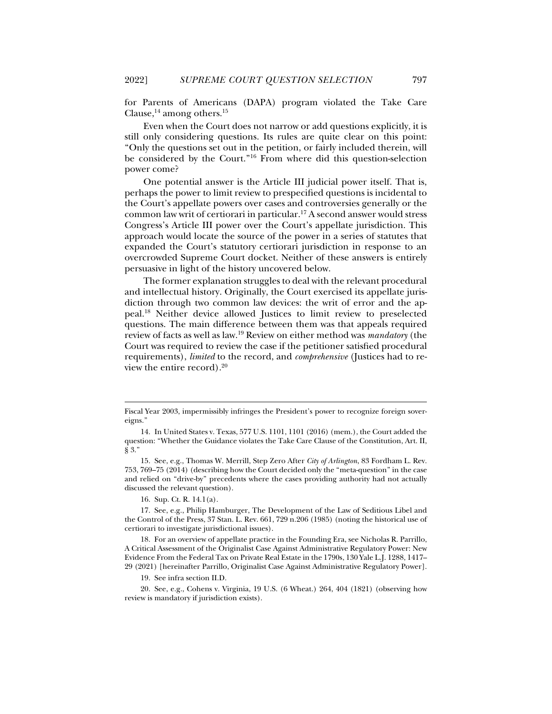for Parents of Americans (DAPA) program violated the Take Care Clause,  $^{14}$  among others.<sup>15</sup>

Even when the Court does not narrow or add questions explicitly, it is still only considering questions. Its rules are quite clear on this point: "Only the questions set out in the petition, or fairly included therein, will be considered by the Court."16 From where did this question-selection power come?

One potential answer is the Article III judicial power itself. That is, perhaps the power to limit review to prespecified questions is incidental to the Court's appellate powers over cases and controversies generally or the common law writ of certiorari in particular.17 A second answer would stress Congress's Article III power over the Court's appellate jurisdiction. This approach would locate the source of the power in a series of statutes that expanded the Court's statutory certiorari jurisdiction in response to an overcrowded Supreme Court docket. Neither of these answers is entirely persuasive in light of the history uncovered below.

The former explanation struggles to deal with the relevant procedural and intellectual history. Originally, the Court exercised its appellate jurisdiction through two common law devices: the writ of error and the appeal.18 Neither device allowed Justices to limit review to preselected questions. The main difference between them was that appeals required review of facts as well as law.19 Review on either method was *mandatory* (the Court was required to review the case if the petitioner satisfied procedural requirements), *limited* to the record, and *comprehensive* (Justices had to review the entire record).20

16. Sup. Ct. R. 14.1(a).

j

 17. See, e.g., Philip Hamburger, The Development of the Law of Seditious Libel and the Control of the Press, 37 Stan. L. Rev. 661, 729 n.206 (1985) (noting the historical use of certiorari to investigate jurisdictional issues).

 18. For an overview of appellate practice in the Founding Era, see Nicholas R. Parrillo, A Critical Assessment of the Originalist Case Against Administrative Regulatory Power: New Evidence From the Federal Tax on Private Real Estate in the 1790s, 130 Yale L.J. 1288, 1417– 29 (2021) [hereinafter Parrillo, Originalist Case Against Administrative Regulatory Power].

19. See infra section II.D.

 20. See, e.g., Cohens v. Virginia, 19 U.S. (6 Wheat.) 264, 404 (1821) (observing how review is mandatory if jurisdiction exists).

Fiscal Year 2003, impermissibly infringes the President's power to recognize foreign sovereigns."

 <sup>14.</sup> In United States v. Texas, 577 U.S. 1101, 1101 (2016) (mem.), the Court added the question: "Whether the Guidance violates the Take Care Clause of the Constitution, Art. II, § 3."

 <sup>15.</sup> See, e.g., Thomas W. Merrill, Step Zero After *City of Arlington*, 83 Fordham L. Rev. 753, 769–75 (2014) (describing how the Court decided only the "meta-question" in the case and relied on "drive-by" precedents where the cases providing authority had not actually discussed the relevant question).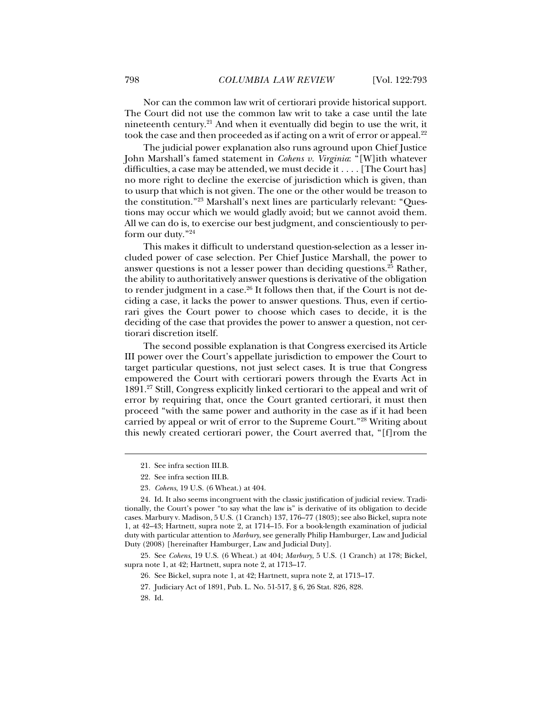Nor can the common law writ of certiorari provide historical support. The Court did not use the common law writ to take a case until the late nineteenth century.21 And when it eventually did begin to use the writ, it took the case and then proceeded as if acting on a writ of error or appeal.<sup>22</sup>

The judicial power explanation also runs aground upon Chief Justice John Marshall's famed statement in *Cohens v. Virginia*: "[W]ith whatever difficulties, a case may be attended, we must decide it . . . . [The Court has] no more right to decline the exercise of jurisdiction which is given, than to usurp that which is not given. The one or the other would be treason to the constitution."23 Marshall's next lines are particularly relevant: "Questions may occur which we would gladly avoid; but we cannot avoid them. All we can do is, to exercise our best judgment, and conscientiously to perform our duty."24

This makes it difficult to understand question-selection as a lesser included power of case selection. Per Chief Justice Marshall, the power to answer questions is not a lesser power than deciding questions.25 Rather, the ability to authoritatively answer questions is derivative of the obligation to render judgment in a case.<sup>26</sup> It follows then that, if the Court is not deciding a case, it lacks the power to answer questions. Thus, even if certiorari gives the Court power to choose which cases to decide, it is the deciding of the case that provides the power to answer a question, not certiorari discretion itself.

The second possible explanation is that Congress exercised its Article III power over the Court's appellate jurisdiction to empower the Court to target particular questions, not just select cases. It is true that Congress empowered the Court with certiorari powers through the Evarts Act in 1891.27 Still, Congress explicitly linked certiorari to the appeal and writ of error by requiring that, once the Court granted certiorari, it must then proceed "with the same power and authority in the case as if it had been carried by appeal or writ of error to the Supreme Court."28 Writing about this newly created certiorari power, the Court averred that, "[f]rom the

 25. See *Cohens*, 19 U.S. (6 Wheat.) at 404; *Marbury*, 5 U.S. (1 Cranch) at 178; Bickel, supra note 1, at 42; Hartnett, supra note 2, at 1713–17.

28. Id.

 <sup>21.</sup> See infra section III.B.

 <sup>22.</sup> See infra section III.B.

<sup>23</sup>*. Cohens*, 19 U.S. (6 Wheat.) at 404.

 <sup>24.</sup> Id. It also seems incongruent with the classic justification of judicial review. Traditionally, the Court's power "to say what the law is" is derivative of its obligation to decide cases. Marbury v. Madison, 5 U.S. (1 Cranch) 137, 176–77 (1803); see also Bickel, supra note 1, at 42–43; Hartnett, supra note 2, at 1714–15. For a book-length examination of judicial duty with particular attention to *Marbury*, see generally Philip Hamburger, Law and Judicial Duty (2008) [hereinafter Hamburger, Law and Judicial Duty].

 <sup>26.</sup> See Bickel, supra note 1, at 42; Hartnett, supra note 2, at 1713–17.

 <sup>27.</sup> Judiciary Act of 1891, Pub. L. No. 51-517, § 6, 26 Stat. 826, 828.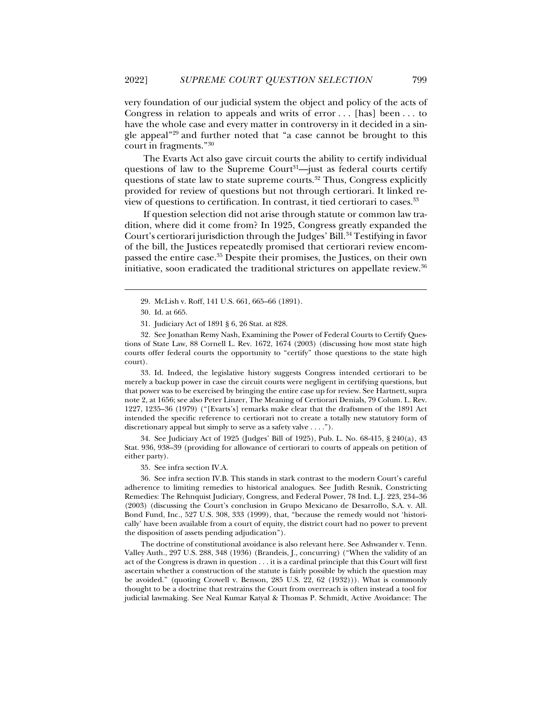very foundation of our judicial system the object and policy of the acts of Congress in relation to appeals and writs of error . . . [has] been . . . to have the whole case and every matter in controversy in it decided in a single appeal"29 and further noted that "a case cannot be brought to this court in fragments."30

The Evarts Act also gave circuit courts the ability to certify individual questions of law to the Supreme Court<sup>31</sup>—just as federal courts certify questions of state law to state supreme courts.<sup>32</sup> Thus, Congress explicitly provided for review of questions but not through certiorari. It linked review of questions to certification. In contrast, it tied certiorari to cases.33

If question selection did not arise through statute or common law tradition, where did it come from? In 1925, Congress greatly expanded the Court's certiorari jurisdiction through the Judges' Bill.<sup>34</sup> Testifying in favor of the bill, the Justices repeatedly promised that certiorari review encompassed the entire case.35 Despite their promises, the Justices, on their own initiative, soon eradicated the traditional strictures on appellate review.<sup>36</sup>

j

 32. See Jonathan Remy Nash, Examining the Power of Federal Courts to Certify Questions of State Law, 88 Cornell L. Rev. 1672, 1674 (2003) (discussing how most state high courts offer federal courts the opportunity to "certify" those questions to the state high court).

 33. Id. Indeed, the legislative history suggests Congress intended certiorari to be merely a backup power in case the circuit courts were negligent in certifying questions, but that power was to be exercised by bringing the entire case up for review. See Hartnett, supra note 2, at 1656; see also Peter Linzer, The Meaning of Certiorari Denials, 79 Colum. L. Rev. 1227, 1235–36 (1979) ("[Evarts's] remarks make clear that the draftsmen of the 1891 Act intended the specific reference to certiorari not to create a totally new statutory form of discretionary appeal but simply to serve as a safety valve . . . .").

 34. See Judiciary Act of 1925 (Judges' Bill of 1925), Pub. L. No. 68-415, § 240(a), 43 Stat. 936, 938–39 (providing for allowance of certiorari to courts of appeals on petition of either party).

35. See infra section IV.A.

 36. See infra section IV.B. This stands in stark contrast to the modern Court's careful adherence to limiting remedies to historical analogues. See Judith Resnik, Constricting Remedies: The Rehnquist Judiciary, Congress, and Federal Power, 78 Ind. L.J. 223, 234–36 (2003) (discussing the Court's conclusion in Grupo Mexicano de Desarrollo, S.A. v. All. Bond Fund, Inc., 527 U.S. 308, 333 (1999), that, "because the remedy would not 'historically' have been available from a court of equity, the district court had no power to prevent the disposition of assets pending adjudication").

 The doctrine of constitutional avoidance is also relevant here. See Ashwander v. Tenn. Valley Auth., 297 U.S. 288, 348 (1936) (Brandeis, J., concurring) ("When the validity of an act of the Congress is drawn in question . . . it is a cardinal principle that this Court will first ascertain whether a construction of the statute is fairly possible by which the question may be avoided." (quoting Crowell v. Benson, 285 U.S. 22, 62 (1932))). What is commonly thought to be a doctrine that restrains the Court from overreach is often instead a tool for judicial lawmaking. See Neal Kumar Katyal & Thomas P. Schmidt, Active Avoidance: The

 <sup>29.</sup> McLish v. Roff, 141 U.S. 661, 665–66 (1891).

 <sup>30.</sup> Id. at 665.

 <sup>31.</sup> Judiciary Act of 1891 § 6, 26 Stat. at 828.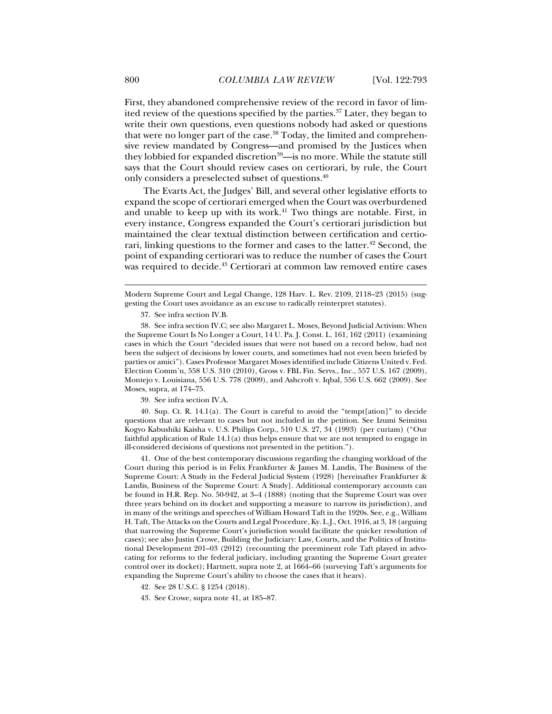First, they abandoned comprehensive review of the record in favor of limited review of the questions specified by the parties.37 Later, they began to write their own questions, even questions nobody had asked or questions that were no longer part of the case.<sup>38</sup> Today, the limited and comprehensive review mandated by Congress—and promised by the Justices when they lobbied for expanded discretion<sup>39</sup>—is no more. While the statute still says that the Court should review cases on certiorari, by rule, the Court only considers a preselected subset of questions.40

The Evarts Act, the Judges' Bill, and several other legislative efforts to expand the scope of certiorari emerged when the Court was overburdened and unable to keep up with its work. $41$  Two things are notable. First, in every instance, Congress expanded the Court's certiorari jurisdiction but maintained the clear textual distinction between certification and certiorari, linking questions to the former and cases to the latter.<sup>42</sup> Second, the point of expanding certiorari was to reduce the number of cases the Court was required to decide.<sup>43</sup> Certiorari at common law removed entire cases

37. See infra section IV.B.

39. See infra section IV.A.

 40. Sup. Ct. R. 14.1(a). The Court is careful to avoid the "tempt[ation]" to decide questions that are relevant to cases but not included in the petition. See Izumi Seimitsu Kogyo Kabushiki Kaisha v. U.S. Philips Corp., 510 U.S. 27, 34 (1993) (per curiam) ("Our faithful application of Rule  $14.1(a)$  thus helps ensure that we are not tempted to engage in ill-considered decisions of questions not presented in the petition.").

 41. One of the best contemporary discussions regarding the changing workload of the Court during this period is in Felix Frankfurter & James M. Landis, The Business of the Supreme Court: A Study in the Federal Judicial System (1928) [hereinafter Frankfurter & Landis, Business of the Supreme Court: A Study]. Additional contemporary accounts can be found in H.R. Rep. No. 50-942, at 3–4 (1888) (noting that the Supreme Court was over three years behind on its docket and supporting a measure to narrow its jurisdiction), and in many of the writings and speeches of William Howard Taft in the 1920s. See, e.g., William H. Taft, The Attacks on the Courts and Legal Procedure, Ky. L.J., Oct. 1916, at 3, 18 (arguing that narrowing the Supreme Court's jurisdiction would facilitate the quicker resolution of cases); see also Justin Crowe, Building the Judiciary: Law, Courts, and the Politics of Institutional Development 201–03 (2012) (recounting the preeminent role Taft played in advocating for reforms to the federal judiciary, including granting the Supreme Court greater control over its docket); Hartnett, supra note 2, at 1664–66 (surveying Taft's arguments for expanding the Supreme Court's ability to choose the cases that it hears).

- 42. See 28 U.S.C. § 1254 (2018).
- 43. See Crowe, supra note 41, at 185–87.

Modern Supreme Court and Legal Change, 128 Harv. L. Rev. 2109, 2118–23 (2015) (suggesting the Court uses avoidance as an excuse to radically reinterpret statutes).

 <sup>38.</sup> See infra section IV.C; see also Margaret L. Moses, Beyond Judicial Activism: When the Supreme Court Is No Longer a Court, 14 U. Pa. J. Const. L. 161, 162 (2011) (examining cases in which the Court "decided issues that were not based on a record below, had not been the subject of decisions by lower courts, and sometimes had not even been briefed by parties or amici"). Cases Professor Margaret Moses identified include Citizens United v. Fed. Election Comm'n, 558 U.S. 310 (2010), Gross v. FBL Fin. Servs., Inc., 557 U.S. 167 (2009), Montejo v. Louisiana, 556 U.S. 778 (2009), and Ashcroft v. Iqbal, 556 U.S. 662 (2009). See Moses, supra, at 174–75.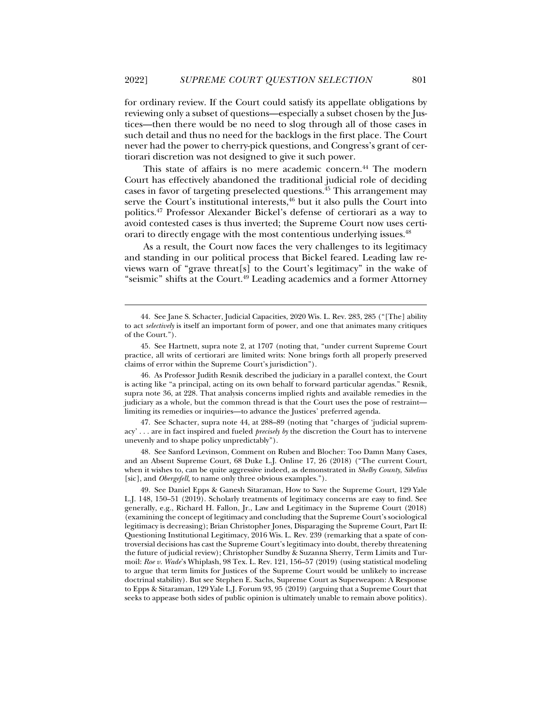for ordinary review. If the Court could satisfy its appellate obligations by reviewing only a subset of questions—especially a subset chosen by the Justices—then there would be no need to slog through all of those cases in such detail and thus no need for the backlogs in the first place. The Court never had the power to cherry-pick questions, and Congress's grant of certiorari discretion was not designed to give it such power.

This state of affairs is no mere academic concern.<sup>44</sup> The modern Court has effectively abandoned the traditional judicial role of deciding cases in favor of targeting preselected questions.<sup>45</sup> This arrangement may serve the Court's institutional interests, $46$  but it also pulls the Court into politics.47 Professor Alexander Bickel's defense of certiorari as a way to avoid contested cases is thus inverted; the Supreme Court now uses certiorari to directly engage with the most contentious underlying issues.<sup>48</sup>

As a result, the Court now faces the very challenges to its legitimacy and standing in our political process that Bickel feared. Leading law reviews warn of "grave threat[s] to the Court's legitimacy" in the wake of "seismic" shifts at the Court.<sup>49</sup> Leading academics and a former Attorney

 <sup>44.</sup> See Jane S. Schacter, Judicial Capacities, 2020 Wis. L. Rev. 283, 285 ("[The] ability to act *selectively* is itself an important form of power, and one that animates many critiques of the Court.").

 <sup>45.</sup> See Hartnett, supra note 2, at 1707 (noting that, "under current Supreme Court practice, all writs of certiorari are limited writs: None brings forth all properly preserved claims of error within the Supreme Court's jurisdiction").

 <sup>46.</sup> As Professor Judith Resnik described the judiciary in a parallel context, the Court is acting like "a principal, acting on its own behalf to forward particular agendas." Resnik, supra note 36, at 228. That analysis concerns implied rights and available remedies in the judiciary as a whole, but the common thread is that the Court uses the pose of restraint limiting its remedies or inquiries—to advance the Justices' preferred agenda.

 <sup>47.</sup> See Schacter, supra note 44, at 288–89 (noting that "charges of 'judicial supremacy' . . . are in fact inspired and fueled *precisely by* the discretion the Court has to intervene unevenly and to shape policy unpredictably").

 <sup>48.</sup> See Sanford Levinson, Comment on Ruben and Blocher: Too Damn Many Cases, and an Absent Supreme Court, 68 Duke L.J. Online 17, 26 (2018) ("The current Court, when it wishes to, can be quite aggressive indeed, as demonstrated in *Shelby County*, *Sibelius*  [sic], and *Obergefell*, to name only three obvious examples.").

 <sup>49.</sup> See Daniel Epps & Ganesh Sitaraman, How to Save the Supreme Court, 129 Yale L.J. 148, 150–51 (2019). Scholarly treatments of legitimacy concerns are easy to find. See generally, e.g., Richard H. Fallon, Jr., Law and Legitimacy in the Supreme Court (2018) (examining the concept of legitimacy and concluding that the Supreme Court's sociological legitimacy is decreasing); Brian Christopher Jones, Disparaging the Supreme Court, Part II: Questioning Institutional Legitimacy, 2016 Wis. L. Rev. 239 (remarking that a spate of controversial decisions has cast the Supreme Court's legitimacy into doubt, thereby threatening the future of judicial review); Christopher Sundby & Suzanna Sherry, Term Limits and Turmoil: *Roe v. Wade*'s Whiplash, 98 Tex. L. Rev. 121, 156–57 (2019) (using statistical modeling to argue that term limits for Justices of the Supreme Court would be unlikely to increase doctrinal stability). But see Stephen E. Sachs, Supreme Court as Superweapon: A Response to Epps & Sitaraman, 129 Yale L.J. Forum 93, 95 (2019) (arguing that a Supreme Court that seeks to appease both sides of public opinion is ultimately unable to remain above politics).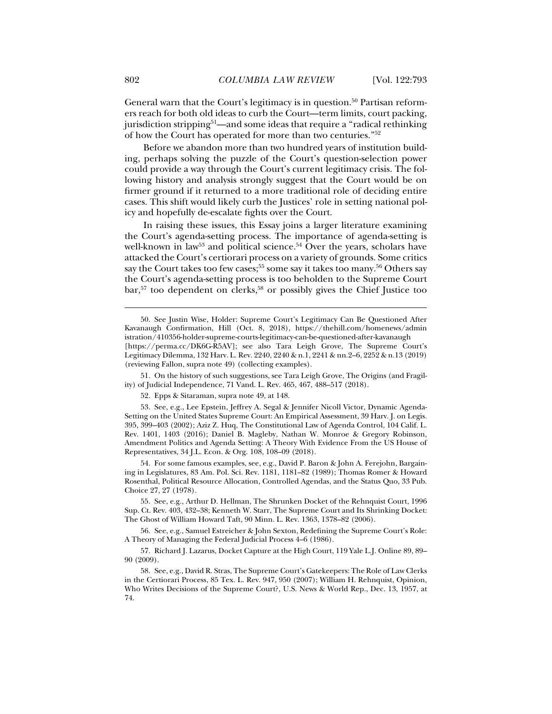General warn that the Court's legitimacy is in question.<sup>50</sup> Partisan reformers reach for both old ideas to curb the Court—term limits, court packing, jurisdiction stripping<sup>51</sup>—and some ideas that require a "radical rethinking" of how the Court has operated for more than two centuries."52

Before we abandon more than two hundred years of institution building, perhaps solving the puzzle of the Court's question-selection power could provide a way through the Court's current legitimacy crisis. The following history and analysis strongly suggest that the Court would be on firmer ground if it returned to a more traditional role of deciding entire cases. This shift would likely curb the Justices' role in setting national policy and hopefully de-escalate fights over the Court.

In raising these issues, this Essay joins a larger literature examining the Court's agenda-setting process. The importance of agenda-setting is well-known in law<sup>53</sup> and political science.<sup>54</sup> Over the years, scholars have attacked the Court's certiorari process on a variety of grounds. Some critics say the Court takes too few cases;<sup>55</sup> some say it takes too many.<sup>56</sup> Others say the Court's agenda-setting process is too beholden to the Supreme Court bar,<sup>57</sup> too dependent on clerks,<sup>58</sup> or possibly gives the Chief Justice too

 51. On the history of such suggestions, see Tara Leigh Grove, The Origins (and Fragility) of Judicial Independence, 71 Vand. L. Rev. 465, 467, 488–517 (2018).

52. Epps & Sitaraman, supra note 49, at 148.

 53. See, e.g., Lee Epstein, Jeffrey A. Segal & Jennifer Nicoll Victor, Dynamic Agenda-Setting on the United States Supreme Court: An Empirical Assessment, 39 Harv. J. on Legis. 395, 399–403 (2002); Aziz Z. Huq, The Constitutional Law of Agenda Control, 104 Calif. L. Rev. 1401, 1403 (2016); Daniel B. Magleby, Nathan W. Monroe & Gregory Robinson, Amendment Politics and Agenda Setting: A Theory With Evidence From the US House of Representatives, 34 J.L. Econ. & Org. 108, 108–09 (2018).

 54. For some famous examples, see, e.g., David P. Baron & John A. Ferejohn, Bargaining in Legislatures, 83 Am. Pol. Sci. Rev. 1181, 1181–82 (1989); Thomas Romer & Howard Rosenthal, Political Resource Allocation, Controlled Agendas, and the Status Quo, 33 Pub. Choice 27, 27 (1978).

 55. See, e.g., Arthur D. Hellman, The Shrunken Docket of the Rehnquist Court, 1996 Sup. Ct. Rev. 403, 432–38; Kenneth W. Starr, The Supreme Court and Its Shrinking Docket: The Ghost of William Howard Taft, 90 Minn. L. Rev. 1363, 1378–82 (2006).

 56. See, e.g., Samuel Estreicher & John Sexton, Redefining the Supreme Court's Role: A Theory of Managing the Federal Judicial Process 4–6 (1986).

 57. Richard J. Lazarus, Docket Capture at the High Court, 119 Yale L.J. Online 89, 89– 90 (2009).

 58. See, e.g., David R. Stras, The Supreme Court's Gatekeepers: The Role of Law Clerks in the Certiorari Process, 85 Tex. L. Rev. 947, 950 (2007); William H. Rehnquist, Opinion, Who Writes Decisions of the Supreme Court?, U.S. News & World Rep., Dec. 13, 1957, at 74.

 <sup>50.</sup> See Justin Wise, Holder: Supreme Court's Legitimacy Can Be Questioned After Kavanaugh Confirmation, Hill (Oct. 8, 2018), https://thehill.com/homenews/admin istration/410356-holder-supreme-courts-legitimacy-can-be-questioned-after-kavanaugh [https://perma.cc/DK6G-R5AV]; see also Tara Leigh Grove, The Supreme Court's Legitimacy Dilemma, 132 Harv. L. Rev. 2240, 2240 & n.1, 2241 & nn.2–6, 2252 & n.13 (2019) (reviewing Fallon, supra note 49) (collecting examples).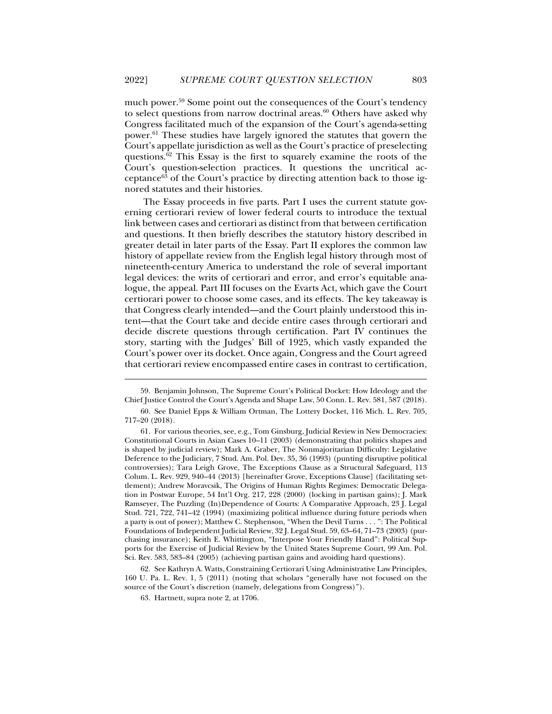much power.<sup>59</sup> Some point out the consequences of the Court's tendency to select questions from narrow doctrinal areas. $60$  Others have asked why Congress facilitated much of the expansion of the Court's agenda-setting power.<sup>61</sup> These studies have largely ignored the statutes that govern the Court's appellate jurisdiction as well as the Court's practice of preselecting questions.<sup>62</sup> This Essay is the first to squarely examine the roots of the Court's question-selection practices. It questions the uncritical acceptance63 of the Court's practice by directing attention back to those ignored statutes and their histories.

The Essay proceeds in five parts. Part I uses the current statute governing certiorari review of lower federal courts to introduce the textual link between cases and certiorari as distinct from that between certification and questions. It then briefly describes the statutory history described in greater detail in later parts of the Essay. Part II explores the common law history of appellate review from the English legal history through most of nineteenth-century America to understand the role of several important legal devices: the writs of certiorari and error, and error's equitable analogue, the appeal. Part III focuses on the Evarts Act, which gave the Court certiorari power to choose some cases, and its effects. The key takeaway is that Congress clearly intended—and the Court plainly understood this intent—that the Court take and decide entire cases through certiorari and decide discrete questions through certification. Part IV continues the story, starting with the Judges' Bill of 1925, which vastly expanded the Court's power over its docket. Once again, Congress and the Court agreed that certiorari review encompassed entire cases in contrast to certification,

 62. See Kathryn A. Watts, Constraining Certiorari Using Administrative Law Principles, 160 U. Pa. L. Rev. 1, 5 (2011) (noting that scholars "generally have not focused on the source of the Court's discretion (namely, delegations from Congress)").

 <sup>59.</sup> Benjamin Johnson, The Supreme Court's Political Docket: How Ideology and the Chief Justice Control the Court's Agenda and Shape Law, 50 Conn. L. Rev. 581, 587 (2018).

 <sup>60.</sup> See Daniel Epps & William Ortman, The Lottery Docket, 116 Mich. L. Rev. 705, 717–20 (2018).

 <sup>61.</sup> For various theories, see, e.g., Tom Ginsburg, Judicial Review in New Democracies: Constitutional Courts in Asian Cases 10–11 (2003) (demonstrating that politics shapes and is shaped by judicial review); Mark A. Graber, The Nonmajoritarian Difficulty: Legislative Deference to the Judiciary, 7 Stud. Am. Pol. Dev. 35, 36 (1993) (punting disruptive political controversies); Tara Leigh Grove, The Exceptions Clause as a Structural Safeguard, 113 Colum. L. Rev. 929, 940–44 (2013) [hereinafter Grove, Exceptions Clause] (facilitating settlement); Andrew Moravcsik, The Origins of Human Rights Regimes: Democratic Delegation in Postwar Europe, 54 Int'l Org. 217, 228 (2000) (locking in partisan gains); J. Mark Ramseyer, The Puzzling (In)Dependence of Courts: A Comparative Approach, 23 J. Legal Stud. 721, 722, 741–42 (1994) (maximizing political influence during future periods when a party is out of power); Matthew C. Stephenson, "When the Devil Turns . . . ": The Political Foundations of Independent Judicial Review, 32 J. Legal Stud. 59, 63–64, 71–73 (2003) (purchasing insurance); Keith E. Whittington, "Interpose Your Friendly Hand": Political Supports for the Exercise of Judicial Review by the United States Supreme Court, 99 Am. Pol. Sci. Rev. 583, 583–84 (2005) (achieving partisan gains and avoiding hard questions).

 <sup>63.</sup> Hartnett, supra note 2, at 1706.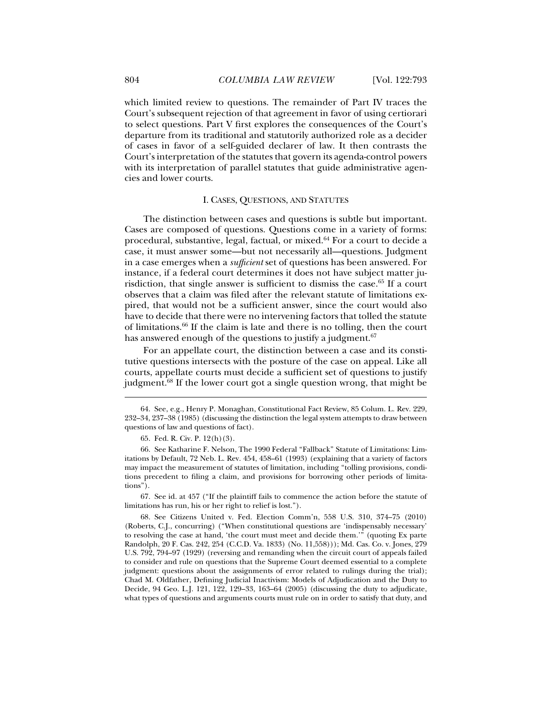which limited review to questions. The remainder of Part IV traces the Court's subsequent rejection of that agreement in favor of using certiorari to select questions. Part V first explores the consequences of the Court's departure from its traditional and statutorily authorized role as a decider of cases in favor of a self-guided declarer of law. It then contrasts the Court's interpretation of the statutes that govern its agenda-control powers with its interpretation of parallel statutes that guide administrative agencies and lower courts.

#### I. CASES, QUESTIONS, AND STATUTES

The distinction between cases and questions is subtle but important. Cases are composed of questions. Questions come in a variety of forms: procedural, substantive, legal, factual, or mixed.64 For a court to decide a case, it must answer some—but not necessarily all—questions. Judgment in a case emerges when a *sufficient* set of questions has been answered. For instance, if a federal court determines it does not have subject matter jurisdiction, that single answer is sufficient to dismiss the case.<sup>65</sup> If a court observes that a claim was filed after the relevant statute of limitations expired, that would not be a sufficient answer, since the court would also have to decide that there were no intervening factors that tolled the statute of limitations.66 If the claim is late and there is no tolling, then the court has answered enough of the questions to justify a judgment.<sup>67</sup>

For an appellate court, the distinction between a case and its constitutive questions intersects with the posture of the case on appeal. Like all courts, appellate courts must decide a sufficient set of questions to justify judgment.68 If the lower court got a single question wrong, that might be

j

 67. See id. at 457 ("If the plaintiff fails to commence the action before the statute of limitations has run, his or her right to relief is lost.").

 <sup>64.</sup> See, e.g., Henry P. Monaghan, Constitutional Fact Review, 85 Colum. L. Rev. 229, 232–34, 237–38 (1985) (discussing the distinction the legal system attempts to draw between questions of law and questions of fact).

 <sup>65.</sup> Fed. R. Civ. P. 12(h)(3).

 <sup>66.</sup> See Katharine F. Nelson, The 1990 Federal "Fallback" Statute of Limitations: Limitations by Default, 72 Neb. L. Rev. 454, 458–61 (1993) (explaining that a variety of factors may impact the measurement of statutes of limitation, including "tolling provisions, conditions precedent to filing a claim, and provisions for borrowing other periods of limitations").

 <sup>68.</sup> See Citizens United v. Fed. Election Comm'n, 558 U.S. 310, 374–75 (2010) (Roberts, C.J., concurring) ("When constitutional questions are 'indispensably necessary' to resolving the case at hand, 'the court must meet and decide them.'" (quoting Ex parte Randolph, 20 F. Cas. 242, 254 (C.C.D. Va. 1833) (No. 11,558))); Md. Cas. Co. v. Jones, 279 U.S. 792, 794–97 (1929) (reversing and remanding when the circuit court of appeals failed to consider and rule on questions that the Supreme Court deemed essential to a complete judgment: questions about the assignments of error related to rulings during the trial); Chad M. Oldfather, Defining Judicial Inactivism: Models of Adjudication and the Duty to Decide, 94 Geo. L.J. 121, 122, 129–33, 163–64 (2005) (discussing the duty to adjudicate, what types of questions and arguments courts must rule on in order to satisfy that duty, and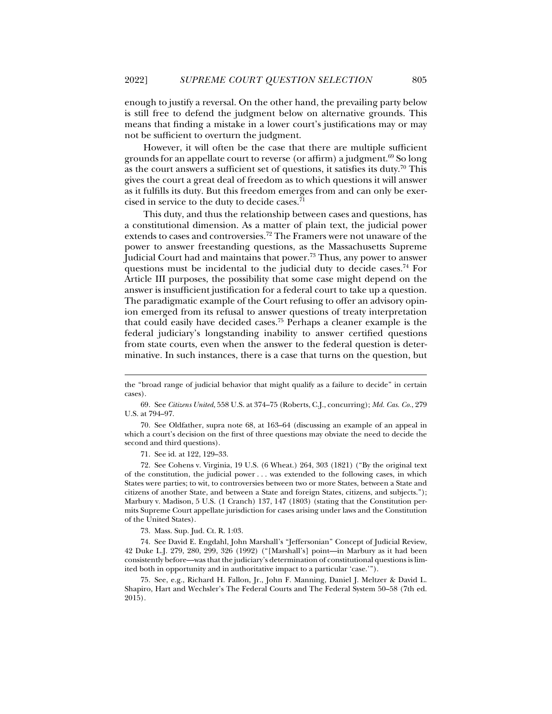enough to justify a reversal. On the other hand, the prevailing party below is still free to defend the judgment below on alternative grounds. This means that finding a mistake in a lower court's justifications may or may not be sufficient to overturn the judgment.

However, it will often be the case that there are multiple sufficient grounds for an appellate court to reverse (or affirm) a judgment. $69$  So long as the court answers a sufficient set of questions, it satisfies its duty.<sup>70</sup> This gives the court a great deal of freedom as to which questions it will answer as it fulfills its duty. But this freedom emerges from and can only be exercised in service to the duty to decide cases.<sup>71</sup>

This duty, and thus the relationship between cases and questions, has a constitutional dimension. As a matter of plain text, the judicial power extends to cases and controversies.<sup>72</sup> The Framers were not unaware of the power to answer freestanding questions, as the Massachusetts Supreme Judicial Court had and maintains that power.73 Thus, any power to answer questions must be incidental to the judicial duty to decide cases.<sup>74</sup> For Article III purposes, the possibility that some case might depend on the answer is insufficient justification for a federal court to take up a question. The paradigmatic example of the Court refusing to offer an advisory opinion emerged from its refusal to answer questions of treaty interpretation that could easily have decided cases.75 Perhaps a cleaner example is the federal judiciary's longstanding inability to answer certified questions from state courts, even when the answer to the federal question is determinative. In such instances, there is a case that turns on the question, but

 69. See *Citizens United*, 558 U.S. at 374–75 (Roberts, C.J., concurring); *Md. Cas. Co.*, 279 U.S. at 794–97.

 70. See Oldfather, supra note 68, at 163–64 (discussing an example of an appeal in which a court's decision on the first of three questions may obviate the need to decide the second and third questions).

71. See id. at 122, 129–33.

j

 72. See Cohens v. Virginia, 19 U.S. (6 Wheat.) 264, 303 (1821) ("By the original text of the constitution, the judicial power . . . was extended to the following cases, in which States were parties; to wit, to controversies between two or more States, between a State and citizens of another State, and between a State and foreign States, citizens, and subjects."); Marbury v. Madison, 5 U.S. (1 Cranch) 137, 147 (1803) (stating that the Constitution permits Supreme Court appellate jurisdiction for cases arising under laws and the Constitution of the United States).

73. Mass. Sup. Jud. Ct. R. 1:03.

 74. See David E. Engdahl, John Marshall's "Jeffersonian" Concept of Judicial Review, 42 Duke L.J. 279, 280, 299, 326 (1992) ("[Marshall's] point—in Marbury as it had been consistently before—was that the judiciary's determination of constitutional questions is limited both in opportunity and in authoritative impact to a particular 'case.'").

 75. See, e.g., Richard H. Fallon, Jr., John F. Manning, Daniel J. Meltzer & David L. Shapiro, Hart and Wechsler's The Federal Courts and The Federal System 50–58 (7th ed. 2015).

the "broad range of judicial behavior that might qualify as a failure to decide" in certain cases).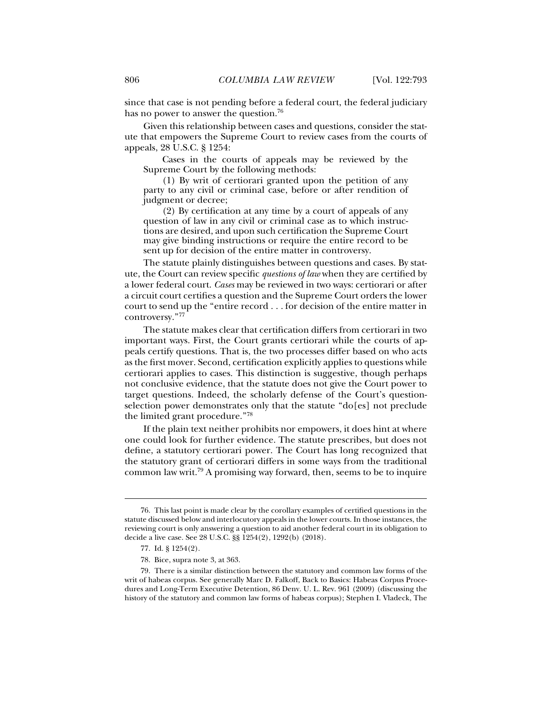since that case is not pending before a federal court, the federal judiciary has no power to answer the question.<sup>76</sup>

Given this relationship between cases and questions, consider the statute that empowers the Supreme Court to review cases from the courts of appeals, 28 U.S.C. § 1254:

Cases in the courts of appeals may be reviewed by the Supreme Court by the following methods:

(1) By writ of certiorari granted upon the petition of any party to any civil or criminal case, before or after rendition of judgment or decree;

(2) By certification at any time by a court of appeals of any question of law in any civil or criminal case as to which instructions are desired, and upon such certification the Supreme Court may give binding instructions or require the entire record to be sent up for decision of the entire matter in controversy.

The statute plainly distinguishes between questions and cases. By statute, the Court can review specific *questions of law* when they are certified by a lower federal court. *Cases* may be reviewed in two ways: certiorari or after a circuit court certifies a question and the Supreme Court orders the lower court to send up the "entire record . . . for decision of the entire matter in controversy."77

The statute makes clear that certification differs from certiorari in two important ways. First, the Court grants certiorari while the courts of appeals certify questions. That is, the two processes differ based on who acts as the first mover. Second, certification explicitly applies to questions while certiorari applies to cases. This distinction is suggestive, though perhaps not conclusive evidence, that the statute does not give the Court power to target questions. Indeed, the scholarly defense of the Court's questionselection power demonstrates only that the statute "do[es] not preclude the limited grant procedure."78

If the plain text neither prohibits nor empowers, it does hint at where one could look for further evidence. The statute prescribes, but does not define, a statutory certiorari power. The Court has long recognized that the statutory grant of certiorari differs in some ways from the traditional common law writ.79 A promising way forward, then, seems to be to inquire

 <sup>76.</sup> This last point is made clear by the corollary examples of certified questions in the statute discussed below and interlocutory appeals in the lower courts. In those instances, the reviewing court is only answering a question to aid another federal court in its obligation to decide a live case. See 28 U.S.C. §§ 1254(2), 1292(b) (2018).

 <sup>77.</sup> Id. § 1254(2).

 <sup>78.</sup> Bice, supra note 3, at 363.

 <sup>79.</sup> There is a similar distinction between the statutory and common law forms of the writ of habeas corpus. See generally Marc D. Falkoff, Back to Basics: Habeas Corpus Procedures and Long-Term Executive Detention, 86 Denv. U. L. Rev. 961 (2009) (discussing the history of the statutory and common law forms of habeas corpus); Stephen I. Vladeck, The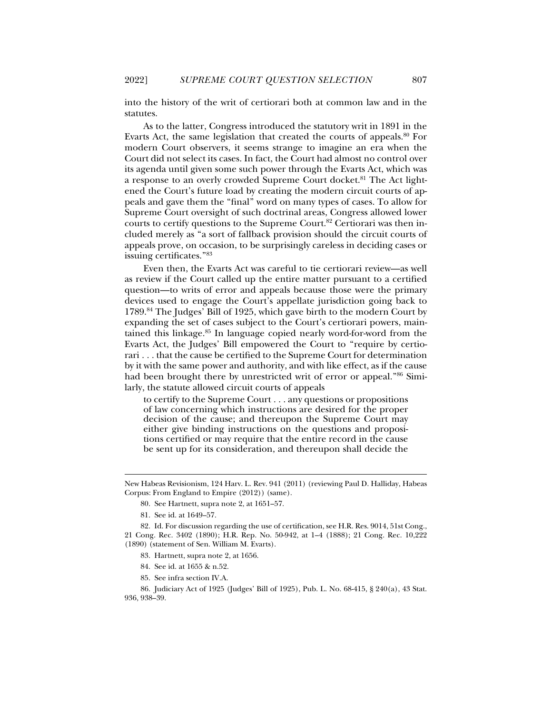into the history of the writ of certiorari both at common law and in the statutes.

As to the latter, Congress introduced the statutory writ in 1891 in the Evarts Act, the same legislation that created the courts of appeals.<sup>80</sup> For modern Court observers, it seems strange to imagine an era when the Court did not select its cases. In fact, the Court had almost no control over its agenda until given some such power through the Evarts Act, which was a response to an overly crowded Supreme Court docket.<sup>81</sup> The Act lightened the Court's future load by creating the modern circuit courts of appeals and gave them the "final" word on many types of cases. To allow for Supreme Court oversight of such doctrinal areas, Congress allowed lower courts to certify questions to the Supreme Court.<sup>82</sup> Certiorari was then included merely as "a sort of fallback provision should the circuit courts of appeals prove, on occasion, to be surprisingly careless in deciding cases or issuing certificates."83

Even then, the Evarts Act was careful to tie certiorari review—as well as review if the Court called up the entire matter pursuant to a certified question—to writs of error and appeals because those were the primary devices used to engage the Court's appellate jurisdiction going back to 1789.84 The Judges' Bill of 1925, which gave birth to the modern Court by expanding the set of cases subject to the Court's certiorari powers, maintained this linkage.85 In language copied nearly word-for-word from the Evarts Act, the Judges' Bill empowered the Court to "require by certiorari . . . that the cause be certified to the Supreme Court for determination by it with the same power and authority, and with like effect, as if the cause had been brought there by unrestricted writ of error or appeal."86 Similarly, the statute allowed circuit courts of appeals

to certify to the Supreme Court . . . any questions or propositions of law concerning which instructions are desired for the proper decision of the cause; and thereupon the Supreme Court may either give binding instructions on the questions and propositions certified or may require that the entire record in the cause be sent up for its consideration, and thereupon shall decide the

- 80. See Hartnett, supra note 2, at 1651–57.
- 81. See id. at 1649–57.

j

 82. Id. For discussion regarding the use of certification, see H.R. Res. 9014, 51st Cong., 21 Cong. Rec. 3402 (1890); H.R. Rep. No. 50-942, at 1–4 (1888); 21 Cong. Rec. 10,222 (1890) (statement of Sen. William M. Evarts).

- 83. Hartnett, supra note 2, at 1656.
- 84. See id. at 1655 & n.52.
- 85. See infra section IV.A.

 86. Judiciary Act of 1925 (Judges' Bill of 1925), Pub. L. No. 68-415, § 240(a), 43 Stat. 936, 938–39.

New Habeas Revisionism, 124 Harv. L. Rev. 941 (2011) (reviewing Paul D. Halliday, Habeas Corpus: From England to Empire (2012)) (same).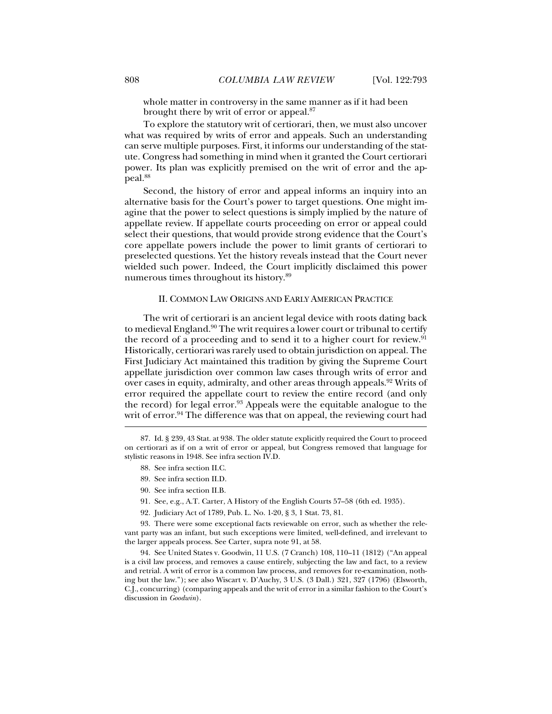whole matter in controversy in the same manner as if it had been brought there by writ of error or appeal.<sup>87</sup>

To explore the statutory writ of certiorari, then, we must also uncover what was required by writs of error and appeals. Such an understanding can serve multiple purposes. First, it informs our understanding of the statute. Congress had something in mind when it granted the Court certiorari power. Its plan was explicitly premised on the writ of error and the appeal.88

Second, the history of error and appeal informs an inquiry into an alternative basis for the Court's power to target questions. One might imagine that the power to select questions is simply implied by the nature of appellate review. If appellate courts proceeding on error or appeal could select their questions, that would provide strong evidence that the Court's core appellate powers include the power to limit grants of certiorari to preselected questions. Yet the history reveals instead that the Court never wielded such power. Indeed, the Court implicitly disclaimed this power numerous times throughout its history.<sup>89</sup>

#### II. COMMON LAW ORIGINS AND EARLY AMERICAN PRACTICE

The writ of certiorari is an ancient legal device with roots dating back to medieval England.<sup>90</sup> The writ requires a lower court or tribunal to certify the record of a proceeding and to send it to a higher court for review.<sup>91</sup> Historically, certiorari was rarely used to obtain jurisdiction on appeal. The First Judiciary Act maintained this tradition by giving the Supreme Court appellate jurisdiction over common law cases through writs of error and over cases in equity, admiralty, and other areas through appeals.<sup>92</sup> Writs of error required the appellate court to review the entire record (and only the record) for legal error.<sup>93</sup> Appeals were the equitable analogue to the writ of error.<sup>94</sup> The difference was that on appeal, the reviewing court had

88. See infra section II.C.

j

- 89. See infra section II.D.
- 90. See infra section II.B.
- 91. See, e.g., A.T. Carter, A History of the English Courts 57–58 (6th ed. 1935).
- 92. Judiciary Act of 1789, Pub. L. No. 1-20, § 3, 1 Stat. 73, 81.

 93. There were some exceptional facts reviewable on error, such as whether the relevant party was an infant, but such exceptions were limited, well-defined, and irrelevant to the larger appeals process. See Carter, supra note 91, at 58.

 94. See United States v. Goodwin, 11 U.S. (7 Cranch) 108, 110–11 (1812) ("An appeal is a civil law process, and removes a cause entirely, subjecting the law and fact, to a review and retrial. A writ of error is a common law process, and removes for re-examination, nothing but the law."); see also Wiscart v. D'Auchy, 3 U.S. (3 Dall.) 321, 327 (1796) (Elsworth, C.J., concurring) (comparing appeals and the writ of error in a similar fashion to the Court's discussion in *Goodwin*).

 <sup>87.</sup> Id. § 239, 43 Stat. at 938. The older statute explicitly required the Court to proceed on certiorari as if on a writ of error or appeal, but Congress removed that language for stylistic reasons in 1948. See infra section IV.D.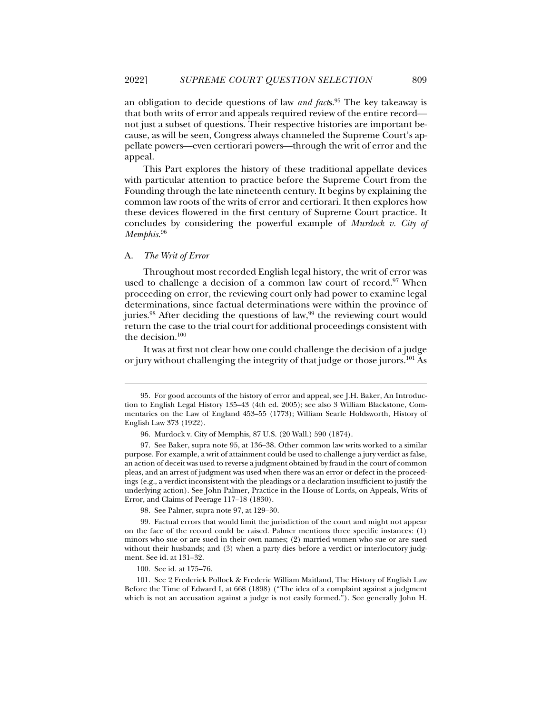an obligation to decide questions of law *and fact*s.95 The key takeaway is that both writs of error and appeals required review of the entire record not just a subset of questions. Their respective histories are important because, as will be seen, Congress always channeled the Supreme Court's appellate powers—even certiorari powers—through the writ of error and the appeal.

This Part explores the history of these traditional appellate devices with particular attention to practice before the Supreme Court from the Founding through the late nineteenth century. It begins by explaining the common law roots of the writs of error and certiorari. It then explores how these devices flowered in the first century of Supreme Court practice. It concludes by considering the powerful example of *Murdock v. City of Memphis*. 96

#### A. *The Writ of Error*

j

Throughout most recorded English legal history, the writ of error was used to challenge a decision of a common law court of record.<sup>97</sup> When proceeding on error, the reviewing court only had power to examine legal determinations, since factual determinations were within the province of juries.<sup>98</sup> After deciding the questions of law,<sup>99</sup> the reviewing court would return the case to the trial court for additional proceedings consistent with the decision.<sup>100</sup>

It was at first not clear how one could challenge the decision of a judge or jury without challenging the integrity of that judge or those jurors.101 As

98. See Palmer, supra note 97, at 129–30.

 99. Factual errors that would limit the jurisdiction of the court and might not appear on the face of the record could be raised. Palmer mentions three specific instances: (1) minors who sue or are sued in their own names; (2) married women who sue or are sued without their husbands; and (3) when a party dies before a verdict or interlocutory judgment. See id. at 131–32.

100. See id. at 175–76.

 101. See 2 Frederick Pollock & Frederic William Maitland, The History of English Law Before the Time of Edward I, at 668 (1898) ("The idea of a complaint against a judgment which is not an accusation against a judge is not easily formed."). See generally John H.

 <sup>95.</sup> For good accounts of the history of error and appeal, see J.H. Baker, An Introduction to English Legal History 135–43 (4th ed. 2005); see also 3 William Blackstone, Commentaries on the Law of England 453–55 (1773); William Searle Holdsworth, History of English Law 373 (1922).

 <sup>96.</sup> Murdock v. City of Memphis, 87 U.S. (20 Wall.) 590 (1874).

 <sup>97.</sup> See Baker, supra note 95, at 136–38. Other common law writs worked to a similar purpose. For example, a writ of attainment could be used to challenge a jury verdict as false, an action of deceit was used to reverse a judgment obtained by fraud in the court of common pleas, and an arrest of judgment was used when there was an error or defect in the proceedings (e.g., a verdict inconsistent with the pleadings or a declaration insufficient to justify the underlying action). See John Palmer, Practice in the House of Lords, on Appeals, Writs of Error, and Claims of Peerage 117–18 (1830).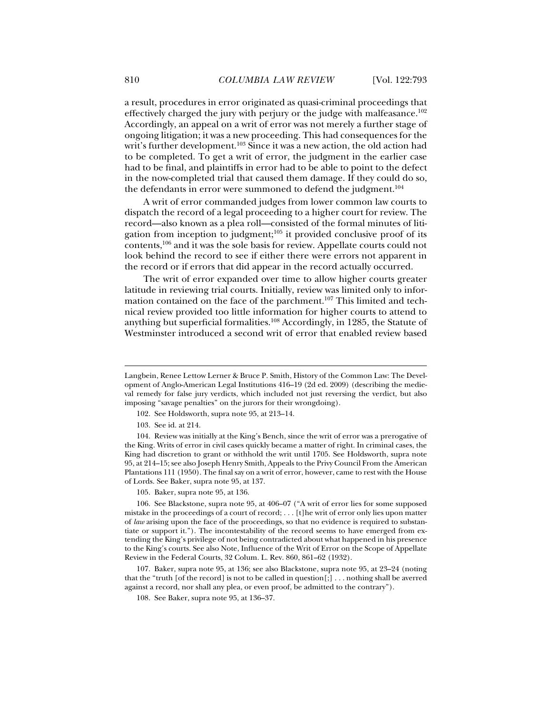a result, procedures in error originated as quasi-criminal proceedings that effectively charged the jury with perjury or the judge with malfeasance.102 Accordingly, an appeal on a writ of error was not merely a further stage of ongoing litigation; it was a new proceeding. This had consequences for the writ's further development.<sup>103</sup> Since it was a new action, the old action had to be completed. To get a writ of error, the judgment in the earlier case had to be final, and plaintiffs in error had to be able to point to the defect in the now-completed trial that caused them damage. If they could do so, the defendants in error were summoned to defend the judgment.<sup>104</sup>

A writ of error commanded judges from lower common law courts to dispatch the record of a legal proceeding to a higher court for review. The record—also known as a plea roll—consisted of the formal minutes of litigation from inception to judgment; $105$  it provided conclusive proof of its contents,106 and it was the sole basis for review. Appellate courts could not look behind the record to see if either there were errors not apparent in the record or if errors that did appear in the record actually occurred.

The writ of error expanded over time to allow higher courts greater latitude in reviewing trial courts. Initially, review was limited only to information contained on the face of the parchment.107 This limited and technical review provided too little information for higher courts to attend to anything but superficial formalities.108 Accordingly, in 1285, the Statute of Westminster introduced a second writ of error that enabled review based

Langbein, Renee Lettow Lerner & Bruce P. Smith, History of the Common Law: The Development of Anglo-American Legal Institutions 416–19 (2d ed. 2009) (describing the medieval remedy for false jury verdicts, which included not just reversing the verdict, but also imposing "savage penalties" on the jurors for their wrongdoing).

 <sup>102.</sup> See Holdsworth, supra note 95, at 213–14.

 <sup>103.</sup> See id. at 214.

 <sup>104.</sup> Review was initially at the King's Bench, since the writ of error was a prerogative of the King. Writs of error in civil cases quickly became a matter of right. In criminal cases, the King had discretion to grant or withhold the writ until 1705. See Holdsworth, supra note 95, at 214–15; see also Joseph Henry Smith, Appeals to the Privy Council From the American Plantations 111 (1950). The final say on a writ of error, however, came to rest with the House of Lords. See Baker, supra note 95, at 137.

 <sup>105.</sup> Baker, supra note 95, at 136.

 <sup>106.</sup> See Blackstone, supra note 95, at 406–07 ("A writ of error lies for some supposed mistake in the proceedings of a court of record; . . . [t]he writ of error only lies upon matter of *law* arising upon the face of the proceedings, so that no evidence is required to substantiate or support it."). The incontestability of the record seems to have emerged from extending the King's privilege of not being contradicted about what happened in his presence to the King's courts. See also Note, Influence of the Writ of Error on the Scope of Appellate Review in the Federal Courts, 32 Colum. L. Rev. 860, 861–62 (1932).

 <sup>107.</sup> Baker, supra note 95, at 136; see also Blackstone, supra note 95, at 23–24 (noting that the "truth [of the record] is not to be called in question[;] . . . nothing shall be averred against a record, nor shall any plea, or even proof, be admitted to the contrary").

 <sup>108.</sup> See Baker, supra note 95, at 136–37.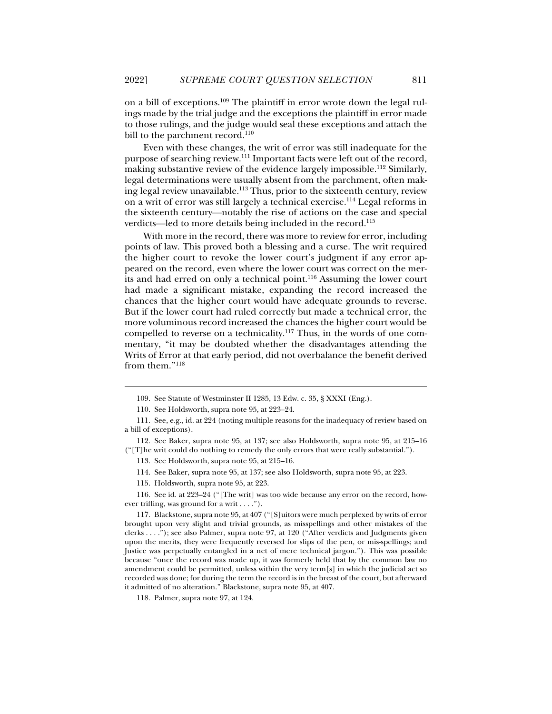on a bill of exceptions.109 The plaintiff in error wrote down the legal rulings made by the trial judge and the exceptions the plaintiff in error made to those rulings, and the judge would seal these exceptions and attach the bill to the parchment record.<sup>110</sup>

Even with these changes, the writ of error was still inadequate for the purpose of searching review.<sup>111</sup> Important facts were left out of the record, making substantive review of the evidence largely impossible.<sup>112</sup> Similarly, legal determinations were usually absent from the parchment, often making legal review unavailable.<sup>113</sup> Thus, prior to the sixteenth century, review on a writ of error was still largely a technical exercise.114 Legal reforms in the sixteenth century—notably the rise of actions on the case and special verdicts—led to more details being included in the record.<sup>115</sup>

With more in the record, there was more to review for error, including points of law. This proved both a blessing and a curse. The writ required the higher court to revoke the lower court's judgment if any error appeared on the record, even where the lower court was correct on the merits and had erred on only a technical point.116 Assuming the lower court had made a significant mistake, expanding the record increased the chances that the higher court would have adequate grounds to reverse. But if the lower court had ruled correctly but made a technical error, the more voluminous record increased the chances the higher court would be compelled to reverse on a technicality.117 Thus, in the words of one commentary, "it may be doubted whether the disadvantages attending the Writs of Error at that early period, did not overbalance the benefit derived from them."118

j

 112. See Baker, supra note 95, at 137; see also Holdsworth, supra note 95, at 215–16 ("[T]he writ could do nothing to remedy the only errors that were really substantial.").

113. See Holdsworth, supra note 95, at 215–16.

114. See Baker, supra note 95, at 137; see also Holdsworth, supra note 95, at 223.

115. Holdsworth, supra note 95, at 223.

 116. See id. at 223–24 ("[The writ] was too wide because any error on the record, however trifling, was ground for a writ . . . .").

 117. Blackstone, supra note 95, at 407 ("[S]uitors were much perplexed by writs of error brought upon very slight and trivial grounds, as misspellings and other mistakes of the clerks . . . ."); see also Palmer, supra note 97, at 120 ("After verdicts and Judgments given upon the merits, they were frequently reversed for slips of the pen, or mis-spellings; and Justice was perpetually entangled in a net of mere technical jargon."). This was possible because "once the record was made up, it was formerly held that by the common law no amendment could be permitted, unless within the very term[s] in which the judicial act so recorded was done; for during the term the record is in the breast of the court, but afterward it admitted of no alteration." Blackstone, supra note 95, at 407.

118. Palmer, supra note 97, at 124.

 <sup>109.</sup> See Statute of Westminster II 1285, 13 Edw. c. 35, § XXXI (Eng.).

 <sup>110.</sup> See Holdsworth, supra note 95, at 223–24.

 <sup>111.</sup> See, e.g., id. at 224 (noting multiple reasons for the inadequacy of review based on a bill of exceptions).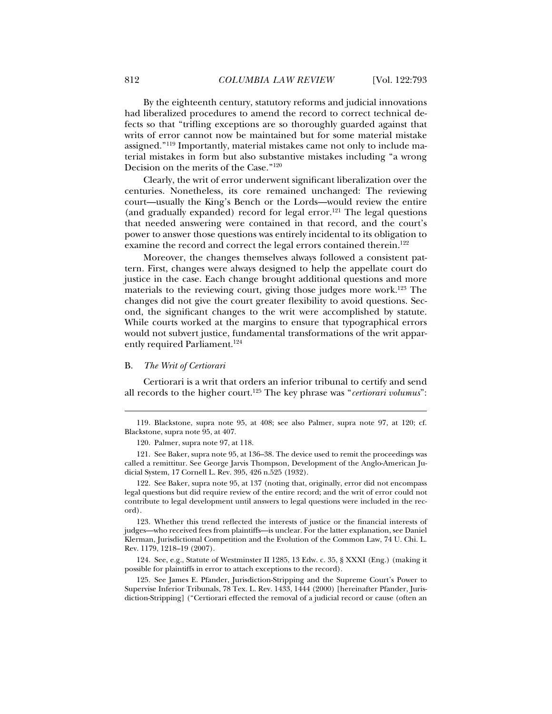By the eighteenth century, statutory reforms and judicial innovations had liberalized procedures to amend the record to correct technical defects so that "trifling exceptions are so thoroughly guarded against that writs of error cannot now be maintained but for some material mistake assigned."119 Importantly, material mistakes came not only to include material mistakes in form but also substantive mistakes including "a wrong Decision on the merits of the Case."120

Clearly, the writ of error underwent significant liberalization over the centuries. Nonetheless, its core remained unchanged: The reviewing court—usually the King's Bench or the Lords—would review the entire (and gradually expanded) record for legal error.<sup>121</sup> The legal questions that needed answering were contained in that record, and the court's power to answer those questions was entirely incidental to its obligation to examine the record and correct the legal errors contained therein.<sup>122</sup>

Moreover, the changes themselves always followed a consistent pattern. First, changes were always designed to help the appellate court do justice in the case. Each change brought additional questions and more materials to the reviewing court, giving those judges more work.123 The changes did not give the court greater flexibility to avoid questions. Second, the significant changes to the writ were accomplished by statute. While courts worked at the margins to ensure that typographical errors would not subvert justice, fundamental transformations of the writ apparently required Parliament.<sup>124</sup>

#### B. *The Writ of Certiorari*

j

Certiorari is a writ that orders an inferior tribunal to certify and send all records to the higher court.125 The key phrase was "*certiorari volumus*":

 <sup>119.</sup> Blackstone, supra note 95, at 408; see also Palmer, supra note 97, at 120; cf. Blackstone, supra note 95, at 407.

 <sup>120.</sup> Palmer, supra note 97, at 118.

 <sup>121.</sup> See Baker, supra note 95, at 136–38. The device used to remit the proceedings was called a remittitur. See George Jarvis Thompson, Development of the Anglo-American Judicial System, 17 Cornell L. Rev. 395, 426 n.525 (1932).

 <sup>122.</sup> See Baker, supra note 95, at 137 (noting that, originally, error did not encompass legal questions but did require review of the entire record; and the writ of error could not contribute to legal development until answers to legal questions were included in the record).

 <sup>123.</sup> Whether this trend reflected the interests of justice or the financial interests of judges—who received fees from plaintiffs—is unclear. For the latter explanation, see Daniel Klerman, Jurisdictional Competition and the Evolution of the Common Law, 74 U. Chi. L. Rev. 1179, 1218–19 (2007).

 <sup>124.</sup> See, e.g., Statute of Westminster II 1285, 13 Edw. c. 35, § XXXI (Eng.) (making it possible for plaintiffs in error to attach exceptions to the record).

 <sup>125.</sup> See James E. Pfander, Jurisdiction-Stripping and the Supreme Court's Power to Supervise Inferior Tribunals, 78 Tex. L. Rev. 1433, 1444 (2000) [hereinafter Pfander, Jurisdiction-Stripping] ("Certiorari effected the removal of a judicial record or cause (often an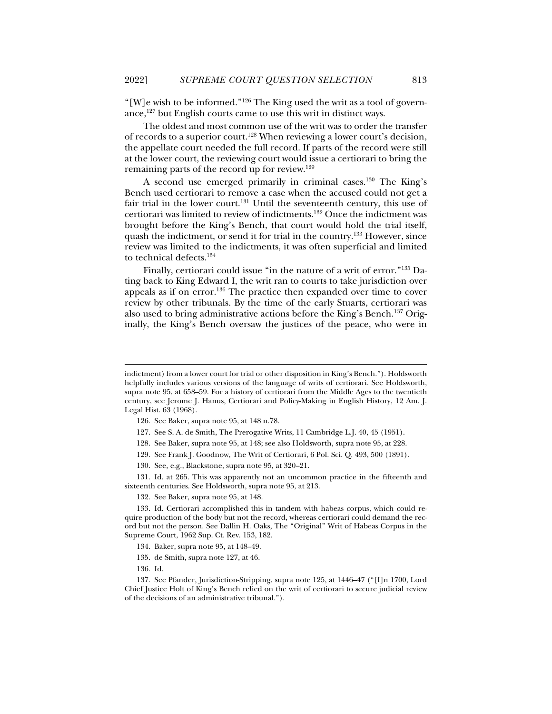"[W]e wish to be informed."126 The King used the writ as a tool of governance,127 but English courts came to use this writ in distinct ways.

The oldest and most common use of the writ was to order the transfer of records to a superior court.128 When reviewing a lower court's decision, the appellate court needed the full record. If parts of the record were still at the lower court, the reviewing court would issue a certiorari to bring the remaining parts of the record up for review.<sup>129</sup>

A second use emerged primarily in criminal cases.<sup>130</sup> The King's Bench used certiorari to remove a case when the accused could not get a fair trial in the lower court.<sup>131</sup> Until the seventeenth century, this use of certiorari was limited to review of indictments.132 Once the indictment was brought before the King's Bench, that court would hold the trial itself, quash the indictment, or send it for trial in the country.133 However, since review was limited to the indictments, it was often superficial and limited to technical defects. $134$ 

Finally, certiorari could issue "in the nature of a writ of error."<sup>135</sup> Dating back to King Edward I, the writ ran to courts to take jurisdiction over appeals as if on error.136 The practice then expanded over time to cover review by other tribunals. By the time of the early Stuarts, certiorari was also used to bring administrative actions before the King's Bench.137 Originally, the King's Bench oversaw the justices of the peace, who were in

- 127. See S. A. de Smith, The Prerogative Writs, 11 Cambridge L.J. 40, 45 (1951).
- 128. See Baker, supra note 95, at 148; see also Holdsworth, supra note 95, at 228.
- 129. See Frank J. Goodnow, The Writ of Certiorari, 6 Pol. Sci. Q. 493, 500 (1891).
- 130. See*,* e.g., Blackstone, supra note 95, at 320–21.

 131. Id. at 265. This was apparently not an uncommon practice in the fifteenth and sixteenth centuries. See Holdsworth, supra note 95, at 213.

132. See Baker, supra note 95, at 148.

 133. Id. Certiorari accomplished this in tandem with habeas corpus, which could require production of the body but not the record, whereas certiorari could demand the record but not the person. See Dallin H. Oaks, The "Original" Writ of Habeas Corpus in the Supreme Court, 1962 Sup. Ct. Rev. 153, 182.

- 134. Baker, supra note 95, at 148–49.
- 135. de Smith, supra note 127, at 46.
- 136. Id.

j

 137. See Pfander, Jurisdiction-Stripping, supra note 125, at 1446–47 ("[I]n 1700, Lord Chief Justice Holt of King's Bench relied on the writ of certiorari to secure judicial review of the decisions of an administrative tribunal.").

indictment) from a lower court for trial or other disposition in King's Bench."). Holdsworth helpfully includes various versions of the language of writs of certiorari. See Holdsworth, supra note 95, at 658–59. For a history of certiorari from the Middle Ages to the twentieth century, see Jerome J. Hanus, Certiorari and Policy-Making in English History, 12 Am. J. Legal Hist. 63 (1968).

 <sup>126.</sup> See Baker, supra note 95, at 148 n.78.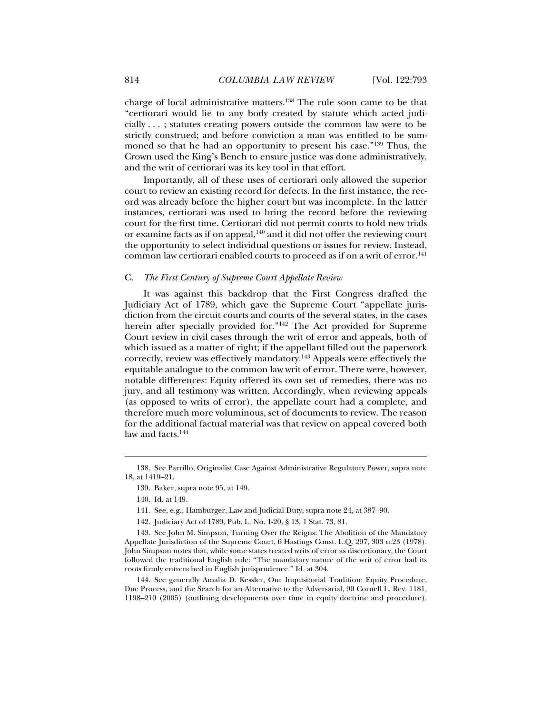charge of local administrative matters.138 The rule soon came to be that "certiorari would lie to any body created by statute which acted judicially . . . ; statutes creating powers outside the common law were to be strictly construed; and before conviction a man was entitled to be summoned so that he had an opportunity to present his case."139 Thus, the Crown used the King's Bench to ensure justice was done administratively, and the writ of certiorari was its key tool in that effort.

Importantly, all of these uses of certiorari only allowed the superior court to review an existing record for defects. In the first instance, the record was already before the higher court but was incomplete. In the latter instances, certiorari was used to bring the record before the reviewing court for the first time. Certiorari did not permit courts to hold new trials or examine facts as if on appeal, $140$  and it did not offer the reviewing court the opportunity to select individual questions or issues for review. Instead, common law certiorari enabled courts to proceed as if on a writ of error.<sup>141</sup>

#### C. *The First Century of Supreme Court Appellate Review*

It was against this backdrop that the First Congress drafted the Judiciary Act of 1789, which gave the Supreme Court "appellate jurisdiction from the circuit courts and courts of the several states, in the cases herein after specially provided for."<sup>142</sup> The Act provided for Supreme Court review in civil cases through the writ of error and appeals, both of which issued as a matter of right; if the appellant filled out the paperwork correctly, review was effectively mandatory.143 Appeals were effectively the equitable analogue to the common law writ of error. There were, however, notable differences: Equity offered its own set of remedies, there was no jury, and all testimony was written. Accordingly, when reviewing appeals (as opposed to writs of error), the appellate court had a complete, and therefore much more voluminous, set of documents to review. The reason for the additional factual material was that review on appeal covered both law and facts.<sup>144</sup>

 <sup>138.</sup> See Parrillo, Originalist Case Against Administrative Regulatory Power, supra note 18, at 1419–21.

 <sup>139.</sup> Baker, supra note 95, at 149.

 <sup>140.</sup> Id. at 149.

 <sup>141.</sup> See, e.g., Hamburger, Law and Judicial Duty, supra note 24, at 387–90.

 <sup>142.</sup> Judiciary Act of 1789, Pub. L. No. 1-20, § 13, 1 Stat. 73, 81.

 <sup>143.</sup> See John M. Simpson, Turning Over the Reigns: The Abolition of the Mandatory Appellate Jurisdiction of the Supreme Court, 6 Hastings Const. L.Q. 297, 303 n.23 (1978). John Simpson notes that, while some states treated writs of error as discretionary, the Court followed the traditional English rule: "The mandatory nature of the writ of error had its roots firmly entrenched in English jurisprudence." Id. at 304.

 <sup>144.</sup> See generally Amalia D. Kessler, Our Inquisitorial Tradition: Equity Procedure, Due Process, and the Search for an Alternative to the Adversarial, 90 Cornell L. Rev. 1181, 1198–210 (2005) (outlining developments over time in equity doctrine and procedure).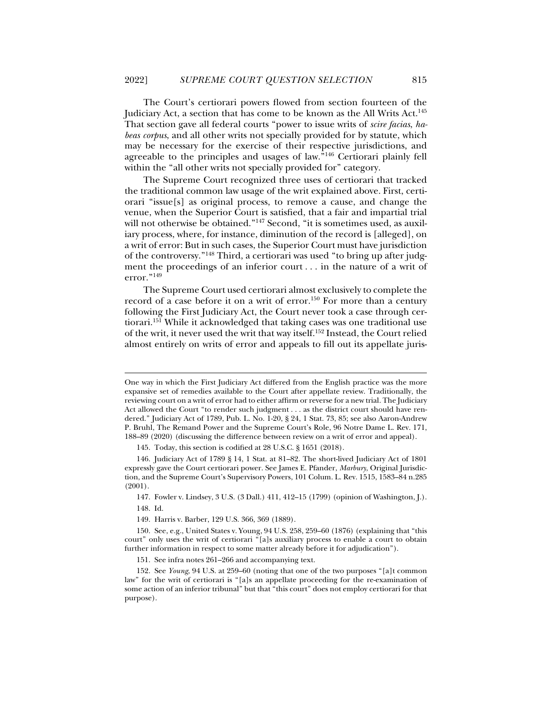The Court's certiorari powers flowed from section fourteen of the Judiciary Act, a section that has come to be known as the All Writs Act.145 That section gave all federal courts "power to issue writs of *scire facias*, *habeas corpus*, and all other writs not specially provided for by statute, which may be necessary for the exercise of their respective jurisdictions, and agreeable to the principles and usages of law."146 Certiorari plainly fell within the "all other writs not specially provided for" category.

The Supreme Court recognized three uses of certiorari that tracked the traditional common law usage of the writ explained above. First, certiorari "issue[s] as original process, to remove a cause, and change the venue, when the Superior Court is satisfied, that a fair and impartial trial will not otherwise be obtained."<sup>147</sup> Second, "it is sometimes used, as auxiliary process, where, for instance, diminution of the record is [alleged], on a writ of error: But in such cases, the Superior Court must have jurisdiction of the controversy."148 Third, a certiorari was used "to bring up after judgment the proceedings of an inferior court . . . in the nature of a writ of error."<sup>149</sup>

The Supreme Court used certiorari almost exclusively to complete the record of a case before it on a writ of error.<sup>150</sup> For more than a century following the First Judiciary Act, the Court never took a case through certiorari.<sup>151</sup> While it acknowledged that taking cases was one traditional use of the writ, it never used the writ that way itself.152 Instead, the Court relied almost entirely on writs of error and appeals to fill out its appellate juris-

One way in which the First Judiciary Act differed from the English practice was the more expansive set of remedies available to the Court after appellate review. Traditionally, the reviewing court on a writ of error had to either affirm or reverse for a new trial. The Judiciary Act allowed the Court "to render such judgment . . . as the district court should have rendered." Judiciary Act of 1789, Pub. L. No. 1-20, § 24, 1 Stat. 73, 85; see also Aaron-Andrew P. Bruhl, The Remand Power and the Supreme Court's Role, 96 Notre Dame L. Rev. 171, 188–89 (2020) (discussing the difference between review on a writ of error and appeal).

 <sup>145.</sup> Today, this section is codified at 28 U.S.C. § 1651 (2018).

 <sup>146.</sup> Judiciary Act of 1789 § 14, 1 Stat. at 81–82. The short-lived Judiciary Act of 1801 expressly gave the Court certiorari power. See James E. Pfander, *Marbury*, Original Jurisdiction, and the Supreme Court's Supervisory Powers, 101 Colum. L. Rev. 1515, 1583–84 n.285 (2001).

 <sup>147.</sup> Fowler v. Lindsey, 3 U.S. (3 Dall.) 411, 412–15 (1799) (opinion of Washington, J.). 148. Id.

 <sup>149.</sup> Harris v. Barber, 129 U.S. 366, 369 (1889).

 <sup>150.</sup> See, e.g., United States v. Young, 94 U.S. 258, 259–60 (1876) (explaining that "this court" only uses the writ of certiorari "[a]s auxiliary process to enable a court to obtain further information in respect to some matter already before it for adjudication").

 <sup>151.</sup> See infra notes 261–266 and accompanying text.

 <sup>152.</sup> See *Young*, 94 U.S. at 259–60 (noting that one of the two purposes "[a]t common law" for the writ of certiorari is "[a]s an appellate proceeding for the re-examination of some action of an inferior tribunal" but that "this court" does not employ certiorari for that purpose).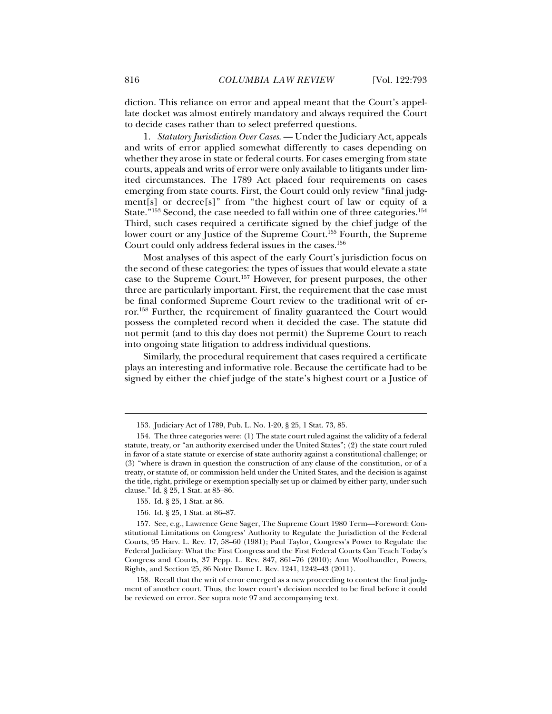diction. This reliance on error and appeal meant that the Court's appellate docket was almost entirely mandatory and always required the Court to decide cases rather than to select preferred questions.

1. *Statutory Jurisdiction Over Cases*. — Under the Judiciary Act, appeals and writs of error applied somewhat differently to cases depending on whether they arose in state or federal courts. For cases emerging from state courts, appeals and writs of error were only available to litigants under limited circumstances. The 1789 Act placed four requirements on cases emerging from state courts. First, the Court could only review "final judgment[s] or decree[s]" from "the highest court of law or equity of a State."<sup>153</sup> Second, the case needed to fall within one of three categories.<sup>154</sup> Third, such cases required a certificate signed by the chief judge of the lower court or any Justice of the Supreme Court.<sup>155</sup> Fourth, the Supreme Court could only address federal issues in the cases.<sup>156</sup>

Most analyses of this aspect of the early Court's jurisdiction focus on the second of these categories: the types of issues that would elevate a state case to the Supreme Court.157 However, for present purposes, the other three are particularly important. First, the requirement that the case must be final conformed Supreme Court review to the traditional writ of error.158 Further, the requirement of finality guaranteed the Court would possess the completed record when it decided the case. The statute did not permit (and to this day does not permit) the Supreme Court to reach into ongoing state litigation to address individual questions.

Similarly, the procedural requirement that cases required a certificate plays an interesting and informative role. Because the certificate had to be signed by either the chief judge of the state's highest court or a Justice of

155. Id. § 25, 1 Stat. at 86.

j

156. Id. § 25, 1 Stat. at 86–87.

 <sup>153.</sup> Judiciary Act of 1789, Pub. L. No. 1-20, § 25, 1 Stat. 73, 85.

 <sup>154.</sup> The three categories were: (1) The state court ruled against the validity of a federal statute, treaty, or "an authority exercised under the United States"; (2) the state court ruled in favor of a state statute or exercise of state authority against a constitutional challenge; or (3) "where is drawn in question the construction of any clause of the constitution, or of a treaty, or statute of, or commission held under the United States, and the decision is against the title, right, privilege or exemption specially set up or claimed by either party, under such clause." Id. § 25, 1 Stat. at 85–86.

 <sup>157.</sup> See, e.g., Lawrence Gene Sager, The Supreme Court 1980 Term—Foreword: Constitutional Limitations on Congress' Authority to Regulate the Jurisdiction of the Federal Courts, 95 Harv. L. Rev. 17, 58–60 (1981); Paul Taylor, Congress's Power to Regulate the Federal Judiciary: What the First Congress and the First Federal Courts Can Teach Today's Congress and Courts, 37 Pepp. L. Rev. 847, 861–76 (2010); Ann Woolhandler, Powers, Rights, and Section 25, 86 Notre Dame L. Rev. 1241, 1242–43 (2011).

 <sup>158.</sup> Recall that the writ of error emerged as a new proceeding to contest the final judgment of another court. Thus, the lower court's decision needed to be final before it could be reviewed on error. See supra note 97 and accompanying text.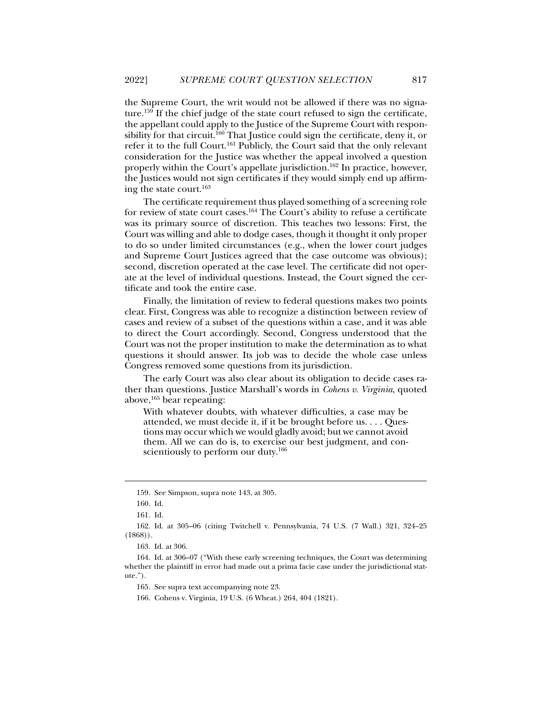the Supreme Court, the writ would not be allowed if there was no signature.159 If the chief judge of the state court refused to sign the certificate, the appellant could apply to the Justice of the Supreme Court with responsibility for that circuit.<sup>160</sup> That Justice could sign the certificate, deny it, or refer it to the full Court.161 Publicly, the Court said that the only relevant consideration for the Justice was whether the appeal involved a question properly within the Court's appellate jurisdiction.<sup>162</sup> In practice, however, the Justices would not sign certificates if they would simply end up affirming the state court.163

The certificate requirement thus played something of a screening role for review of state court cases.164 The Court's ability to refuse a certificate was its primary source of discretion. This teaches two lessons: First, the Court was willing and able to dodge cases, though it thought it only proper to do so under limited circumstances (e.g., when the lower court judges and Supreme Court Justices agreed that the case outcome was obvious); second, discretion operated at the case level. The certificate did not operate at the level of individual questions. Instead, the Court signed the certificate and took the entire case.

Finally, the limitation of review to federal questions makes two points clear. First, Congress was able to recognize a distinction between review of cases and review of a subset of the questions within a case, and it was able to direct the Court accordingly. Second, Congress understood that the Court was not the proper institution to make the determination as to what questions it should answer. Its job was to decide the whole case unless Congress removed some questions from its jurisdiction.

The early Court was also clear about its obligation to decide cases rather than questions. Justice Marshall's words in *Cohens v. Virginia*, quoted above, $165$  bear repeating:

With whatever doubts, with whatever difficulties, a case may be attended, we must decide it, if it be brought before us. . . . Questions may occur which we would gladly avoid; but we cannot avoid them. All we can do is, to exercise our best judgment, and conscientiously to perform our duty.<sup>166</sup>

 <sup>159.</sup> See Simpson, supra note 143, at 305.

 <sup>160.</sup> Id.

 <sup>161.</sup> Id.

 <sup>162.</sup> Id. at 305–06 (citing Twitchell v. Pennsylvania, 74 U.S. (7 Wall.) 321, 324–25  $(1868)$ ).

 <sup>163.</sup> Id. at 306.

 <sup>164.</sup> Id. at 306–07 ("With these early screening techniques, the Court was determining whether the plaintiff in error had made out a prima facie case under the jurisdictional statute.").

 <sup>165.</sup> See supra text accompanying note 23.

 <sup>166.</sup> Cohens v. Virginia, 19 U.S. (6 Wheat.) 264, 404 (1821).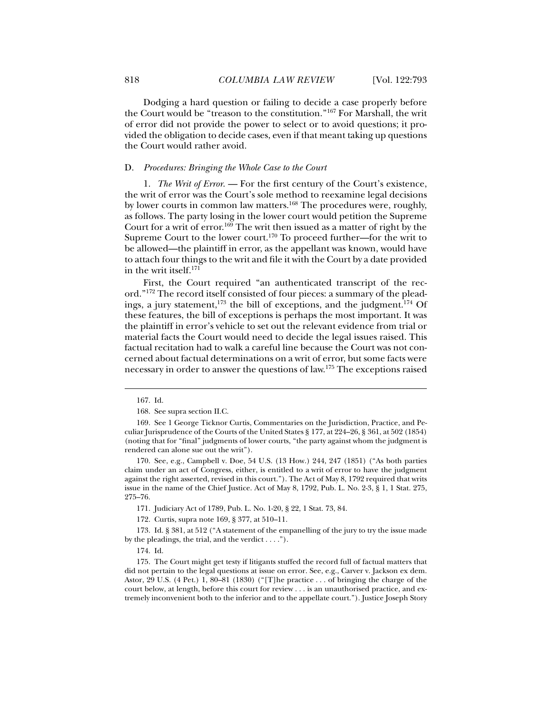Dodging a hard question or failing to decide a case properly before the Court would be "treason to the constitution."167 For Marshall, the writ of error did not provide the power to select or to avoid questions; it provided the obligation to decide cases, even if that meant taking up questions the Court would rather avoid.

#### D. *Procedures: Bringing the Whole Case to the Court*

1. *The Writ of Error*. — For the first century of the Court's existence, the writ of error was the Court's sole method to reexamine legal decisions by lower courts in common law matters.<sup>168</sup> The procedures were, roughly, as follows. The party losing in the lower court would petition the Supreme Court for a writ of error.169 The writ then issued as a matter of right by the Supreme Court to the lower court.<sup>170</sup> To proceed further—for the writ to be allowed—the plaintiff in error, as the appellant was known, would have to attach four things to the writ and file it with the Court by a date provided in the writ itself.171

First, the Court required "an authenticated transcript of the record."172 The record itself consisted of four pieces: a summary of the pleadings, a jury statement,<sup>173</sup> the bill of exceptions, and the judgment.<sup>174</sup> Of these features, the bill of exceptions is perhaps the most important. It was the plaintiff in error's vehicle to set out the relevant evidence from trial or material facts the Court would need to decide the legal issues raised. This factual recitation had to walk a careful line because the Court was not concerned about factual determinations on a writ of error, but some facts were necessary in order to answer the questions of law.175 The exceptions raised

j

171. Judiciary Act of 1789, Pub. L. No. 1-20, § 22, 1 Stat. 73, 84.

172. Curtis, supra note 169, § 377, at 510–11.

 173. Id. § 381, at 512 ("A statement of the empanelling of the jury to try the issue made by the pleadings, the trial, and the verdict . . . .").

 <sup>167.</sup> Id.

 <sup>168.</sup> See supra section II.C.

 <sup>169.</sup> See 1 George Ticknor Curtis, Commentaries on the Jurisdiction, Practice, and Peculiar Jurisprudence of the Courts of the United States § 177, at 224–26, § 361, at 502 (1854) (noting that for "final" judgments of lower courts, "the party against whom the judgment is rendered can alone sue out the writ").

 <sup>170.</sup> See, e.g., Campbell v. Doe, 54 U.S. (13 How.) 244, 247 (1851) ("As both parties claim under an act of Congress, either, is entitled to a writ of error to have the judgment against the right asserted, revised in this court."). The Act of May 8, 1792 required that writs issue in the name of the Chief Justice. Act of May 8, 1792, Pub. L. No. 2-3, § 1, 1 Stat. 275, 275–76.

 <sup>174.</sup> Id.

 <sup>175.</sup> The Court might get testy if litigants stuffed the record full of factual matters that did not pertain to the legal questions at issue on error. See, e.g., Carver v. Jackson ex dem. Astor, 29 U.S. (4 Pet.) 1, 80–81 (1830) ("[T]he practice . . . of bringing the charge of the court below, at length, before this court for review . . . is an unauthorised practice, and extremely inconvenient both to the inferior and to the appellate court."). Justice Joseph Story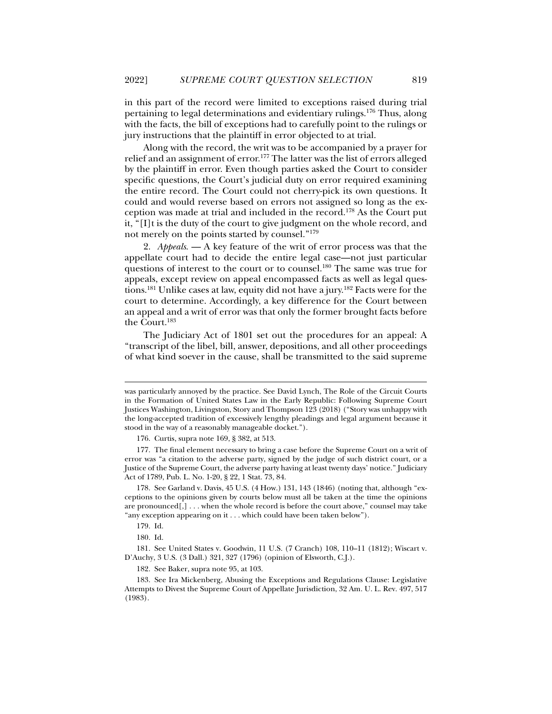in this part of the record were limited to exceptions raised during trial pertaining to legal determinations and evidentiary rulings.176 Thus, along with the facts, the bill of exceptions had to carefully point to the rulings or jury instructions that the plaintiff in error objected to at trial.

Along with the record, the writ was to be accompanied by a prayer for relief and an assignment of error.<sup>177</sup> The latter was the list of errors alleged by the plaintiff in error. Even though parties asked the Court to consider specific questions, the Court's judicial duty on error required examining the entire record. The Court could not cherry-pick its own questions. It could and would reverse based on errors not assigned so long as the exception was made at trial and included in the record.178 As the Court put it, "[I]t is the duty of the court to give judgment on the whole record, and not merely on the points started by counsel."179

2. *Appeals*. — A key feature of the writ of error process was that the appellate court had to decide the entire legal case—not just particular questions of interest to the court or to counsel.<sup>180</sup> The same was true for appeals, except review on appeal encompassed facts as well as legal questions.181 Unlike cases at law, equity did not have a jury.182 Facts were for the court to determine. Accordingly, a key difference for the Court between an appeal and a writ of error was that only the former brought facts before the Court.183

The Judiciary Act of 1801 set out the procedures for an appeal: A "transcript of the libel, bill, answer, depositions, and all other proceedings of what kind soever in the cause, shall be transmitted to the said supreme

 $\ddot{ }$ 

was particularly annoyed by the practice. See David Lynch, The Role of the Circuit Courts in the Formation of United States Law in the Early Republic: Following Supreme Court Justices Washington, Livingston, Story and Thompson 123 (2018) ("Story was unhappy with the long-accepted tradition of excessively lengthy pleadings and legal argument because it stood in the way of a reasonably manageable docket.").

 <sup>176.</sup> Curtis, supra note 169, § 382, at 513.

 <sup>177.</sup> The final element necessary to bring a case before the Supreme Court on a writ of error was "a citation to the adverse party, signed by the judge of such district court, or a Justice of the Supreme Court, the adverse party having at least twenty days' notice." Judiciary Act of 1789, Pub. L. No. 1-20, § 22, 1 Stat. 73, 84.

 <sup>178.</sup> See Garland v. Davis, 45 U.S. (4 How.) 131, 143 (1846) (noting that, although "exceptions to the opinions given by courts below must all be taken at the time the opinions are pronounced[,] . . . when the whole record is before the court above," counsel may take "any exception appearing on it . . . which could have been taken below").

 <sup>179.</sup> Id.

 <sup>180.</sup> Id.

 <sup>181.</sup> See United States v. Goodwin, 11 U.S. (7 Cranch) 108, 110–11 (1812); Wiscart v. D'Auchy, 3 U.S. (3 Dall.) 321, 327 (1796) (opinion of Elsworth, C.J.).

 <sup>182.</sup> See Baker, supra note 95, at 103.

 <sup>183.</sup> See Ira Mickenberg, Abusing the Exceptions and Regulations Clause: Legislative Attempts to Divest the Supreme Court of Appellate Jurisdiction, 32 Am. U. L. Rev. 497, 517 (1983).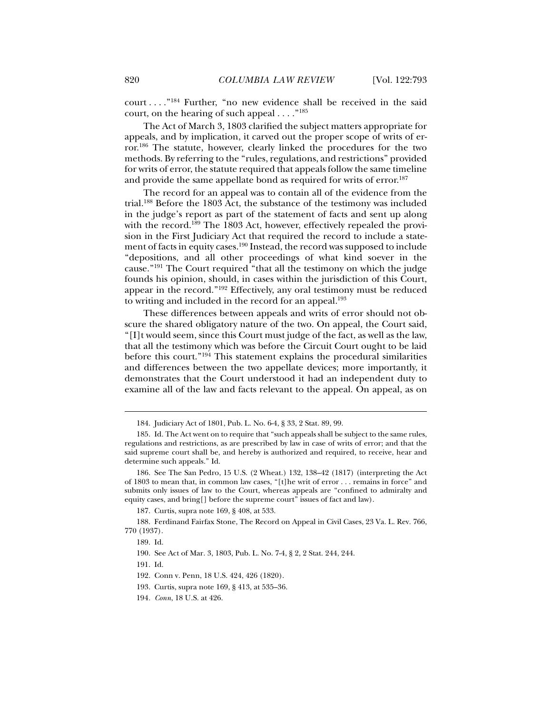court . . . ."184 Further, "no new evidence shall be received in the said court, on the hearing of such appeal . . . ."185

The Act of March 3, 1803 clarified the subject matters appropriate for appeals, and by implication, it carved out the proper scope of writs of error.186 The statute, however, clearly linked the procedures for the two methods. By referring to the "rules, regulations, and restrictions" provided for writs of error, the statute required that appeals follow the same timeline and provide the same appellate bond as required for writs of error.<sup>187</sup>

The record for an appeal was to contain all of the evidence from the trial.188 Before the 1803 Act, the substance of the testimony was included in the judge's report as part of the statement of facts and sent up along with the record.<sup>189</sup> The 1803 Act, however, effectively repealed the provision in the First Judiciary Act that required the record to include a statement of facts in equity cases.<sup>190</sup> Instead, the record was supposed to include "depositions, and all other proceedings of what kind soever in the cause."191 The Court required "that all the testimony on which the judge founds his opinion, should, in cases within the jurisdiction of this Court, appear in the record."192 Effectively, any oral testimony must be reduced to writing and included in the record for an appeal.<sup>193</sup>

These differences between appeals and writs of error should not obscure the shared obligatory nature of the two. On appeal, the Court said, "[I]t would seem, since this Court must judge of the fact, as well as the law, that all the testimony which was before the Circuit Court ought to be laid before this court."194 This statement explains the procedural similarities and differences between the two appellate devices; more importantly, it demonstrates that the Court understood it had an independent duty to examine all of the law and facts relevant to the appeal. On appeal, as on

 <sup>184.</sup> Judiciary Act of 1801, Pub. L. No. 6-4, § 33, 2 Stat. 89, 99.

 <sup>185.</sup> Id. The Act went on to require that "such appeals shall be subject to the same rules, regulations and restrictions, as are prescribed by law in case of writs of error; and that the said supreme court shall be, and hereby is authorized and required, to receive, hear and determine such appeals." Id.

 <sup>186.</sup> See The San Pedro, 15 U.S. (2 Wheat.) 132, 138–42 (1817) (interpreting the Act of 1803 to mean that, in common law cases, "[t]he writ of error . . . remains in force" and submits only issues of law to the Court, whereas appeals are "confined to admiralty and equity cases, and bring[] before the supreme court" issues of fact and law).

 <sup>187.</sup> Curtis, supra note 169, § 408, at 533.

 <sup>188.</sup> Ferdinand Fairfax Stone, The Record on Appeal in Civil Cases, 23 Va. L. Rev. 766, 770 (1937).

 <sup>189.</sup> Id.

 <sup>190.</sup> See Act of Mar. 3, 1803, Pub. L. No. 7-4, § 2, 2 Stat. 244, 244.

 <sup>191.</sup> Id.

 <sup>192.</sup> Conn v. Penn, 18 U.S. 424, 426 (1820).

 <sup>193.</sup> Curtis, supra note 169, § 413, at 535–36.

<sup>194</sup>*. Conn*, 18 U.S. at 426.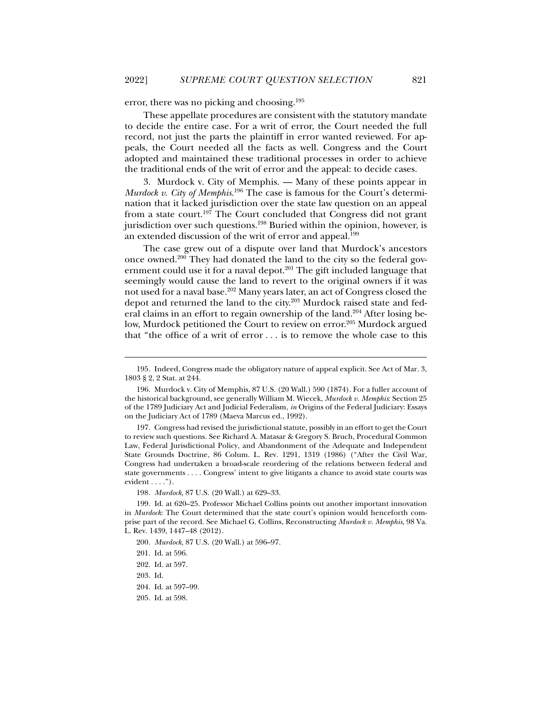error, there was no picking and choosing.195

These appellate procedures are consistent with the statutory mandate to decide the entire case. For a writ of error, the Court needed the full record, not just the parts the plaintiff in error wanted reviewed. For appeals, the Court needed all the facts as well. Congress and the Court adopted and maintained these traditional processes in order to achieve the traditional ends of the writ of error and the appeal: to decide cases.

3. Murdock v. City of Memphis. — Many of these points appear in *Murdock v. City of Memphis*. 196 The case is famous for the Court's determination that it lacked jurisdiction over the state law question on an appeal from a state court.<sup>197</sup> The Court concluded that Congress did not grant jurisdiction over such questions.<sup>198</sup> Buried within the opinion, however, is an extended discussion of the writ of error and appeal.199

The case grew out of a dispute over land that Murdock's ancestors once owned.200 They had donated the land to the city so the federal government could use it for a naval depot.<sup>201</sup> The gift included language that seemingly would cause the land to revert to the original owners if it was not used for a naval base.202 Many years later, an act of Congress closed the depot and returned the land to the city.<sup>203</sup> Murdock raised state and federal claims in an effort to regain ownership of the land.<sup>204</sup> After losing below, Murdock petitioned the Court to review on error.<sup>205</sup> Murdock argued that "the office of a writ of error . . . is to remove the whole case to this

 <sup>195.</sup> Indeed, Congress made the obligatory nature of appeal explicit. See Act of Mar. 3, 1803 § 2, 2 Stat. at 244.

 <sup>196.</sup> Murdock v. City of Memphis, 87 U.S. (20 Wall.) 590 (1874). For a fuller account of the historical background, see generally William M. Wiecek, *Murdock v. Memphis*: Section 25 of the 1789 Judiciary Act and Judicial Federalism, *in* Origins of the Federal Judiciary: Essays on the Judiciary Act of 1789 (Maeva Marcus ed., 1992).

 <sup>197.</sup> Congress had revised the jurisdictional statute, possibly in an effort to get the Court to review such questions. See Richard A. Matasar & Gregory S. Bruch, Procedural Common Law, Federal Jurisdictional Policy, and Abandonment of the Adequate and Independent State Grounds Doctrine, 86 Colum. L. Rev. 1291, 1319 (1986) ("After the Civil War, Congress had undertaken a broad-scale reordering of the relations between federal and state governments . . . . Congress' intent to give litigants a chance to avoid state courts was evident  $\dots$ .").

<sup>198</sup>*. Murdock*, 87 U.S. (20 Wall.) at 629–33.

 <sup>199.</sup> Id. at 620–25. Professor Michael Collins points out another important innovation in *Murdock*: The Court determined that the state court's opinion would henceforth comprise part of the record. See Michael G. Collins, Reconstructing *Murdock v. Memphis*, 98 Va. L. Rev. 1439, 1447–48 (2012).

<sup>200</sup>*. Murdock*, 87 U.S. (20 Wall.) at 596–97.

 <sup>201.</sup> Id. at 596.

 <sup>202.</sup> Id. at 597.

 <sup>203.</sup> Id.

 <sup>204.</sup> Id. at 597–99.

 <sup>205.</sup> Id. at 598.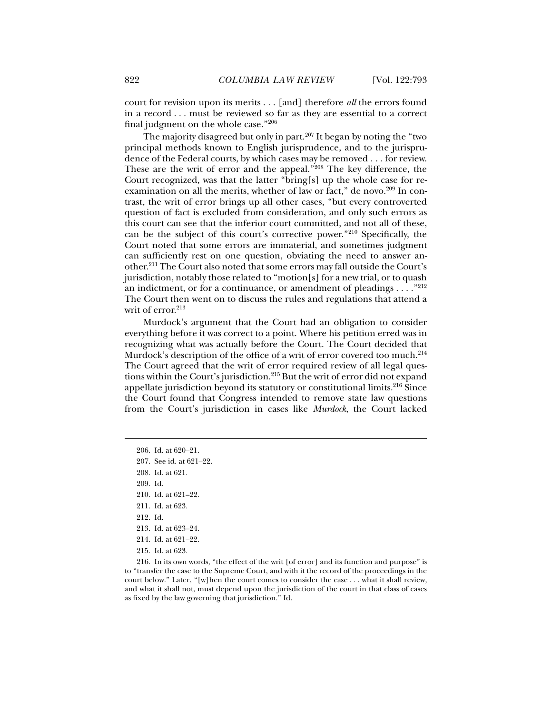court for revision upon its merits . . . [and] therefore *all* the errors found in a record . . . must be reviewed so far as they are essential to a correct final judgment on the whole case."206

The majority disagreed but only in part. $207$  It began by noting the "two principal methods known to English jurisprudence, and to the jurisprudence of the Federal courts, by which cases may be removed . . . for review. These are the writ of error and the appeal."<sup>208</sup> The key difference, the Court recognized, was that the latter "bring[s] up the whole case for reexamination on all the merits, whether of law or fact," de novo.<sup>209</sup> In contrast, the writ of error brings up all other cases, "but every controverted question of fact is excluded from consideration, and only such errors as this court can see that the inferior court committed, and not all of these, can be the subject of this court's corrective power."210 Specifically, the Court noted that some errors are immaterial, and sometimes judgment can sufficiently rest on one question, obviating the need to answer another.211 The Court also noted that some errors may fall outside the Court's jurisdiction, notably those related to "motion[s] for a new trial, or to quash an indictment, or for a continuance, or amendment of pleadings  $\dots$ ."<sup>212</sup> The Court then went on to discuss the rules and regulations that attend a writ of error.<sup>213</sup>

Murdock's argument that the Court had an obligation to consider everything before it was correct to a point. Where his petition erred was in recognizing what was actually before the Court. The Court decided that Murdock's description of the office of a writ of error covered too much.<sup>214</sup> The Court agreed that the writ of error required review of all legal questions within the Court's jurisdiction.215 But the writ of error did not expand appellate jurisdiction beyond its statutory or constitutional limits.216 Since the Court found that Congress intended to remove state law questions from the Court's jurisdiction in cases like *Murdock*, the Court lacked

j

211. Id. at 623.

215. Id. at 623.

 <sup>206.</sup> Id. at 620–21.

 <sup>207.</sup> See id. at 621–22.

 <sup>208.</sup> Id. at 621.

 <sup>209.</sup> Id.

 <sup>210.</sup> Id. at 621–22.

 <sup>212.</sup> Id.

 <sup>213.</sup> Id. at 623–24.

 <sup>214.</sup> Id. at 621–22.

 <sup>216.</sup> In its own words, "the effect of the writ [of error] and its function and purpose" is to "transfer the case to the Supreme Court, and with it the record of the proceedings in the court below." Later, "[w]hen the court comes to consider the case . . . what it shall review, and what it shall not, must depend upon the jurisdiction of the court in that class of cases as fixed by the law governing that jurisdiction." Id.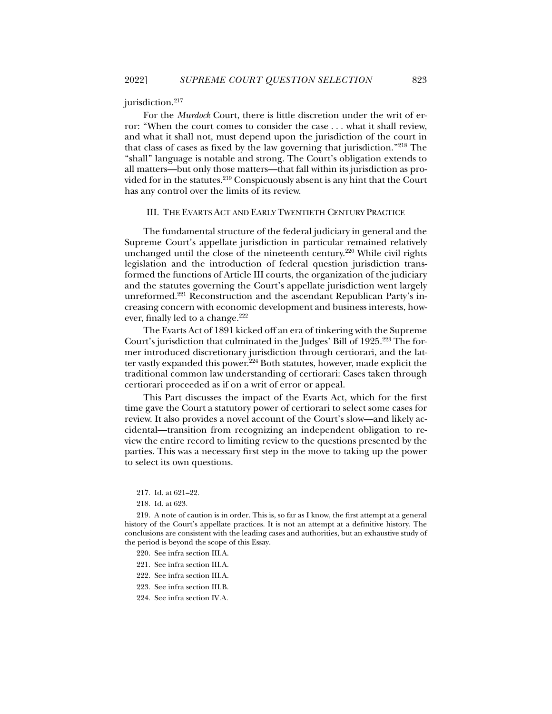#### jurisdiction.<sup>217</sup>

For the *Murdock* Court, there is little discretion under the writ of error: "When the court comes to consider the case . . . what it shall review, and what it shall not, must depend upon the jurisdiction of the court in that class of cases as fixed by the law governing that jurisdiction."218 The "shall" language is notable and strong. The Court's obligation extends to all matters—but only those matters—that fall within its jurisdiction as provided for in the statutes.<sup>219</sup> Conspicuously absent is any hint that the Court has any control over the limits of its review.

#### III. THE EVARTS ACT AND EARLY TWENTIETH CENTURY PRACTICE

The fundamental structure of the federal judiciary in general and the Supreme Court's appellate jurisdiction in particular remained relatively unchanged until the close of the nineteenth century.<sup>220</sup> While civil rights legislation and the introduction of federal question jurisdiction transformed the functions of Article III courts, the organization of the judiciary and the statutes governing the Court's appellate jurisdiction went largely unreformed.<sup>221</sup> Reconstruction and the ascendant Republican Party's increasing concern with economic development and business interests, however, finally led to a change.<sup>222</sup>

The Evarts Act of 1891 kicked off an era of tinkering with the Supreme Court's jurisdiction that culminated in the Judges' Bill of 1925.223 The former introduced discretionary jurisdiction through certiorari, and the latter vastly expanded this power.<sup>224</sup> Both statutes, however, made explicit the traditional common law understanding of certiorari: Cases taken through certiorari proceeded as if on a writ of error or appeal.

This Part discusses the impact of the Evarts Act, which for the first time gave the Court a statutory power of certiorari to select some cases for review. It also provides a novel account of the Court's slow—and likely accidental—transition from recognizing an independent obligation to review the entire record to limiting review to the questions presented by the parties. This was a necessary first step in the move to taking up the power to select its own questions.

- 220. See infra section III.A.
- 221. See infra section III.A.
- 222. See infra section III.A.
- 223. See infra section III.B.
- 224. See infra section IV.A.

 <sup>217.</sup> Id. at 621–22.

 <sup>218.</sup> Id. at 623.

 <sup>219.</sup> A note of caution is in order. This is, so far as I know, the first attempt at a general history of the Court's appellate practices. It is not an attempt at a definitive history. The conclusions are consistent with the leading cases and authorities, but an exhaustive study of the period is beyond the scope of this Essay.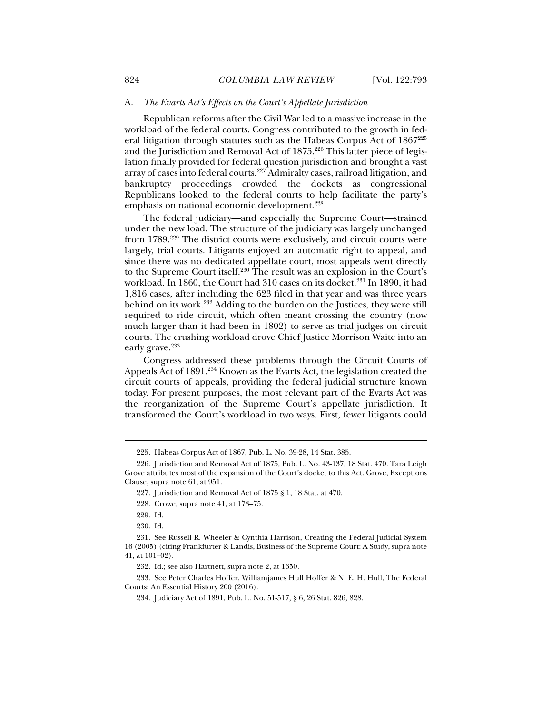#### A. *The Evarts Act's Effects on the Court's Appellate Jurisdiction*

Republican reforms after the Civil War led to a massive increase in the workload of the federal courts. Congress contributed to the growth in federal litigation through statutes such as the Habeas Corpus Act of 1867225 and the Jurisdiction and Removal Act of 1875.<sup>226</sup> This latter piece of legislation finally provided for federal question jurisdiction and brought a vast array of cases into federal courts.227 Admiralty cases, railroad litigation, and bankruptcy proceedings crowded the dockets as congressional Republicans looked to the federal courts to help facilitate the party's emphasis on national economic development.<sup>228</sup>

The federal judiciary—and especially the Supreme Court—strained under the new load. The structure of the judiciary was largely unchanged from 1789.229 The district courts were exclusively, and circuit courts were largely, trial courts. Litigants enjoyed an automatic right to appeal, and since there was no dedicated appellate court, most appeals went directly to the Supreme Court itself.230 The result was an explosion in the Court's workload. In 1860, the Court had 310 cases on its docket.<sup>231</sup> In 1890, it had 1,816 cases, after including the 623 filed in that year and was three years behind on its work.232 Adding to the burden on the Justices, they were still required to ride circuit, which often meant crossing the country (now much larger than it had been in 1802) to serve as trial judges on circuit courts. The crushing workload drove Chief Justice Morrison Waite into an early grave.<sup>233</sup>

Congress addressed these problems through the Circuit Courts of Appeals Act of 1891.<sup>234</sup> Known as the Evarts Act, the legislation created the circuit courts of appeals, providing the federal judicial structure known today. For present purposes, the most relevant part of the Evarts Act was the reorganization of the Supreme Court's appellate jurisdiction. It transformed the Court's workload in two ways. First, fewer litigants could

j

230. Id.

 231. See Russell R. Wheeler & Cynthia Harrison, Creating the Federal Judicial System 16 (2005) (citing Frankfurter & Landis, Business of the Supreme Court: A Study, supra note 41, at 101–02).

232. Id.; see also Hartnett, supra note 2, at 1650.

 233. See Peter Charles Hoffer, Williamjames Hull Hoffer & N. E. H. Hull, The Federal Courts: An Essential History 200 (2016).

 <sup>225.</sup> Habeas Corpus Act of 1867, Pub. L. No. 39-28, 14 Stat. 385.

 <sup>226.</sup> Jurisdiction and Removal Act of 1875, Pub. L. No. 43-137, 18 Stat. 470. Tara Leigh Grove attributes most of the expansion of the Court's docket to this Act. Grove, Exceptions Clause, supra note 61, at 951.

 <sup>227.</sup> Jurisdiction and Removal Act of 1875 § 1, 18 Stat. at 470.

 <sup>228.</sup> Crowe, supra note 41, at 173–75.

 <sup>229.</sup> Id.

 <sup>234.</sup> Judiciary Act of 1891, Pub. L. No. 51-517, § 6, 26 Stat. 826, 828.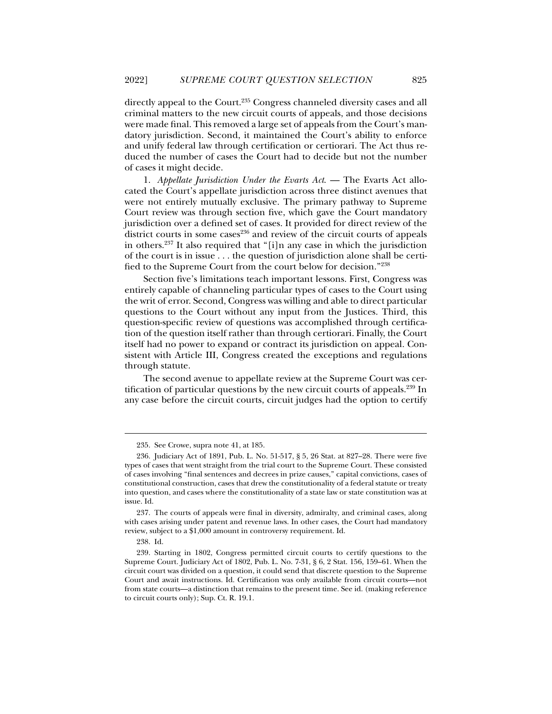directly appeal to the Court.<sup>235</sup> Congress channeled diversity cases and all criminal matters to the new circuit courts of appeals, and those decisions were made final. This removed a large set of appeals from the Court's mandatory jurisdiction. Second, it maintained the Court's ability to enforce and unify federal law through certification or certiorari. The Act thus reduced the number of cases the Court had to decide but not the number of cases it might decide.

1. *Appellate Jurisdiction Under the Evarts Act*. — The Evarts Act allocated the Court's appellate jurisdiction across three distinct avenues that were not entirely mutually exclusive. The primary pathway to Supreme Court review was through section five, which gave the Court mandatory jurisdiction over a defined set of cases. It provided for direct review of the district courts in some cases<sup>236</sup> and review of the circuit courts of appeals in others.237 It also required that "[i]n any case in which the jurisdiction of the court is in issue . . . the question of jurisdiction alone shall be certified to the Supreme Court from the court below for decision."238

Section five's limitations teach important lessons. First, Congress was entirely capable of channeling particular types of cases to the Court using the writ of error. Second, Congress was willing and able to direct particular questions to the Court without any input from the Justices. Third, this question-specific review of questions was accomplished through certification of the question itself rather than through certiorari. Finally, the Court itself had no power to expand or contract its jurisdiction on appeal. Consistent with Article III, Congress created the exceptions and regulations through statute.

The second avenue to appellate review at the Supreme Court was certification of particular questions by the new circuit courts of appeals.239 In any case before the circuit courts, circuit judges had the option to certify

 <sup>235.</sup> See Crowe, supra note 41, at 185.

 <sup>236.</sup> Judiciary Act of 1891, Pub. L. No. 51-517, § 5, 26 Stat. at 827–28. There were five types of cases that went straight from the trial court to the Supreme Court. These consisted of cases involving "final sentences and decrees in prize causes," capital convictions, cases of constitutional construction, cases that drew the constitutionality of a federal statute or treaty into question, and cases where the constitutionality of a state law or state constitution was at issue. Id.

 <sup>237.</sup> The courts of appeals were final in diversity, admiralty, and criminal cases, along with cases arising under patent and revenue laws. In other cases, the Court had mandatory review, subject to a \$1,000 amount in controversy requirement. Id.

 <sup>238.</sup> Id.

 <sup>239.</sup> Starting in 1802, Congress permitted circuit courts to certify questions to the Supreme Court. Judiciary Act of 1802, Pub. L. No. 7-31, § 6, 2 Stat. 156, 159–61. When the circuit court was divided on a question, it could send that discrete question to the Supreme Court and await instructions. Id. Certification was only available from circuit courts—not from state courts—a distinction that remains to the present time. See id. (making reference to circuit courts only); Sup. Ct. R. 19.1.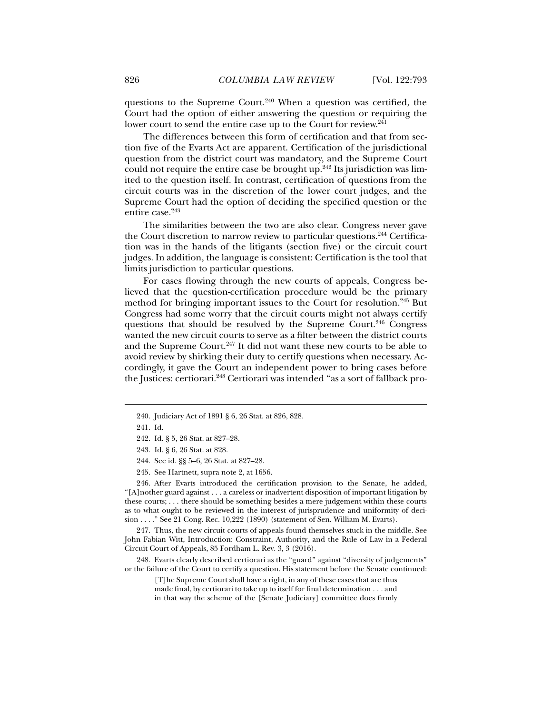questions to the Supreme Court.<sup>240</sup> When a question was certified, the Court had the option of either answering the question or requiring the lower court to send the entire case up to the Court for review.<sup>241</sup>

The differences between this form of certification and that from section five of the Evarts Act are apparent. Certification of the jurisdictional question from the district court was mandatory, and the Supreme Court could not require the entire case be brought up. $242$  Its jurisdiction was limited to the question itself. In contrast, certification of questions from the circuit courts was in the discretion of the lower court judges, and the Supreme Court had the option of deciding the specified question or the entire case.<sup>243</sup>

The similarities between the two are also clear. Congress never gave the Court discretion to narrow review to particular questions.<sup>244</sup> Certification was in the hands of the litigants (section five) or the circuit court judges. In addition, the language is consistent: Certification is the tool that limits jurisdiction to particular questions.

For cases flowing through the new courts of appeals, Congress believed that the question-certification procedure would be the primary method for bringing important issues to the Court for resolution.245 But Congress had some worry that the circuit courts might not always certify questions that should be resolved by the Supreme Court.<sup>246</sup> Congress wanted the new circuit courts to serve as a filter between the district courts and the Supreme Court.<sup>247</sup> It did not want these new courts to be able to avoid review by shirking their duty to certify questions when necessary. Accordingly, it gave the Court an independent power to bring cases before the Justices: certiorari.248 Certiorari was intended "as a sort of fallback pro-

j

 246. After Evarts introduced the certification provision to the Senate, he added,  $\lceil A \rceil$ nother guard against . . . a careless or inadvertent disposition of important litigation by these courts; . . . there should be something besides a mere judgement within these courts as to what ought to be reviewed in the interest of jurisprudence and uniformity of decision . . . ." See 21 Cong. Rec. 10,222 (1890) (statement of Sen. William M. Evarts).

 247. Thus, the new circuit courts of appeals found themselves stuck in the middle. See John Fabian Witt, Introduction: Constraint, Authority, and the Rule of Law in a Federal Circuit Court of Appeals, 85 Fordham L. Rev. 3, 3 (2016).

 248. Evarts clearly described certiorari as the "guard" against "diversity of judgements" or the failure of the Court to certify a question. His statement before the Senate continued:

[T]he Supreme Court shall have a right, in any of these cases that are thus made final, by certiorari to take up to itself for final determination . . . and in that way the scheme of the [Senate Judiciary] committee does firmly

 <sup>240.</sup> Judiciary Act of 1891 § 6, 26 Stat. at 826, 828.

 <sup>241.</sup> Id.

 <sup>242.</sup> Id. § 5, 26 Stat. at 827–28.

 <sup>243.</sup> Id. § 6, 26 Stat. at 828.

 <sup>244.</sup> See id. §§ 5–6, 26 Stat. at 827–28.

 <sup>245.</sup> See Hartnett, supra note 2, at 1656.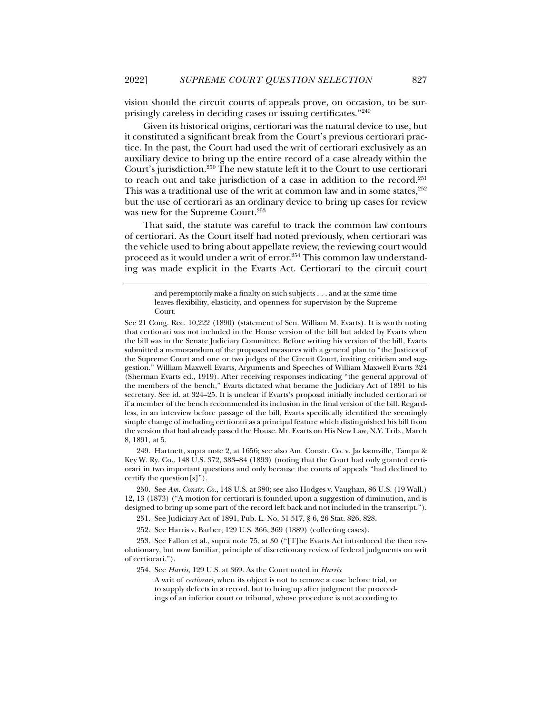vision should the circuit courts of appeals prove, on occasion, to be surprisingly careless in deciding cases or issuing certificates."249

Given its historical origins, certiorari was the natural device to use, but it constituted a significant break from the Court's previous certiorari practice. In the past, the Court had used the writ of certiorari exclusively as an auxiliary device to bring up the entire record of a case already within the Court's jurisdiction.250 The new statute left it to the Court to use certiorari to reach out and take jurisdiction of a case in addition to the record.251 This was a traditional use of the writ at common law and in some states,<sup>252</sup> but the use of certiorari as an ordinary device to bring up cases for review was new for the Supreme Court.<sup>253</sup>

That said, the statute was careful to track the common law contours of certiorari. As the Court itself had noted previously, when certiorari was the vehicle used to bring about appellate review, the reviewing court would proceed as it would under a writ of error.<sup>254</sup> This common law understanding was made explicit in the Evarts Act. Certiorari to the circuit court

j

 249. Hartnett, supra note 2, at 1656; see also Am. Constr. Co. v. Jacksonville, Tampa & Key W. Ry. Co., 148 U.S. 372, 383–84 (1893) (noting that the Court had only granted certiorari in two important questions and only because the courts of appeals "had declined to certify the question[s]").

 250. See *Am. Constr. Co.*, 148 U.S. at 380; see also Hodges v. Vaughan, 86 U.S. (19 Wall.) 12, 13 (1873) ("A motion for certiorari is founded upon a suggestion of diminution, and is designed to bring up some part of the record left back and not included in the transcript.").

251. See Judiciary Act of 1891, Pub. L. No. 51-517, § 6, 26 Stat. 826, 828.

252. See Harris v. Barber, 129 U.S. 366, 369 (1889) (collecting cases).

 253. See Fallon et al., supra note 75, at 30 ("[T]he Evarts Act introduced the then revolutionary, but now familiar, principle of discretionary review of federal judgments on writ of certiorari.").

254. See *Harris*, 129 U.S. at 369. As the Court noted in *Harris*:

A writ of *certiorari*, when its object is not to remove a case before trial, or to supply defects in a record, but to bring up after judgment the proceedings of an inferior court or tribunal, whose procedure is not according to

and peremptorily make a finalty on such subjects . . . and at the same time leaves flexibility, elasticity, and openness for supervision by the Supreme Court.

See 21 Cong. Rec. 10,222 (1890) (statement of Sen. William M. Evarts). It is worth noting that certiorari was not included in the House version of the bill but added by Evarts when the bill was in the Senate Judiciary Committee. Before writing his version of the bill, Evarts submitted a memorandum of the proposed measures with a general plan to "the Justices of the Supreme Court and one or two judges of the Circuit Court, inviting criticism and suggestion." William Maxwell Evarts, Arguments and Speeches of William Maxwell Evarts 324 (Sherman Evarts ed., 1919). After receiving responses indicating "the general approval of the members of the bench," Evarts dictated what became the Judiciary Act of 1891 to his secretary. See id. at 324–25. It is unclear if Evarts's proposal initially included certiorari or if a member of the bench recommended its inclusion in the final version of the bill. Regardless, in an interview before passage of the bill, Evarts specifically identified the seemingly simple change of including certiorari as a principal feature which distinguished his bill from the version that had already passed the House. Mr. Evarts on His New Law, N.Y. Trib., March 8, 1891, at 5.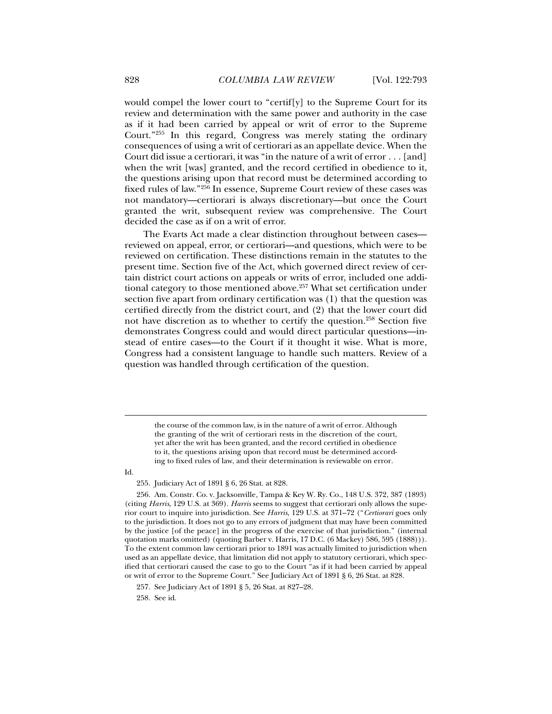would compel the lower court to "certif[y] to the Supreme Court for its review and determination with the same power and authority in the case as if it had been carried by appeal or writ of error to the Supreme Court."255 In this regard, Congress was merely stating the ordinary consequences of using a writ of certiorari as an appellate device. When the Court did issue a certiorari, it was "in the nature of a writ of error . . . [and] when the writ [was] granted, and the record certified in obedience to it, the questions arising upon that record must be determined according to fixed rules of law."256 In essence, Supreme Court review of these cases was not mandatory—certiorari is always discretionary—but once the Court granted the writ, subsequent review was comprehensive. The Court decided the case as if on a writ of error.

The Evarts Act made a clear distinction throughout between cases reviewed on appeal, error, or certiorari—and questions, which were to be reviewed on certification. These distinctions remain in the statutes to the present time. Section five of the Act, which governed direct review of certain district court actions on appeals or writs of error, included one additional category to those mentioned above.257 What set certification under section five apart from ordinary certification was (1) that the question was certified directly from the district court, and (2) that the lower court did not have discretion as to whether to certify the question.<sup>258</sup> Section five demonstrates Congress could and would direct particular questions—instead of entire cases—to the Court if it thought it wise. What is more, Congress had a consistent language to handle such matters. Review of a question was handled through certification of the question.

the course of the common law, is in the nature of a writ of error. Although the granting of the writ of certiorari rests in the discretion of the court, yet after the writ has been granted, and the record certified in obedience to it, the questions arising upon that record must be determined according to fixed rules of law, and their determination is reviewable on error.

Id.

j

255. Judiciary Act of 1891 § 6, 26 Stat. at 828.

 256. Am. Constr. Co. v. Jacksonville, Tampa & Key W. Ry. Co., 148 U.S. 372, 387 (1893) (citing *Harris*, 129 U.S. at 369). *Harris* seems to suggest that certiorari only allows the superior court to inquire into jurisdiction. See *Harris*, 129 U.S. at 371–72 ("*Certiorari* goes only to the jurisdiction. It does not go to any errors of judgment that may have been committed by the justice [of the peace] in the progress of the exercise of that jurisdiction." (internal quotation marks omitted) (quoting Barber v. Harris, 17 D.C. (6 Mackey) 586, 595 (1888))). To the extent common law certiorari prior to 1891 was actually limited to jurisdiction when used as an appellate device, that limitation did not apply to statutory certiorari, which specified that certiorari caused the case to go to the Court "as if it had been carried by appeal or writ of error to the Supreme Court." See Judiciary Act of 1891 § 6, 26 Stat. at 828.

258. See id.

 <sup>257.</sup> See Judiciary Act of 1891 § 5, 26 Stat. at 827–28.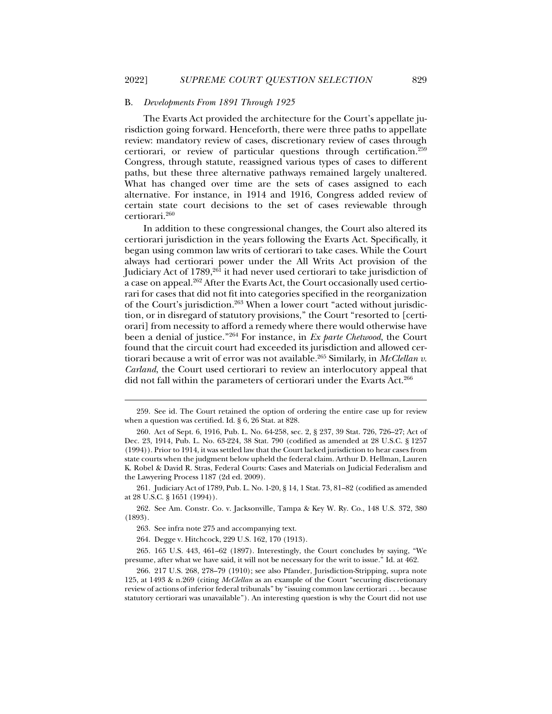### B. *Developments From 1891 Through 1925*

The Evarts Act provided the architecture for the Court's appellate jurisdiction going forward. Henceforth, there were three paths to appellate review: mandatory review of cases, discretionary review of cases through certiorari, or review of particular questions through certification.259 Congress, through statute, reassigned various types of cases to different paths, but these three alternative pathways remained largely unaltered. What has changed over time are the sets of cases assigned to each alternative. For instance, in 1914 and 1916, Congress added review of certain state court decisions to the set of cases reviewable through certiorari.260

In addition to these congressional changes, the Court also altered its certiorari jurisdiction in the years following the Evarts Act. Specifically, it began using common law writs of certiorari to take cases. While the Court always had certiorari power under the All Writs Act provision of the Judiciary Act of  $1789$ ,<sup>261</sup> it had never used certiorari to take jurisdiction of a case on appeal.<sup>262</sup> After the Evarts Act, the Court occasionally used certiorari for cases that did not fit into categories specified in the reorganization of the Court's jurisdiction.263 When a lower court "acted without jurisdiction, or in disregard of statutory provisions," the Court "resorted to [certiorari] from necessity to afford a remedy where there would otherwise have been a denial of justice."264 For instance, in *Ex parte Chetwood*, the Court found that the circuit court had exceeded its jurisdiction and allowed certiorari because a writ of error was not available.<sup>265</sup> Similarly, in *McClellan v*. *Carland*, the Court used certiorari to review an interlocutory appeal that did not fall within the parameters of certiorari under the Evarts Act.<sup>266</sup>

 <sup>259.</sup> See id. The Court retained the option of ordering the entire case up for review when a question was certified. Id. § 6, 26 Stat. at 828.

 <sup>260.</sup> Act of Sept. 6, 1916, Pub. L. No. 64-258, sec. 2, § 237, 39 Stat. 726, 726–27; Act of Dec. 23, 1914, Pub. L. No. 63-224, 38 Stat. 790 (codified as amended at 28 U.S.C. § 1257 (1994)). Prior to 1914, it was settled law that the Court lacked jurisdiction to hear cases from state courts when the judgment below upheld the federal claim. Arthur D. Hellman, Lauren K. Robel & David R. Stras, Federal Courts: Cases and Materials on Judicial Federalism and the Lawyering Process 1187 (2d ed. 2009).

 <sup>261.</sup> Judiciary Act of 1789, Pub. L. No. 1-20, § 14, 1 Stat. 73, 81–82 (codified as amended at 28 U.S.C. § 1651 (1994)).

 <sup>262.</sup> See Am. Constr. Co. v. Jacksonville, Tampa & Key W. Ry. Co., 148 U.S. 372, 380 (1893).

 <sup>263.</sup> See infra note 275 and accompanying text.

 <sup>264.</sup> Degge v. Hitchcock, 229 U.S. 162, 170 (1913).

 <sup>265. 165</sup> U.S. 443, 461–62 (1897). Interestingly, the Court concludes by saying, "We presume, after what we have said, it will not be necessary for the writ to issue." Id. at 462.

 <sup>266. 217</sup> U.S. 268, 278–79 (1910); see also Pfander, Jurisdiction-Stripping, supra note 125, at 1493 & n.269 (citing *McClellan* as an example of the Court "securing discretionary review of actions of inferior federal tribunals" by "issuing common law certiorari . . . because statutory certiorari was unavailable"). An interesting question is why the Court did not use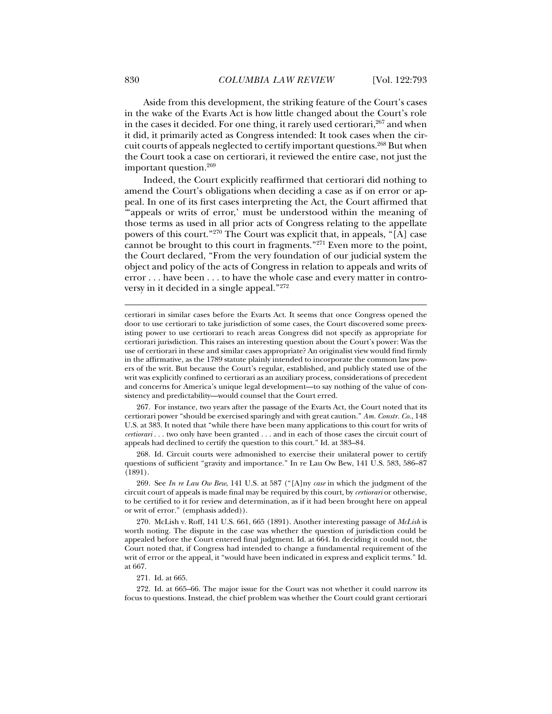Aside from this development, the striking feature of the Court's cases in the wake of the Evarts Act is how little changed about the Court's role in the cases it decided. For one thing, it rarely used certiorari,  $267$  and when it did, it primarily acted as Congress intended: It took cases when the circuit courts of appeals neglected to certify important questions.268 But when the Court took a case on certiorari, it reviewed the entire case, not just the important question.269

Indeed, the Court explicitly reaffirmed that certiorari did nothing to amend the Court's obligations when deciding a case as if on error or appeal. In one of its first cases interpreting the Act, the Court affirmed that "'appeals or writs of error,' must be understood within the meaning of those terms as used in all prior acts of Congress relating to the appellate powers of this court."270 The Court was explicit that, in appeals, "[A] case cannot be brought to this court in fragments."271 Even more to the point, the Court declared, "From the very foundation of our judicial system the object and policy of the acts of Congress in relation to appeals and writs of error . . . have been . . . to have the whole case and every matter in controversy in it decided in a single appeal."272

certiorari in similar cases before the Evarts Act. It seems that once Congress opened the door to use certiorari to take jurisdiction of some cases, the Court discovered some preexisting power to use certiorari to reach areas Congress did not specify as appropriate for certiorari jurisdiction. This raises an interesting question about the Court's power: Was the use of certiorari in these and similar cases appropriate? An originalist view would find firmly in the affirmative, as the 1789 statute plainly intended to incorporate the common law powers of the writ. But because the Court's regular, established, and publicly stated use of the writ was explicitly confined to certiorari as an auxiliary process, considerations of precedent and concerns for America's unique legal development—to say nothing of the value of consistency and predictability—would counsel that the Court erred.

 267. For instance, two years after the passage of the Evarts Act, the Court noted that its certiorari power "should be exercised sparingly and with great caution." *Am. Constr. Co.*, 148 U.S. at 383. It noted that "while there have been many applications to this court for writs of *certiorari* . . . two only have been granted . . . and in each of those cases the circuit court of appeals had declined to certify the question to this court." Id. at 383–84.

 268. Id. Circuit courts were admonished to exercise their unilateral power to certify questions of sufficient "gravity and importance." In re Lau Ow Bew, 141 U.S. 583, 586–87 (1891).

 269. See *In re Lau Ow Bew*, 141 U.S. at 587 ("[A]ny *case* in which the judgment of the circuit court of appeals is made final may be required by this court, by *certiorari* or otherwise, to be certified to it for review and determination, as if it had been brought here on appeal or writ of error." (emphasis added)).

 270. McLish v. Roff, 141 U.S. 661, 665 (1891). Another interesting passage of *McLish* is worth noting. The dispute in the case was whether the question of jurisdiction could be appealed before the Court entered final judgment. Id. at 664. In deciding it could not, the Court noted that, if Congress had intended to change a fundamental requirement of the writ of error or the appeal, it "would have been indicated in express and explicit terms." Id. at 667.

271. Id. at 665.

 272. Id. at 665–66. The major issue for the Court was not whether it could narrow its focus to questions. Instead, the chief problem was whether the Court could grant certiorari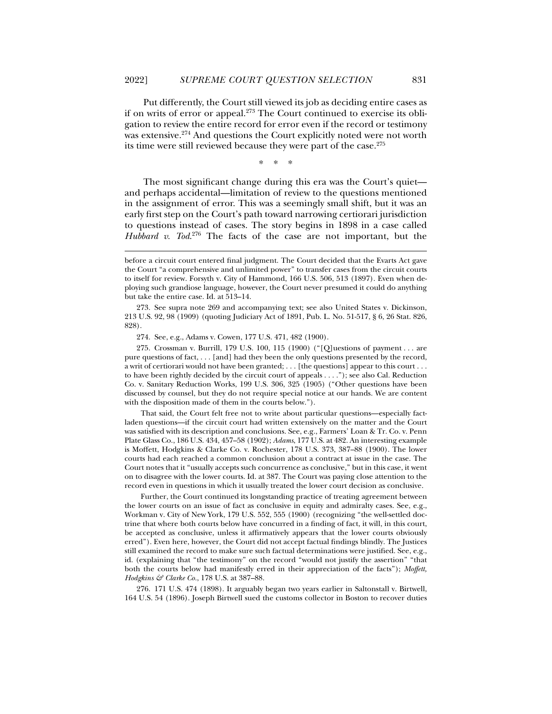Put differently, the Court still viewed its job as deciding entire cases as if on writs of error or appeal. $273$  The Court continued to exercise its obligation to review the entire record for error even if the record or testimony was extensive.<sup>274</sup> And questions the Court explicitly noted were not worth its time were still reviewed because they were part of the case.275

\* \* \*

The most significant change during this era was the Court's quiet and perhaps accidental—limitation of review to the questions mentioned in the assignment of error. This was a seemingly small shift, but it was an early first step on the Court's path toward narrowing certiorari jurisdiction to questions instead of cases. The story begins in 1898 in a case called *Hubbard v. Tod*. 276 The facts of the case are not important, but the

 273. See supra note 269 and accompanying text; see also United States v. Dickinson, 213 U.S. 92, 98 (1909) (quoting Judiciary Act of 1891, Pub. L. No. 51-517, § 6, 26 Stat. 826, 828).

j

 275. Crossman v. Burrill, 179 U.S. 100, 115 (1900) ("[Q]uestions of payment . . . are pure questions of fact, . . . [and] had they been the only questions presented by the record, a writ of certiorari would not have been granted; . . . [the questions] appear to this court . . . to have been rightly decided by the circuit court of appeals . . . ."); see also Cal. Reduction Co. v. Sanitary Reduction Works, 199 U.S. 306, 325 (1905) ("Other questions have been discussed by counsel, but they do not require special notice at our hands. We are content with the disposition made of them in the courts below.").

 That said, the Court felt free not to write about particular questions—especially factladen questions—if the circuit court had written extensively on the matter and the Court was satisfied with its description and conclusions. See, e.g., Farmers' Loan & Tr. Co. v. Penn Plate Glass Co., 186 U.S. 434, 457–58 (1902); *Adams*, 177 U.S. at 482. An interesting example is Moffett, Hodgkins & Clarke Co. v. Rochester, 178 U.S. 373, 387–88 (1900). The lower courts had each reached a common conclusion about a contract at issue in the case. The Court notes that it "usually accepts such concurrence as conclusive," but in this case, it went on to disagree with the lower courts. Id. at 387. The Court was paying close attention to the record even in questions in which it usually treated the lower court decision as conclusive.

 Further, the Court continued its longstanding practice of treating agreement between the lower courts on an issue of fact as conclusive in equity and admiralty cases. See, e.g., Workman v. City of New York, 179 U.S. 552, 555 (1900) (recognizing "the well-settled doctrine that where both courts below have concurred in a finding of fact, it will, in this court, be accepted as conclusive, unless it affirmatively appears that the lower courts obviously erred"). Even here, however, the Court did not accept factual findings blindly. The Justices still examined the record to make sure such factual determinations were justified. See, e.g., id. (explaining that "the testimony" on the record "would not justify the assertion" "that both the courts below had manifestly erred in their appreciation of the facts"); *Moffett, Hodgkins & Clarke Co.*, 178 U.S. at 387–88.

 276. 171 U.S. 474 (1898). It arguably began two years earlier in Saltonstall v. Birtwell, 164 U.S. 54 (1896). Joseph Birtwell sued the customs collector in Boston to recover duties

before a circuit court entered final judgment. The Court decided that the Evarts Act gave the Court "a comprehensive and unlimited power" to transfer cases from the circuit courts to itself for review. Forsyth v. City of Hammond, 166 U.S. 506, 513 (1897). Even when deploying such grandiose language, however, the Court never presumed it could do anything but take the entire case. Id. at 513–14.

 <sup>274.</sup> See, e.g., Adams v. Cowen, 177 U.S. 471, 482 (1900).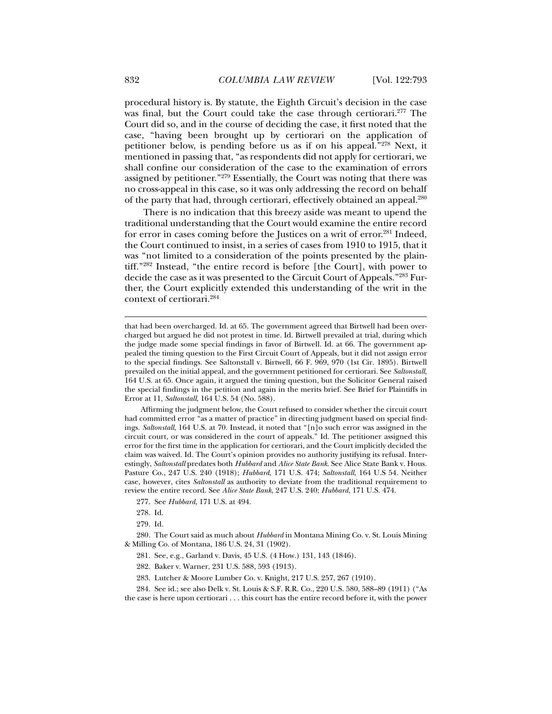procedural history is. By statute, the Eighth Circuit's decision in the case was final, but the Court could take the case through certiorari.<sup>277</sup> The Court did so, and in the course of deciding the case, it first noted that the case, "having been brought up by certiorari on the application of petitioner below, is pending before us as if on his appeal."278 Next, it mentioned in passing that, "as respondents did not apply for certiorari, we shall confine our consideration of the case to the examination of errors assigned by petitioner."279 Essentially, the Court was noting that there was no cross-appeal in this case, so it was only addressing the record on behalf of the party that had, through certiorari, effectively obtained an appeal.280

There is no indication that this breezy aside was meant to upend the traditional understanding that the Court would examine the entire record for error in cases coming before the Justices on a writ of error.<sup>281</sup> Indeed, the Court continued to insist, in a series of cases from 1910 to 1915, that it was "not limited to a consideration of the points presented by the plaintiff."282 Instead, "the entire record is before [the Court], with power to decide the case as it was presented to the Circuit Court of Appeals."283 Further, the Court explicitly extended this understanding of the writ in the context of certiorari.284

 Affirming the judgment below, the Court refused to consider whether the circuit court had committed error "as a matter of practice" in directing judgment based on special findings. *Saltonstall*, 164 U.S. at 70. Instead, it noted that "[n]o such error was assigned in the circuit court, or was considered in the court of appeals." Id. The petitioner assigned this error for the first time in the application for certiorari, and the Court implicitly decided the claim was waived. Id. The Court's opinion provides no authority justifying its refusal. Interestingly, *Saltonstall* predates both *Hubbard* and *Alice State Bank*. See Alice State Bank v. Hous. Pasture Co., 247 U.S. 240 (1918); *Hubbard*, 171 U.S. 474; *Saltonstall*, 164 U.S 54. Neither case, however, cites *Saltonstall* as authority to deviate from the traditional requirement to review the entire record. See *Alice State Bank*, 247 U.S. 240; *Hubbard*, 171 U.S. 474.

277. See *Hubbard*, 171 U.S. at 494.

278. Id.

279. Id.

 280. The Court said as much about *Hubbard* in Montana Mining Co. v. St. Louis Mining & Milling Co. of Montana, 186 U.S. 24, 31 (1902).

281. See, e.g., Garland v. Davis, 45 U.S. (4 How.) 131, 143 (1846).

282. Baker v. Warner, 231 U.S. 588, 593 (1913).

283. Lutcher & Moore Lumber Co. v. Knight, 217 U.S. 257, 267 (1910).

284. See id.; see also Delk v. St. Louis & S.F. R.R. Co., 220 U.S. 580, 588–89 (1911) ("As

the case is here upon certiorari . . . this court has the entire record before it, with the power

that had been overcharged. Id. at 65. The government agreed that Birtwell had been overcharged but argued he did not protest in time. Id. Birtwell prevailed at trial, during which the judge made some special findings in favor of Birtwell. Id. at 66. The government appealed the timing question to the First Circuit Court of Appeals, but it did not assign error to the special findings. See Saltonstall v. Birtwell, 66 F. 969, 970 (1st Cir. 1895). Birtwell prevailed on the initial appeal, and the government petitioned for certiorari. See *Saltonstall*, 164 U.S. at 65. Once again, it argued the timing question, but the Solicitor General raised the special findings in the petition and again in the merits brief. See Brief for Plaintiffs in Error at 11, *Saltonstall*, 164 U.S. 54 (No. 588).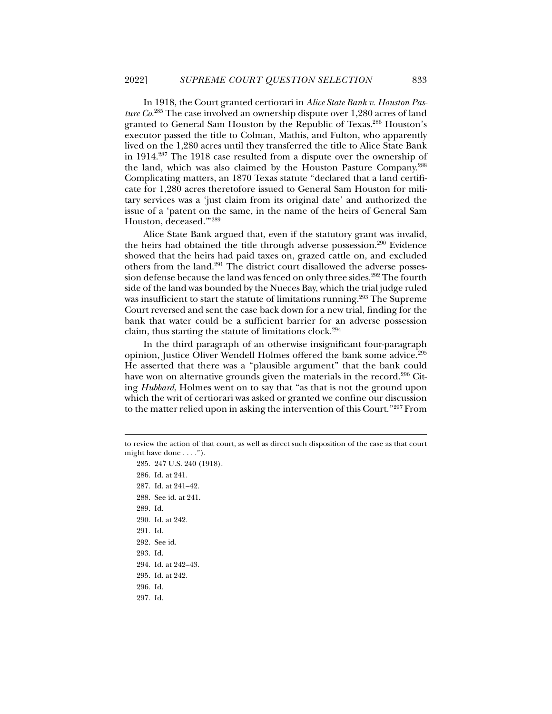In 1918, the Court granted certiorari in *Alice State Bank v. Houston Pasture Co.*285 The case involved an ownership dispute over 1,280 acres of land granted to General Sam Houston by the Republic of Texas.286 Houston's executor passed the title to Colman, Mathis, and Fulton, who apparently lived on the 1,280 acres until they transferred the title to Alice State Bank in 1914.287 The 1918 case resulted from a dispute over the ownership of the land, which was also claimed by the Houston Pasture Company.288 Complicating matters, an 1870 Texas statute "declared that a land certificate for 1,280 acres theretofore issued to General Sam Houston for military services was a 'just claim from its original date' and authorized the issue of a 'patent on the same, in the name of the heirs of General Sam Houston, deceased.'"289

Alice State Bank argued that, even if the statutory grant was invalid, the heirs had obtained the title through adverse possession.<sup>290</sup> Evidence showed that the heirs had paid taxes on, grazed cattle on, and excluded others from the land.<sup>291</sup> The district court disallowed the adverse possession defense because the land was fenced on only three sides.<sup>292</sup> The fourth side of the land was bounded by the Nueces Bay, which the trial judge ruled was insufficient to start the statute of limitations running.<sup>293</sup> The Supreme Court reversed and sent the case back down for a new trial, finding for the bank that water could be a sufficient barrier for an adverse possession claim, thus starting the statute of limitations clock.294

In the third paragraph of an otherwise insignificant four-paragraph opinion, Justice Oliver Wendell Holmes offered the bank some advice.<sup>295</sup> He asserted that there was a "plausible argument" that the bank could have won on alternative grounds given the materials in the record.<sup>296</sup> Citing *Hubbard*, Holmes went on to say that "as that is not the ground upon which the writ of certiorari was asked or granted we confine our discussion to the matter relied upon in asking the intervention of this Court."297 From

 286. Id. at 241. 287. Id. at 241–42. 288. See id. at 241. 289. Id. 290. Id. at 242. 291. Id. 292. See id. 293. Id. 294. Id. at 242–43. 295. Id. at 242. 296. Id. 297. Id.

285. 247 U.S. 240 (1918).

to review the action of that court, as well as direct such disposition of the case as that court might have done . . . .").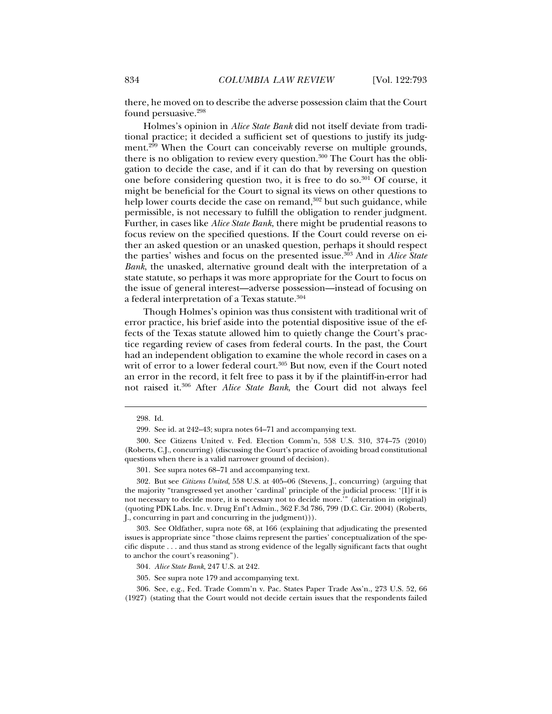there, he moved on to describe the adverse possession claim that the Court found persuasive.<sup>298</sup>

Holmes's opinion in *Alice State Bank* did not itself deviate from traditional practice; it decided a sufficient set of questions to justify its judgment.<sup>299</sup> When the Court can conceivably reverse on multiple grounds, there is no obligation to review every question.<sup>300</sup> The Court has the obligation to decide the case, and if it can do that by reversing on question one before considering question two, it is free to do so.301 Of course, it might be beneficial for the Court to signal its views on other questions to help lower courts decide the case on remand,<sup>302</sup> but such guidance, while permissible, is not necessary to fulfill the obligation to render judgment. Further, in cases like *Alice State Bank*, there might be prudential reasons to focus review on the specified questions. If the Court could reverse on either an asked question or an unasked question, perhaps it should respect the parties' wishes and focus on the presented issue.303 And in *Alice State Bank*, the unasked, alternative ground dealt with the interpretation of a state statute, so perhaps it was more appropriate for the Court to focus on the issue of general interest—adverse possession—instead of focusing on a federal interpretation of a Texas statute.<sup>304</sup>

Though Holmes's opinion was thus consistent with traditional writ of error practice, his brief aside into the potential dispositive issue of the effects of the Texas statute allowed him to quietly change the Court's practice regarding review of cases from federal courts. In the past, the Court had an independent obligation to examine the whole record in cases on a writ of error to a lower federal court.<sup>305</sup> But now, even if the Court noted an error in the record, it felt free to pass it by if the plaintiff-in-error had not raised it.306 After *Alice State Bank*, the Court did not always feel

- 305. See supra note 179 and accompanying text.
- 306. See, e.g., Fed. Trade Comm'n v. Pac. States Paper Trade Ass'n., 273 U.S. 52, 66

 <sup>298.</sup> Id.

 <sup>299.</sup> See id. at 242–43; supra notes 64–71 and accompanying text.

 <sup>300.</sup> See Citizens United v. Fed. Election Comm'n, 558 U.S. 310, 374–75 (2010) (Roberts, C.J., concurring) (discussing the Court's practice of avoiding broad constitutional questions when there is a valid narrower ground of decision).

 <sup>301.</sup> See supra notes 68–71 and accompanying text.

 <sup>302.</sup> But see *Citizens United*, 558 U.S. at 405–06 (Stevens, J., concurring) (arguing that the majority "transgressed yet another 'cardinal' principle of the judicial process: '[I]f it is not necessary to decide more, it is necessary not to decide more.'" (alteration in original) (quoting PDK Labs. Inc. v. Drug Enf't Admin., 362 F.3d 786, 799 (D.C. Cir. 2004) (Roberts, J., concurring in part and concurring in the judgment))).

 <sup>303.</sup> See Oldfather, supra note 68, at 166 (explaining that adjudicating the presented issues is appropriate since "those claims represent the parties' conceptualization of the specific dispute . . . and thus stand as strong evidence of the legally significant facts that ought to anchor the court's reasoning").

<sup>304</sup>*. Alice State Bank*, 247 U.S. at 242.

<sup>(1927) (</sup>stating that the Court would not decide certain issues that the respondents failed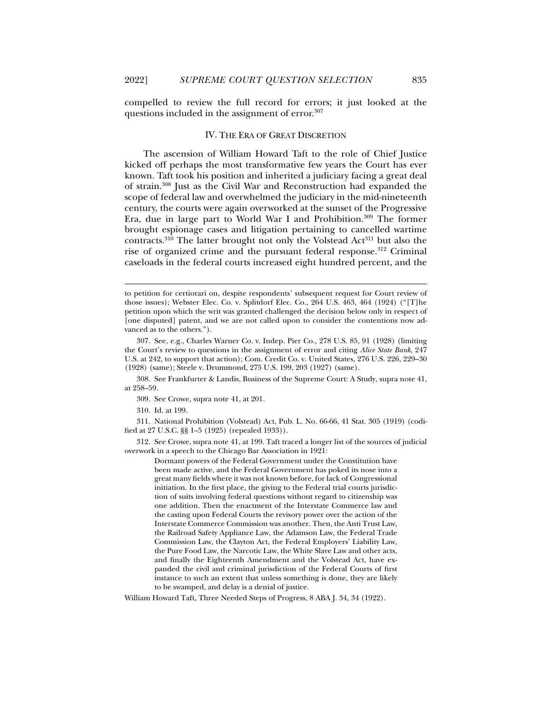j

compelled to review the full record for errors; it just looked at the questions included in the assignment of error.<sup>307</sup>

### IV. THE ERA OF GREAT DISCRETION

The ascension of William Howard Taft to the role of Chief Justice kicked off perhaps the most transformative few years the Court has ever known. Taft took his position and inherited a judiciary facing a great deal of strain.308 Just as the Civil War and Reconstruction had expanded the scope of federal law and overwhelmed the judiciary in the mid-nineteenth century, the courts were again overworked at the sunset of the Progressive Era, due in large part to World War I and Prohibition.309 The former brought espionage cases and litigation pertaining to cancelled wartime contracts.<sup>310</sup> The latter brought not only the Volstead Act<sup>311</sup> but also the rise of organized crime and the pursuant federal response.312 Criminal caseloads in the federal courts increased eight hundred percent, and the

 308. See Frankfurter & Landis, Business of the Supreme Court: A Study, supra note 41, at 258–59.

310. Id. at 199.

 311. National Prohibition (Volstead) Act, Pub. L. No. 66-66, 41 Stat. 305 (1919) (codified at 27 U.S.C. §§ 1–5 (1925) (repealed 1933)).

 312. See Crowe, supra note 41, at 199. Taft traced a longer list of the sources of judicial overwork in a speech to the Chicago Bar Association in 1921:

Dormant powers of the Federal Government under the Constitution have been made active, and the Federal Government has poked its nose into a great many fields where it was not known before, for lack of Congressional initiation. In the first place, the giving to the Federal trial courts jurisdiction of suits involving federal questions without regard to citizenship was one addition. Then the enactment of the Interstate Commerce law and the casting upon Federal Courts the revisory power over the action of the Interstate Commerce Commission was another. Then, the Anti Trust Law, the Railroad Safety Appliance Law, the Adamson Law, the Federal Trade Commission Law, the Clayton Act, the Federal Employers' Liability Law, the Pure Food Law, the Narcotic Law, the White Slave Law and other acts, and finally the Eighteenth Amendment and the Volstead Act, have expanded the civil and criminal jurisdiction of the Federal Courts of first instance to such an extent that unless something is done, they are likely to be swamped, and delay is a denial of justice.

William Howard Taft, Three Needed Steps of Progress, 8 ABA J. 34, 34 (1922).

to petition for certiorari on, despite respondents' subsequent request for Court review of those issues); Webster Elec. Co. v. Splitdorf Elec. Co., 264 U.S. 463, 464 (1924) ("[T]he petition upon which the writ was granted challenged the decision below only in respect of [one disputed] patent, and we are not called upon to consider the contentions now advanced as to the others.").

 <sup>307.</sup> See, e.g., Charles Warner Co. v. Indep. Pier Co., 278 U.S. 85, 91 (1928) (limiting the Court's review to questions in the assignment of error and citing *Alice State Bank*, 247 U.S. at 242, to support that action); Com. Credit Co. v. United States, 276 U.S. 226, 229–30 (1928) (same); Steele v. Drummond, 275 U.S. 199, 203 (1927) (same).

 <sup>309.</sup> See Crowe, supra note 41, at 201.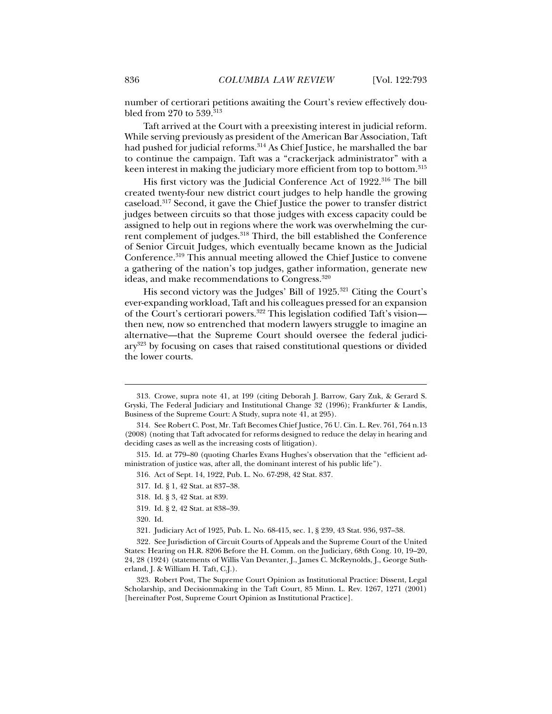number of certiorari petitions awaiting the Court's review effectively doubled from 270 to  $539.^{\bar{3}13}$ 

Taft arrived at the Court with a preexisting interest in judicial reform. While serving previously as president of the American Bar Association, Taft had pushed for judicial reforms.<sup>314</sup> As Chief Justice, he marshalled the bar to continue the campaign. Taft was a "crackerjack administrator" with a keen interest in making the judiciary more efficient from top to bottom.<sup>315</sup>

His first victory was the Judicial Conference Act of 1922.<sup>316</sup> The bill created twenty-four new district court judges to help handle the growing caseload.317 Second, it gave the Chief Justice the power to transfer district judges between circuits so that those judges with excess capacity could be assigned to help out in regions where the work was overwhelming the current complement of judges.318 Third, the bill established the Conference of Senior Circuit Judges, which eventually became known as the Judicial Conference.319 This annual meeting allowed the Chief Justice to convene a gathering of the nation's top judges, gather information, generate new ideas, and make recommendations to Congress.320

His second victory was the Judges' Bill of 1925.<sup>321</sup> Citing the Court's ever-expanding workload, Taft and his colleagues pressed for an expansion of the Court's certiorari powers.322 This legislation codified Taft's vision then new, now so entrenched that modern lawyers struggle to imagine an alternative—that the Supreme Court should oversee the federal judiciary323 by focusing on cases that raised constitutional questions or divided the lower courts.

- 317. Id. § 1, 42 Stat. at 837–38.
- 318. Id. § 3, 42 Stat. at 839.
- 319. Id. § 2, 42 Stat. at 838–39.
- 320. Id.

j

321. Judiciary Act of 1925, Pub. L. No. 68-415, sec. 1, § 239, 43 Stat. 936, 937–38.

 322. See Jurisdiction of Circuit Courts of Appeals and the Supreme Court of the United States: Hearing on H.R. 8206 Before the H. Comm. on the Judiciary, 68th Cong. 10, 19–20, 24, 28 (1924) (statements of Willis Van Devanter, J., James C. McReynolds, J., George Sutherland, J. & William H. Taft, C.J.).

 323. Robert Post, The Supreme Court Opinion as Institutional Practice: Dissent, Legal Scholarship, and Decisionmaking in the Taft Court, 85 Minn. L. Rev. 1267, 1271 (2001) [hereinafter Post, Supreme Court Opinion as Institutional Practice].

 <sup>313.</sup> Crowe, supra note 41, at 199 (citing Deborah J. Barrow, Gary Zuk, & Gerard S. Gryski, The Federal Judiciary and Institutional Change 32 (1996); Frankfurter & Landis, Business of the Supreme Court: A Study, supra note 41, at 295).

 <sup>314.</sup> See Robert C. Post, Mr. Taft Becomes Chief Justice, 76 U. Cin. L. Rev. 761, 764 n.13 (2008) (noting that Taft advocated for reforms designed to reduce the delay in hearing and deciding cases as well as the increasing costs of litigation).

 <sup>315.</sup> Id. at 779–80 (quoting Charles Evans Hughes's observation that the "efficient administration of justice was, after all, the dominant interest of his public life").

 <sup>316.</sup> Act of Sept. 14, 1922, Pub. L. No. 67-298, 42 Stat. 837.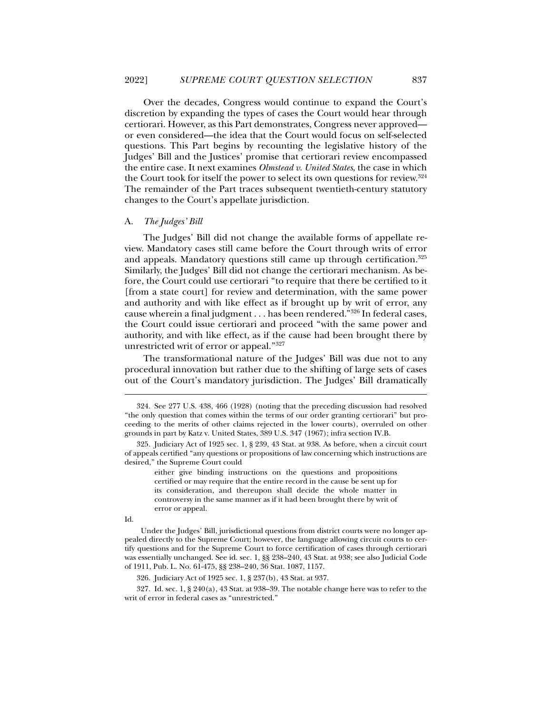Over the decades, Congress would continue to expand the Court's discretion by expanding the types of cases the Court would hear through certiorari. However, as this Part demonstrates, Congress never approved or even considered—the idea that the Court would focus on self-selected questions. This Part begins by recounting the legislative history of the Judges' Bill and the Justices' promise that certiorari review encompassed the entire case. It next examines *Olmstead v. United States*, the case in which the Court took for itself the power to select its own questions for review.324 The remainder of the Part traces subsequent twentieth-century statutory changes to the Court's appellate jurisdiction.

### A. *The Judges' Bill*

The Judges' Bill did not change the available forms of appellate review. Mandatory cases still came before the Court through writs of error and appeals. Mandatory questions still came up through certification.<sup>325</sup> Similarly, the Judges' Bill did not change the certiorari mechanism. As before, the Court could use certiorari "to require that there be certified to it [from a state court] for review and determination, with the same power and authority and with like effect as if brought up by writ of error, any cause wherein a final judgment . . . has been rendered."326 In federal cases, the Court could issue certiorari and proceed "with the same power and authority, and with like effect, as if the cause had been brought there by unrestricted writ of error or appeal."327

The transformational nature of the Judges' Bill was due not to any procedural innovation but rather due to the shifting of large sets of cases out of the Court's mandatory jurisdiction. The Judges' Bill dramatically

either give binding instructions on the questions and propositions certified or may require that the entire record in the cause be sent up for its consideration, and thereupon shall decide the whole matter in controversy in the same manner as if it had been brought there by writ of error or appeal.

Id.

j

326. Judiciary Act of 1925 sec. 1, § 237(b), 43 Stat. at 937.

 327. Id. sec. 1, § 240(a), 43 Stat. at 938–39. The notable change here was to refer to the writ of error in federal cases as "unrestricted."

 <sup>324.</sup> See 277 U.S. 438, 466 (1928) (noting that the preceding discussion had resolved "the only question that comes within the terms of our order granting certiorari" but proceeding to the merits of other claims rejected in the lower courts), overruled on other grounds in part by Katz v. United States, 389 U.S. 347 (1967); infra section IV.B.

 <sup>325.</sup> Judiciary Act of 1925 sec. 1, § 239, 43 Stat. at 938. As before, when a circuit court of appeals certified "any questions or propositions of law concerning which instructions are desired," the Supreme Court could

Under the Judges' Bill, jurisdictional questions from district courts were no longer appealed directly to the Supreme Court; however, the language allowing circuit courts to certify questions and for the Supreme Court to force certification of cases through certiorari was essentially unchanged. See id. sec. 1, §§ 238–240, 43 Stat. at 938; see also Judicial Code of 1911, Pub. L. No. 61-475, §§ 238–240, 36 Stat. 1087, 1157.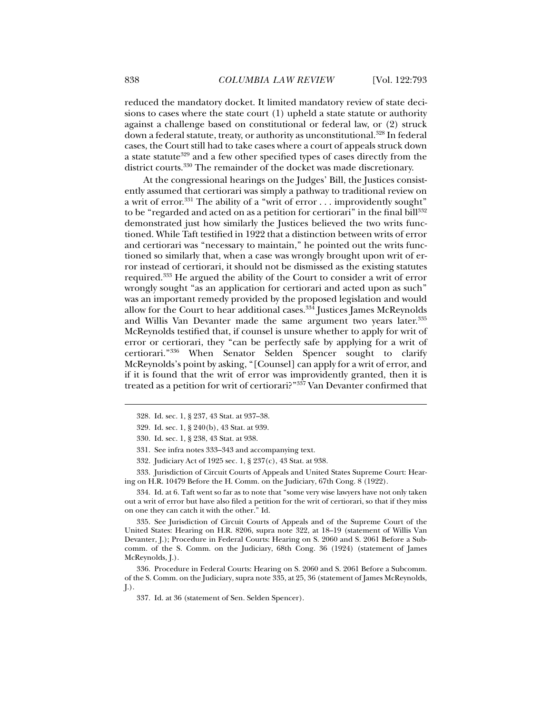reduced the mandatory docket. It limited mandatory review of state decisions to cases where the state court (1) upheld a state statute or authority against a challenge based on constitutional or federal law, or (2) struck down a federal statute, treaty, or authority as unconstitutional.<sup>328</sup> In federal cases, the Court still had to take cases where a court of appeals struck down a state statute<sup>329</sup> and a few other specified types of cases directly from the district courts.330 The remainder of the docket was made discretionary.

At the congressional hearings on the Judges' Bill, the Justices consistently assumed that certiorari was simply a pathway to traditional review on a writ of error.<sup>331</sup> The ability of a "writ of error . . . improvidently sought" to be "regarded and acted on as a petition for certiorari" in the final bill<sup>332</sup> demonstrated just how similarly the Justices believed the two writs functioned. While Taft testified in 1922 that a distinction between writs of error and certiorari was "necessary to maintain," he pointed out the writs functioned so similarly that, when a case was wrongly brought upon writ of error instead of certiorari, it should not be dismissed as the existing statutes required.333 He argued the ability of the Court to consider a writ of error wrongly sought "as an application for certiorari and acted upon as such" was an important remedy provided by the proposed legislation and would allow for the Court to hear additional cases.334 Justices James McReynolds and Willis Van Devanter made the same argument two years later.<sup>335</sup> McReynolds testified that, if counsel is unsure whether to apply for writ of error or certiorari, they "can be perfectly safe by applying for a writ of certiorari."336 When Senator Selden Spencer sought to clarify McReynolds's point by asking, "[Counsel] can apply for a writ of error, and if it is found that the writ of error was improvidently granted, then it is treated as a petition for writ of certiorari?"337 Van Devanter confirmed that

 333. Jurisdiction of Circuit Courts of Appeals and United States Supreme Court: Hearing on H.R. 10479 Before the H. Comm. on the Judiciary, 67th Cong. 8 (1922).

 334. Id. at 6. Taft went so far as to note that "some very wise lawyers have not only taken out a writ of error but have also filed a petition for the writ of certiorari, so that if they miss on one they can catch it with the other." Id.

 335. See Jurisdiction of Circuit Courts of Appeals and of the Supreme Court of the United States: Hearing on H.R. 8206, supra note 322, at 18–19 (statement of Willis Van Devanter, J.); Procedure in Federal Courts: Hearing on S. 2060 and S. 2061 Before a Subcomm. of the S. Comm. on the Judiciary, 68th Cong. 36 (1924) (statement of James McReynolds, J.).

 336. Procedure in Federal Courts: Hearing on S. 2060 and S. 2061 Before a Subcomm. of the S. Comm. on the Judiciary, supra note 335, at 25, 36 (statement of James McReynolds, J.).

 <sup>328.</sup> Id. sec. 1, § 237, 43 Stat. at 937–38.

 <sup>329.</sup> Id. sec. 1, § 240(b), 43 Stat. at 939.

 <sup>330.</sup> Id. sec. 1, § 238, 43 Stat. at 938.

 <sup>331.</sup> See infra notes 333–343 and accompanying text.

 <sup>332.</sup> Judiciary Act of 1925 sec. 1, § 237(c), 43 Stat. at 938.

 <sup>337.</sup> Id. at 36 (statement of Sen. Selden Spencer).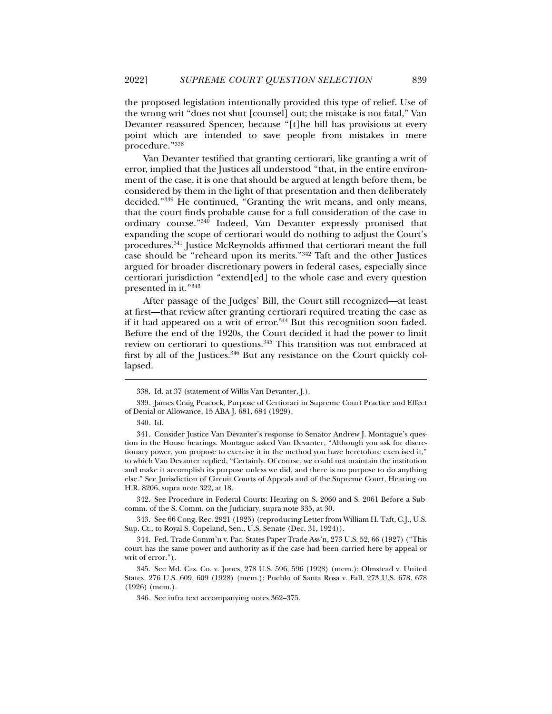the proposed legislation intentionally provided this type of relief. Use of the wrong writ "does not shut [counsel] out; the mistake is not fatal," Van Devanter reassured Spencer, because "[t]he bill has provisions at every point which are intended to save people from mistakes in mere procedure."338

Van Devanter testified that granting certiorari, like granting a writ of error, implied that the Justices all understood "that, in the entire environment of the case, it is one that should be argued at length before them, be considered by them in the light of that presentation and then deliberately decided."339 He continued, "Granting the writ means, and only means, that the court finds probable cause for a full consideration of the case in ordinary course."340 Indeed, Van Devanter expressly promised that expanding the scope of certiorari would do nothing to adjust the Court's procedures.341 Justice McReynolds affirmed that certiorari meant the full case should be "reheard upon its merits."342 Taft and the other Justices argued for broader discretionary powers in federal cases, especially since certiorari jurisdiction "extend[ed] to the whole case and every question presented in it."343

After passage of the Judges' Bill, the Court still recognized—at least at first—that review after granting certiorari required treating the case as if it had appeared on a writ of error.<sup>344</sup> But this recognition soon faded. Before the end of the 1920s, the Court decided it had the power to limit review on certiorari to questions.345 This transition was not embraced at first by all of the Justices.<sup>346</sup> But any resistance on the Court quickly collapsed.

j

 342. See Procedure in Federal Courts: Hearing on S. 2060 and S. 2061 Before a Subcomm. of the S. Comm. on the Judiciary, supra note 335, at 30.

 343. See 66 Cong. Rec. 2921 (1925) (reproducing Letter from William H. Taft, C.J., U.S. Sup. Ct., to Royal S. Copeland, Sen., U.S. Senate (Dec. 31, 1924)).

 344. Fed. Trade Comm'n v. Pac. States Paper Trade Ass'n, 273 U.S. 52, 66 (1927) ("This court has the same power and authority as if the case had been carried here by appeal or writ of error.").

 <sup>338.</sup> Id. at 37 (statement of Willis Van Devanter, J.).

 <sup>339.</sup> James Craig Peacock, Purpose of Certiorari in Supreme Court Practice and Effect of Denial or Allowance, 15 ABA J. 681, 684 (1929).

 <sup>340.</sup> Id.

 <sup>341.</sup> Consider Justice Van Devanter's response to Senator Andrew J. Montague's question in the House hearings. Montague asked Van Devanter, "Although you ask for discretionary power, you propose to exercise it in the method you have heretofore exercised it," to which Van Devanter replied, "Certainly. Of course, we could not maintain the institution and make it accomplish its purpose unless we did, and there is no purpose to do anything else." See Jurisdiction of Circuit Courts of Appeals and of the Supreme Court, Hearing on H.R. 8206, supra note 322, at 18.

 <sup>345.</sup> See Md. Cas. Co. v. Jones, 278 U.S. 596, 596 (1928) (mem.); Olmstead v. United States*,* 276 U.S. 609, 609 (1928) (mem.); Pueblo of Santa Rosa v. Fall, 273 U.S. 678, 678 (1926) (mem.).

 <sup>346.</sup> See infra text accompanying notes 362–375.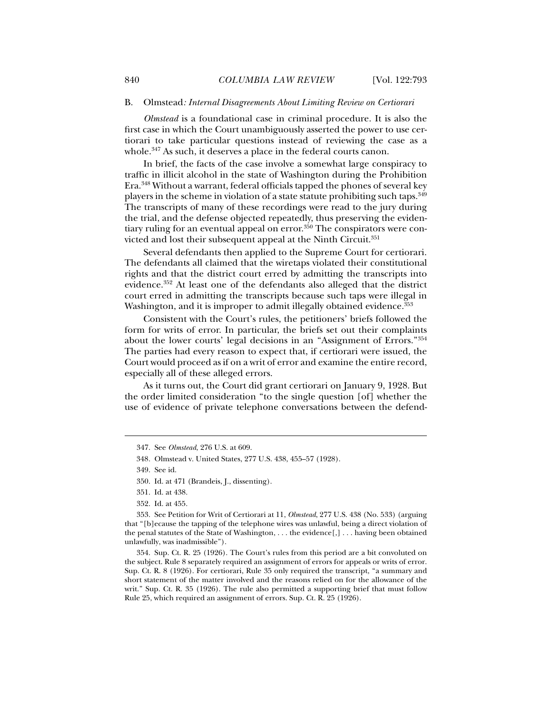### B.Olmstead*: Internal Disagreements About Limiting Review on Certiorari*

*Olmstead* is a foundational case in criminal procedure. It is also the first case in which the Court unambiguously asserted the power to use certiorari to take particular questions instead of reviewing the case as a whole.<sup>347</sup> As such, it deserves a place in the federal courts canon.

In brief, the facts of the case involve a somewhat large conspiracy to traffic in illicit alcohol in the state of Washington during the Prohibition Era.348 Without a warrant, federal officials tapped the phones of several key players in the scheme in violation of a state statute prohibiting such taps.349 The transcripts of many of these recordings were read to the jury during the trial, and the defense objected repeatedly, thus preserving the evidentiary ruling for an eventual appeal on  $error<sup>350</sup>$  The conspirators were convicted and lost their subsequent appeal at the Ninth Circuit.<sup>351</sup>

Several defendants then applied to the Supreme Court for certiorari. The defendants all claimed that the wiretaps violated their constitutional rights and that the district court erred by admitting the transcripts into evidence.352 At least one of the defendants also alleged that the district court erred in admitting the transcripts because such taps were illegal in Washington, and it is improper to admit illegally obtained evidence.<sup>353</sup>

Consistent with the Court's rules, the petitioners' briefs followed the form for writs of error. In particular, the briefs set out their complaints about the lower courts' legal decisions in an "Assignment of Errors."354 The parties had every reason to expect that, if certiorari were issued, the Court would proceed as if on a writ of error and examine the entire record, especially all of these alleged errors.

As it turns out, the Court did grant certiorari on January 9, 1928. But the order limited consideration "to the single question [of] whether the use of evidence of private telephone conversations between the defend-

 $\ddot{ }$ 

 <sup>347.</sup> See *Olmstead*, 276 U.S. at 609.

<sup>348</sup>*.* Olmstead v. United States, 277 U.S. 438, 455–57 (1928).

 <sup>349.</sup> See id.

 <sup>350.</sup> Id. at 471 (Brandeis, J., dissenting).

 <sup>351.</sup> Id. at 438.

 <sup>352.</sup> Id. at 455.

 <sup>353.</sup> See Petition for Writ of Certiorari at 11, *Olmstead*, 277 U.S. 438 (No. 533) (arguing that "[b]ecause the tapping of the telephone wires was unlawful, being a direct violation of the penal statutes of the State of Washington, . . . the evidence[,] . . . having been obtained unlawfully, was inadmissible").

 <sup>354.</sup> Sup. Ct. R. 25 (1926). The Court's rules from this period are a bit convoluted on the subject. Rule 8 separately required an assignment of errors for appeals or writs of error. Sup. Ct. R. 8 (1926). For certiorari, Rule 35 only required the transcript, "a summary and short statement of the matter involved and the reasons relied on for the allowance of the writ." Sup. Ct. R. 35 (1926). The rule also permitted a supporting brief that must follow Rule 25, which required an assignment of errors. Sup. Ct. R. 25 (1926).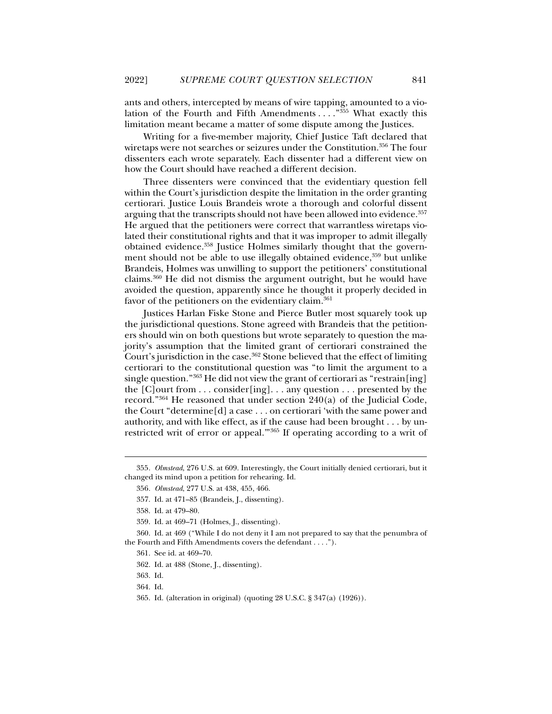ants and others, intercepted by means of wire tapping, amounted to a violation of the Fourth and Fifth Amendments . . . ."355 What exactly this limitation meant became a matter of some dispute among the Justices.

Writing for a five-member majority, Chief Justice Taft declared that wiretaps were not searches or seizures under the Constitution.356 The four dissenters each wrote separately. Each dissenter had a different view on how the Court should have reached a different decision.

Three dissenters were convinced that the evidentiary question fell within the Court's jurisdiction despite the limitation in the order granting certiorari. Justice Louis Brandeis wrote a thorough and colorful dissent arguing that the transcripts should not have been allowed into evidence.<sup>357</sup> He argued that the petitioners were correct that warrantless wiretaps violated their constitutional rights and that it was improper to admit illegally obtained evidence.358 Justice Holmes similarly thought that the government should not be able to use illegally obtained evidence, 359 but unlike Brandeis, Holmes was unwilling to support the petitioners' constitutional claims.360 He did not dismiss the argument outright, but he would have avoided the question, apparently since he thought it properly decided in favor of the petitioners on the evidentiary claim.<sup>361</sup>

Justices Harlan Fiske Stone and Pierce Butler most squarely took up the jurisdictional questions. Stone agreed with Brandeis that the petitioners should win on both questions but wrote separately to question the majority's assumption that the limited grant of certiorari constrained the Court's jurisdiction in the case.<sup>362</sup> Stone believed that the effect of limiting certiorari to the constitutional question was "to limit the argument to a single question."363 He did not view the grant of certiorari as "restrain[ing] the  $[C]$  ourt from  $\ldots$  consider [ing].  $\ldots$  any question  $\ldots$  presented by the record." $364$  He reasoned that under section  $240(a)$  of the Judicial Code, the Court "determine[d] a case . . . on certiorari 'with the same power and authority, and with like effect, as if the cause had been brought . . . by unrestricted writ of error or appeal.'"365 If operating according to a writ of

j

364. Id.

<sup>355</sup>*. Olmstead*, 276 U.S. at 609. Interestingly, the Court initially denied certiorari, but it changed its mind upon a petition for rehearing. Id.

<sup>356</sup>*. Olmstead*, 277 U.S. at 438, 455, 466.

 <sup>357.</sup> Id. at 471–85 (Brandeis, J., dissenting).

 <sup>358.</sup> Id. at 479–80.

 <sup>359.</sup> Id. at 469–71 (Holmes, J., dissenting).

 <sup>360.</sup> Id. at 469 ("While I do not deny it I am not prepared to say that the penumbra of the Fourth and Fifth Amendments covers the defendant . . . .").

 <sup>361.</sup> See id. at 469–70.

 <sup>362.</sup> Id. at 488 (Stone, J., dissenting).

 <sup>363.</sup> Id.

 <sup>365.</sup> Id. (alteration in original) (quoting 28 U.S.C. § 347(a) (1926)).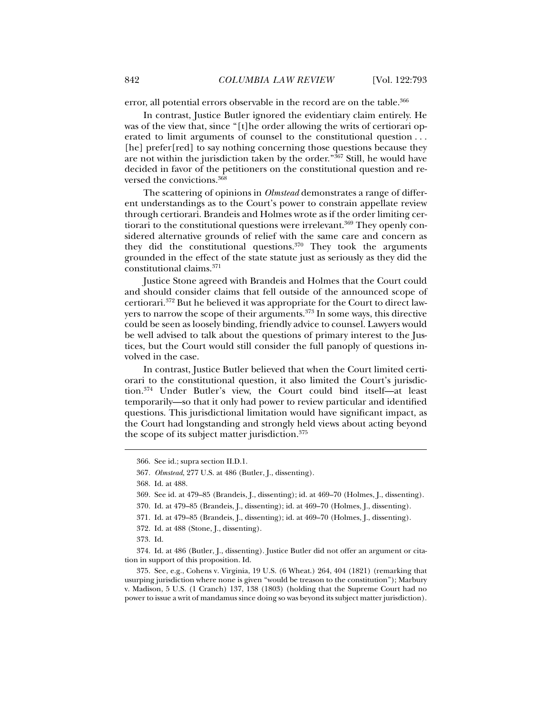error, all potential errors observable in the record are on the table.<sup>366</sup>

In contrast, Justice Butler ignored the evidentiary claim entirely. He was of the view that, since "[t]he order allowing the writs of certiorari operated to limit arguments of counsel to the constitutional question . . . [he] prefer[red] to say nothing concerning those questions because they are not within the jurisdiction taken by the order."367 Still, he would have decided in favor of the petitioners on the constitutional question and reversed the convictions.368

The scattering of opinions in *Olmstead* demonstrates a range of different understandings as to the Court's power to constrain appellate review through certiorari. Brandeis and Holmes wrote as if the order limiting certiorari to the constitutional questions were irrelevant.<sup>369</sup> They openly considered alternative grounds of relief with the same care and concern as they did the constitutional questions.370 They took the arguments grounded in the effect of the state statute just as seriously as they did the constitutional claims.371

Justice Stone agreed with Brandeis and Holmes that the Court could and should consider claims that fell outside of the announced scope of certiorari.372 But he believed it was appropriate for the Court to direct lawyers to narrow the scope of their arguments.<sup>373</sup> In some ways, this directive could be seen as loosely binding, friendly advice to counsel. Lawyers would be well advised to talk about the questions of primary interest to the Justices, but the Court would still consider the full panoply of questions involved in the case.

In contrast, Justice Butler believed that when the Court limited certiorari to the constitutional question, it also limited the Court's jurisdiction.374 Under Butler's view, the Court could bind itself—at least temporarily—so that it only had power to review particular and identified questions. This jurisdictional limitation would have significant impact, as the Court had longstanding and strongly held views about acting beyond the scope of its subject matter jurisdiction.<sup>375</sup>

j

 374. Id. at 486 (Butler, J., dissenting). Justice Butler did not offer an argument or citation in support of this proposition. Id.

 375. See, e.g., Cohens v. Virginia, 19 U.S. (6 Wheat.) 264, 404 (1821) (remarking that usurping jurisdiction where none is given "would be treason to the constitution"); Marbury v. Madison, 5 U.S. (1 Cranch) 137, 138 (1803) (holding that the Supreme Court had no power to issue a writ of mandamus since doing so was beyond its subject matter jurisdiction).

 <sup>366.</sup> See id.; supra section II.D.1.

<sup>367</sup>*. Olmstead*, 277 U.S. at 486 (Butler, J., dissenting).

 <sup>368.</sup> Id. at 488.

 <sup>369.</sup> See id. at 479–85 (Brandeis, J., dissenting); id. at 469–70 (Holmes, J., dissenting).

 <sup>370.</sup> Id. at 479–85 (Brandeis, J., dissenting); id. at 469–70 (Holmes, J., dissenting).

 <sup>371.</sup> Id. at 479–85 (Brandeis, J., dissenting); id. at 469–70 (Holmes, J., dissenting).

 <sup>372.</sup> Id. at 488 (Stone, J., dissenting).

 <sup>373.</sup> Id.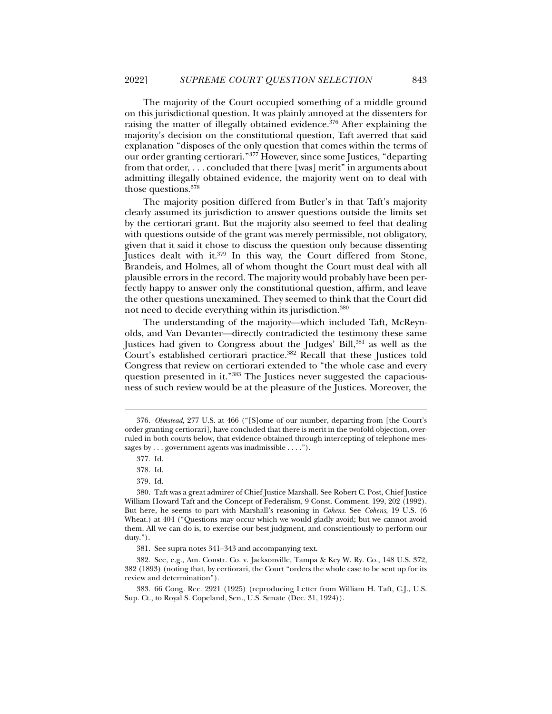The majority of the Court occupied something of a middle ground on this jurisdictional question. It was plainly annoyed at the dissenters for raising the matter of illegally obtained evidence.376 After explaining the majority's decision on the constitutional question, Taft averred that said explanation "disposes of the only question that comes within the terms of our order granting certiorari."377 However, since some Justices, "departing from that order, . . . concluded that there [was] merit" in arguments about admitting illegally obtained evidence, the majority went on to deal with those questions.378

The majority position differed from Butler's in that Taft's majority clearly assumed its jurisdiction to answer questions outside the limits set by the certiorari grant. But the majority also seemed to feel that dealing with questions outside of the grant was merely permissible, not obligatory, given that it said it chose to discuss the question only because dissenting Justices dealt with it.<sup>379</sup> In this way, the Court differed from Stone, Brandeis, and Holmes, all of whom thought the Court must deal with all plausible errors in the record. The majority would probably have been perfectly happy to answer only the constitutional question, affirm, and leave the other questions unexamined. They seemed to think that the Court did not need to decide everything within its jurisdiction.380

The understanding of the majority—which included Taft, McReynolds, and Van Devanter—directly contradicted the testimony these same Justices had given to Congress about the Judges' Bill,381 as well as the Court's established certiorari practice.<sup>382</sup> Recall that these Justices told Congress that review on certiorari extended to "the whole case and every question presented in it."383 The Justices never suggested the capaciousness of such review would be at the pleasure of the Justices. Moreover, the

 $\ddot{ }$ 

<sup>376</sup>*. Olmstead*, 277 U.S. at 466 ("[S]ome of our number, departing from [the Court's order granting certiorari], have concluded that there is merit in the twofold objection, overruled in both courts below, that evidence obtained through intercepting of telephone messages by . . . government agents was inadmissible . . . .").

 <sup>377.</sup> Id.

 <sup>378.</sup> Id.

 <sup>379.</sup> Id.

 <sup>380.</sup> Taft was a great admirer of Chief Justice Marshall. See Robert C. Post, Chief Justice William Howard Taft and the Concept of Federalism, 9 Const. Comment. 199, 202 (1992). But here, he seems to part with Marshall's reasoning in *Cohens*. See *Cohens*, 19 U.S. (6 Wheat.) at 404 ("Questions may occur which we would gladly avoid; but we cannot avoid them. All we can do is, to exercise our best judgment, and conscientiously to perform our duty.").

 <sup>381.</sup> See supra notes 341–343 and accompanying text.

 <sup>382.</sup> See, e.g., Am. Constr. Co. v. Jacksonville, Tampa & Key W. Ry. Co., 148 U.S. 372, 382 (1893) (noting that, by certiorari, the Court "orders the whole case to be sent up for its review and determination").

 <sup>383. 66</sup> Cong. Rec. 2921 (1925) (reproducing Letter from William H. Taft, C.J., U.S. Sup. Ct., to Royal S. Copeland, Sen., U.S. Senate (Dec. 31, 1924)).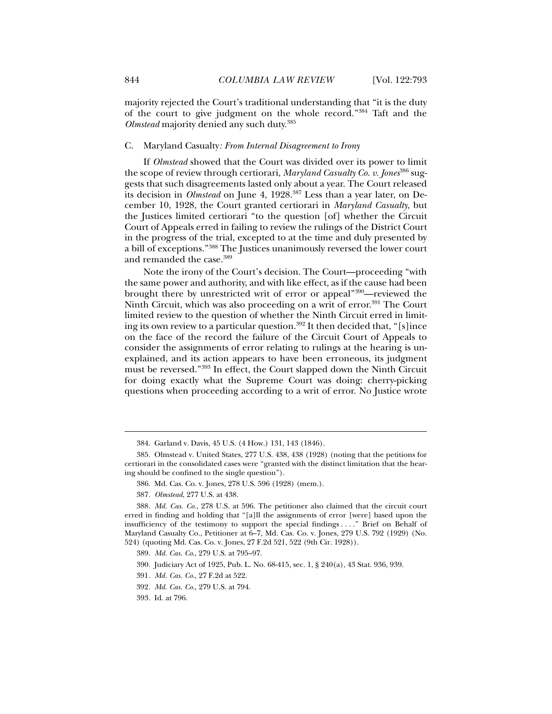majority rejected the Court's traditional understanding that "it is the duty of the court to give judgment on the whole record."384 Taft and the *Olmstead* majority denied any such duty.385

# C.Maryland Casualty*: From Internal Disagreement to Irony*

If *Olmstead* showed that the Court was divided over its power to limit the scope of review through certiorari, *Maryland Casualty Co. v. Jones*386 suggests that such disagreements lasted only about a year. The Court released its decision in *Olmstead* on June 4, 1928.<sup>387</sup> Less than a year later, on December 10, 1928, the Court granted certiorari in *Maryland Casualty*, but the Justices limited certiorari "to the question [of] whether the Circuit Court of Appeals erred in failing to review the rulings of the District Court in the progress of the trial, excepted to at the time and duly presented by a bill of exceptions."388 The Justices unanimously reversed the lower court and remanded the case.389

Note the irony of the Court's decision. The Court—proceeding "with the same power and authority, and with like effect, as if the cause had been brought there by unrestricted writ of error or appeal"390—reviewed the Ninth Circuit, which was also proceeding on a writ of error.<sup>391</sup> The Court limited review to the question of whether the Ninth Circuit erred in limiting its own review to a particular question.<sup>392</sup> It then decided that, "[s]ince on the face of the record the failure of the Circuit Court of Appeals to consider the assignments of error relating to rulings at the hearing is unexplained, and its action appears to have been erroneous, its judgment must be reversed."393 In effect, the Court slapped down the Ninth Circuit for doing exactly what the Supreme Court was doing: cherry-picking questions when proceeding according to a writ of error. No Justice wrote

 <sup>384.</sup> Garland v. Davis, 45 U.S. (4 How.) 131, 143 (1846).

 <sup>385.</sup> Olmstead v. United States, 277 U.S. 438, 438 (1928) (noting that the petitions for certiorari in the consolidated cases were "granted with the distinct limitation that the hearing should be confined to the single question").

 <sup>386.</sup> Md. Cas. Co. v. Jones, 278 U.S. 596 (1928) (mem.).

<sup>387</sup>*. Olmstead*, 277 U.S. at 438.

<sup>388</sup>*. Md. Cas. Co.*, 278 U.S. at 596. The petitioner also claimed that the circuit court erred in finding and holding that "[a]ll the assignments of error [were] based upon the insufficiency of the testimony to support the special findings . . . ." Brief on Behalf of Maryland Casualty Co., Petitioner at 6–7, Md. Cas. Co. v. Jones, 279 U.S. 792 (1929) (No. 524) (quoting Md. Cas. Co. v. Jones, 27 F.2d 521, 522 (9th Cir. 1928)).

 <sup>389.</sup> *Md. Cas. Co*., 279 U.S. at 795–97.

 <sup>390.</sup> Judiciary Act of 1925, Pub. L. No. 68-415, sec. 1, § 240(a), 43 Stat. 936, 939.

<sup>391</sup>*. Md. Cas. Co.*, 27 F.2d at 522.

<sup>392</sup>*. Md. Cas. Co.*, 279 U.S. at 794.

 <sup>393.</sup> Id. at 796.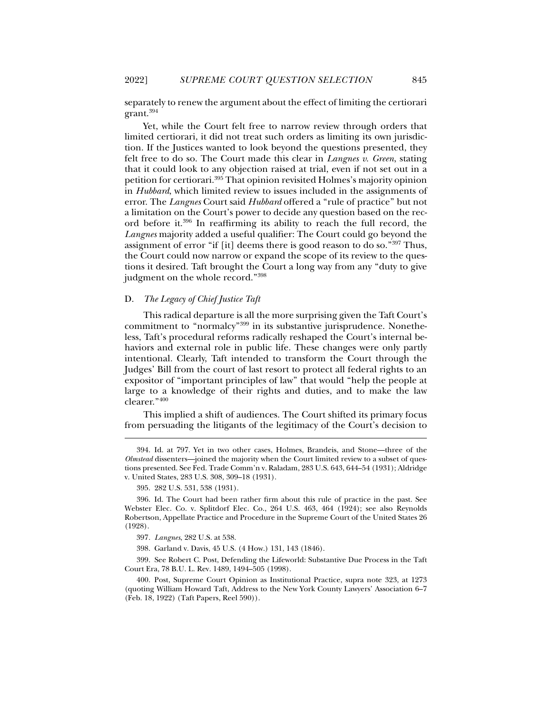separately to renew the argument about the effect of limiting the certiorari grant.394

Yet, while the Court felt free to narrow review through orders that limited certiorari, it did not treat such orders as limiting its own jurisdiction. If the Justices wanted to look beyond the questions presented, they felt free to do so. The Court made this clear in *Langnes v. Green*, stating that it could look to any objection raised at trial, even if not set out in a petition for certiorari.395 That opinion revisited Holmes's majority opinion in *Hubbard*, which limited review to issues included in the assignments of error. The *Langnes* Court said *Hubbard* offered a "rule of practice" but not a limitation on the Court's power to decide any question based on the record before it.396 In reaffirming its ability to reach the full record, the *Langnes* majority added a useful qualifier: The Court could go beyond the assignment of error "if [it] deems there is good reason to do so."397 Thus, the Court could now narrow or expand the scope of its review to the questions it desired. Taft brought the Court a long way from any "duty to give judgment on the whole record."398

# D. *The Legacy of Chief Justice Taft*

This radical departure is all the more surprising given the Taft Court's commitment to "normalcy"399 in its substantive jurisprudence. Nonetheless, Taft's procedural reforms radically reshaped the Court's internal behaviors and external role in public life. These changes were only partly intentional. Clearly, Taft intended to transform the Court through the Judges' Bill from the court of last resort to protect all federal rights to an expositor of "important principles of law" that would "help the people at large to a knowledge of their rights and duties, and to make the law clearer."400

This implied a shift of audiences. The Court shifted its primary focus from persuading the litigants of the legitimacy of the Court's decision to

j

398. Garland v. Davis, 45 U.S. (4 How.) 131, 143 (1846).

 399. See Robert C. Post, Defending the Lifeworld: Substantive Due Process in the Taft Court Era, 78 B.U. L. Rev. 1489, 1494–505 (1998).

 400. Post, Supreme Court Opinion as Institutional Practice, supra note 323, at 1273 (quoting William Howard Taft, Address to the New York County Lawyers' Association 6–7 (Feb. 18, 1922) (Taft Papers, Reel 590)).

 <sup>394.</sup> Id. at 797. Yet in two other cases, Holmes, Brandeis, and Stone—three of the *Olmstead* dissenters—joined the majority when the Court limited review to a subset of questions presented. See Fed. Trade Comm'n v. Raladam, 283 U.S. 643, 644–54 (1931); Aldridge v. United States, 283 U.S. 308, 309–18 (1931).

 <sup>395. 282</sup> U.S. 531, 538 (1931).

 <sup>396.</sup> Id. The Court had been rather firm about this rule of practice in the past. See Webster Elec. Co. v. Splitdorf Elec. Co., 264 U.S. 463, 464 (1924); see also Reynolds Robertson, Appellate Practice and Procedure in the Supreme Court of the United States 26 (1928).

<sup>397</sup>*. Langnes*, 282 U.S. at 538.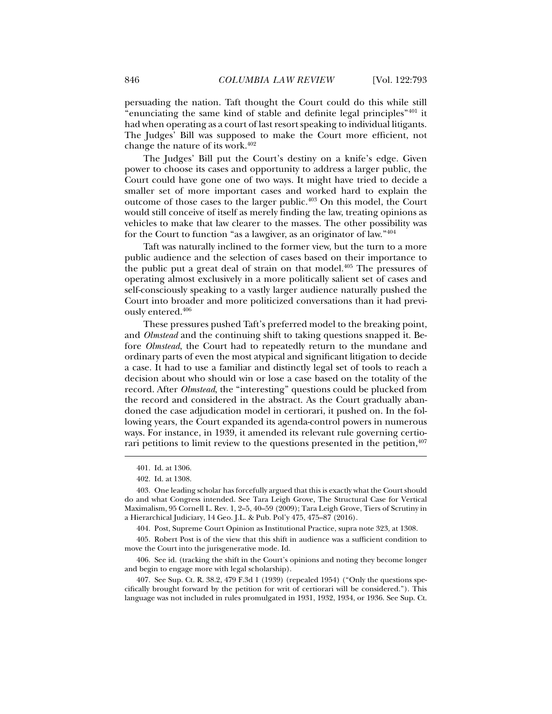persuading the nation. Taft thought the Court could do this while still "enunciating the same kind of stable and definite legal principles"401 it had when operating as a court of last resort speaking to individual litigants. The Judges' Bill was supposed to make the Court more efficient, not change the nature of its work.402

The Judges' Bill put the Court's destiny on a knife's edge. Given power to choose its cases and opportunity to address a larger public, the Court could have gone one of two ways. It might have tried to decide a smaller set of more important cases and worked hard to explain the outcome of those cases to the larger public.<sup>403</sup> On this model, the Court would still conceive of itself as merely finding the law, treating opinions as vehicles to make that law clearer to the masses. The other possibility was for the Court to function "as a lawgiver, as an originator of law."404

Taft was naturally inclined to the former view, but the turn to a more public audience and the selection of cases based on their importance to the public put a great deal of strain on that model. $405$  The pressures of operating almost exclusively in a more politically salient set of cases and self-consciously speaking to a vastly larger audience naturally pushed the Court into broader and more politicized conversations than it had previously entered.406

These pressures pushed Taft's preferred model to the breaking point, and *Olmstead* and the continuing shift to taking questions snapped it. Before *Olmstead*, the Court had to repeatedly return to the mundane and ordinary parts of even the most atypical and significant litigation to decide a case. It had to use a familiar and distinctly legal set of tools to reach a decision about who should win or lose a case based on the totality of the record. After *Olmstead*, the "interesting" questions could be plucked from the record and considered in the abstract. As the Court gradually abandoned the case adjudication model in certiorari, it pushed on. In the following years, the Court expanded its agenda-control powers in numerous ways. For instance, in 1939, it amended its relevant rule governing certiorari petitions to limit review to the questions presented in the petition, $407$ 

j

404. Post, Supreme Court Opinion as Institutional Practice, supra note 323, at 1308.

 405. Robert Post is of the view that this shift in audience was a sufficient condition to move the Court into the jurisgenerative mode. Id.

 406. See id. (tracking the shift in the Court's opinions and noting they become longer and begin to engage more with legal scholarship).

 407. See Sup. Ct. R. 38.2, 479 F.3d 1 (1939) (repealed 1954) ("Only the questions specifically brought forward by the petition for writ of certiorari will be considered."). This language was not included in rules promulgated in 1931, 1932, 1934, or 1936. See Sup. Ct.

 <sup>401.</sup> Id. at 1306.

 <sup>402.</sup> Id. at 1308.

 <sup>403.</sup> One leading scholar has forcefully argued that this is exactly what the Court should do and what Congress intended. See Tara Leigh Grove, The Structural Case for Vertical Maximalism, 95 Cornell L. Rev. 1, 2–5, 40–59 (2009); Tara Leigh Grove, Tiers of Scrutiny in a Hierarchical Judiciary, 14 Geo. J.L. & Pub. Pol'y 475, 475–87 (2016).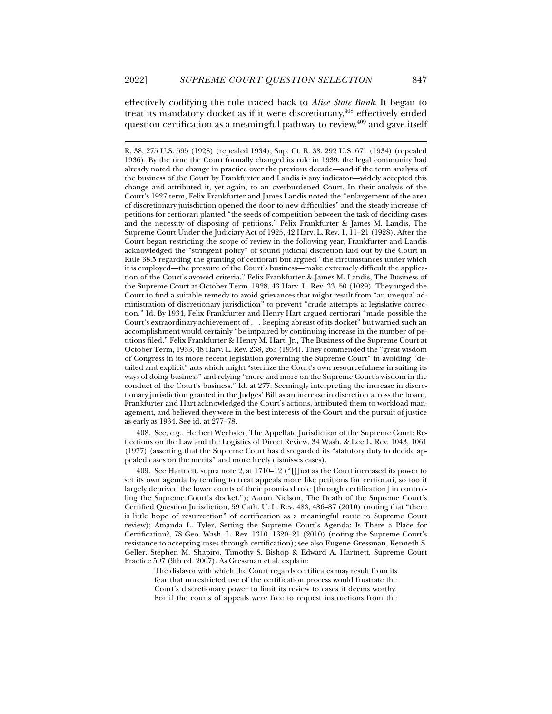j

effectively codifying the rule traced back to *Alice State Bank*. It began to treat its mandatory docket as if it were discretionary,<sup>408</sup> effectively ended question certification as a meaningful pathway to review,<sup>409</sup> and gave itself

 408. See, e.g., Herbert Wechsler, The Appellate Jurisdiction of the Supreme Court: Reflections on the Law and the Logistics of Direct Review, 34 Wash. & Lee L. Rev. 1043, 1061 (1977) (asserting that the Supreme Court has disregarded its "statutory duty to decide appealed cases on the merits" and more freely dismisses cases).

 409. See Hartnett, supra note 2, at 1710–12 ("[J]ust as the Court increased its power to set its own agenda by tending to treat appeals more like petitions for certiorari, so too it largely deprived the lower courts of their promised role [through certification] in controlling the Supreme Court's docket."); Aaron Nielson, The Death of the Supreme Court's Certified Question Jurisdiction, 59 Cath. U. L. Rev. 483, 486–87 (2010) (noting that "there is little hope of resurrection" of certification as a meaningful route to Supreme Court review); Amanda L. Tyler, Setting the Supreme Court's Agenda: Is There a Place for Certification?, 78 Geo. Wash. L. Rev. 1310, 1320–21 (2010) (noting the Supreme Court's resistance to accepting cases through certification); see also Eugene Gressman, Kenneth S. Geller, Stephen M. Shapiro, Timothy S. Bishop & Edward A. Hartnett, Supreme Court Practice 597 (9th ed. 2007). As Gressman et al. explain:

The disfavor with which the Court regards certificates may result from its fear that unrestricted use of the certification process would frustrate the Court's discretionary power to limit its review to cases it deems worthy. For if the courts of appeals were free to request instructions from the

R. 38, 275 U.S. 595 (1928) (repealed 1934); Sup. Ct. R. 38, 292 U.S. 671 (1934) (repealed 1936). By the time the Court formally changed its rule in 1939, the legal community had already noted the change in practice over the previous decade—and if the term analysis of the business of the Court by Frankfurter and Landis is any indicator—widely accepted this change and attributed it, yet again, to an overburdened Court. In their analysis of the Court's 1927 term, Felix Frankfurter and James Landis noted the "enlargement of the area of discretionary jurisdiction opened the door to new difficulties" and the steady increase of petitions for certiorari planted "the seeds of competition between the task of deciding cases and the necessity of disposing of petitions." Felix Frankfurter & James M. Landis, The Supreme Court Under the Judiciary Act of 1925, 42 Harv. L. Rev. 1, 11–21 (1928). After the Court began restricting the scope of review in the following year, Frankfurter and Landis acknowledged the "stringent policy" of sound judicial discretion laid out by the Court in Rule 38.5 regarding the granting of certiorari but argued "the circumstances under which it is employed—the pressure of the Court's business—make extremely difficult the application of the Court's avowed criteria." Felix Frankfurter & James M. Landis, The Business of the Supreme Court at October Term, 1928, 43 Harv. L. Rev. 33, 50 (1029). They urged the Court to find a suitable remedy to avoid grievances that might result from "an unequal administration of discretionary jurisdiction" to prevent "crude attempts at legislative correction." Id. By 1934, Felix Frankfurter and Henry Hart argued certiorari "made possible the Court's extraordinary achievement of . . . keeping abreast of its docket" but warned such an accomplishment would certainly "be impaired by continuing increase in the number of petitions filed." Felix Frankfurter & Henry M. Hart, Jr., The Business of the Supreme Court at October Term, 1933, 48 Harv. L. Rev. 238, 263 (1934). They commended the "great wisdom of Congress in its more recent legislation governing the Supreme Court" in avoiding "detailed and explicit" acts which might "sterilize the Court's own resourcefulness in suiting its ways of doing business" and relying "more and more on the Supreme Court's wisdom in the conduct of the Court's business." Id. at 277. Seemingly interpreting the increase in discretionary jurisdiction granted in the Judges' Bill as an increase in discretion across the board, Frankfurter and Hart acknowledged the Court's actions, attributed them to workload management, and believed they were in the best interests of the Court and the pursuit of justice as early as 1934. See id. at 277–78.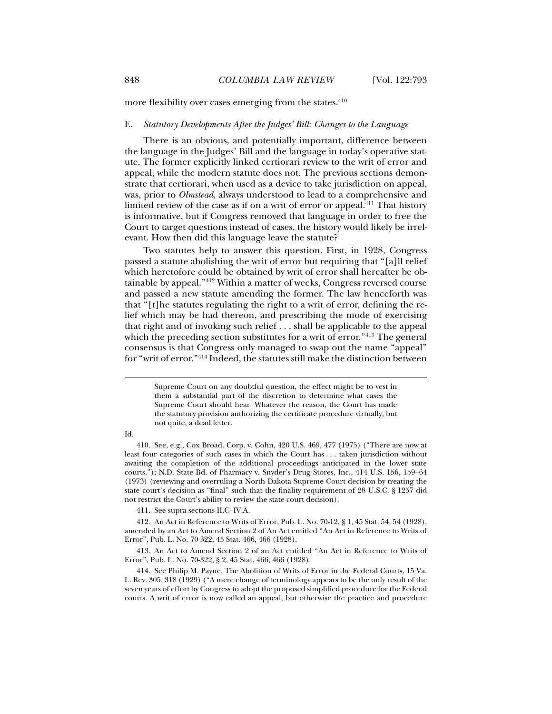more flexibility over cases emerging from the states.<sup>410</sup>

# E. *Statutory Developments After the Judges' Bill: Changes to the Language*

There is an obvious, and potentially important, difference between the language in the Judges' Bill and the language in today's operative statute. The former explicitly linked certiorari review to the writ of error and appeal, while the modern statute does not. The previous sections demonstrate that certiorari, when used as a device to take jurisdiction on appeal, was, prior to *Olmstead*, always understood to lead to a comprehensive and limited review of the case as if on a writ of error or appeal.<sup>411</sup> That history is informative, but if Congress removed that language in order to free the Court to target questions instead of cases, the history would likely be irrelevant. How then did this language leave the statute?

Two statutes help to answer this question. First, in 1928, Congress passed a statute abolishing the writ of error but requiring that "[a]ll relief which heretofore could be obtained by writ of error shall hereafter be obtainable by appeal."412 Within a matter of weeks, Congress reversed course and passed a new statute amending the former. The law henceforth was that "[t]he statutes regulating the right to a writ of error, defining the relief which may be had thereon, and prescribing the mode of exercising that right and of invoking such relief . . . shall be applicable to the appeal which the preceding section substitutes for a writ of error."<sup>413</sup> The general consensus is that Congress only managed to swap out the name "appeal" for "writ of error."414 Indeed, the statutes still make the distinction between

#### Id.

j

411. See supra sections II.C–IV.A.

 412. An Act in Reference to Writs of Error, Pub. L. No. 70-12, § 1, 45 Stat. 54, 54 (1928), amended by an Act to Amend Section 2 of An Act entitled "An Act in Reference to Writs of Error", Pub. L. No. 70-322, 45 Stat. 466, 466 (1928).

 413. An Act to Amend Section 2 of an Act entitled "An Act in Reference to Writs of Error", Pub. L. No. 70-322, § 2, 45 Stat. 466, 466 (1928).

 414. See Philip M. Payne, The Abolition of Writs of Error in the Federal Courts, 15 Va. L. Rev. 305, 318 (1929) ("A mere change of terminology appears to be the only result of the seven years of effort by Congress to adopt the proposed simplified procedure for the Federal courts. A writ of error is now called an appeal, but otherwise the practice and procedure

Supreme Court on any doubtful question, the effect might be to vest in them a substantial part of the discretion to determine what cases the Supreme Court should hear. Whatever the reason, the Court has made the statutory provision authorizing the certificate procedure virtually, but not quite, a dead letter.

 <sup>410.</sup> See, e.g.*,* Cox Broad. Corp. v. Cohn, 420 U.S. 469, 477 (1975) ("There are now at least four categories of such cases in which the Court has . . . taken jurisdiction without awaiting the completion of the additional proceedings anticipated in the lower state courts."); N.D. State Bd. of Pharmacy v. Snyder's Drug Stores, Inc., 414 U.S. 156, 159–64 (1973) (reviewing and overruling a North Dakota Supreme Court decision by treating the state court's decision as "final" such that the finality requirement of 28 U.S.C. § 1257 did not restrict the Court's ability to review the state court decision).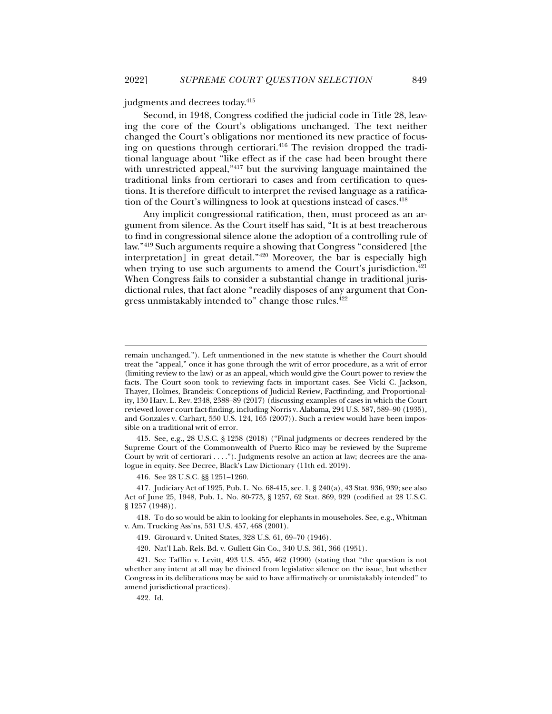### judgments and decrees today.415

Second, in 1948, Congress codified the judicial code in Title 28, leaving the core of the Court's obligations unchanged. The text neither changed the Court's obligations nor mentioned its new practice of focusing on questions through certiorari.<sup>416</sup> The revision dropped the traditional language about "like effect as if the case had been brought there with unrestricted appeal,"<sup>417</sup> but the surviving language maintained the traditional links from certiorari to cases and from certification to questions. It is therefore difficult to interpret the revised language as a ratification of the Court's willingness to look at questions instead of cases.<sup>418</sup>

Any implicit congressional ratification, then, must proceed as an argument from silence. As the Court itself has said, "It is at best treacherous to find in congressional silence alone the adoption of a controlling rule of law."419 Such arguments require a showing that Congress "considered [the interpretation] in great detail."420 Moreover, the bar is especially high when trying to use such arguments to amend the Court's jurisdiction.<sup>421</sup> When Congress fails to consider a substantial change in traditional jurisdictional rules, that fact alone "readily disposes of any argument that Congress unmistakably intended to" change those rules.422

 415. See, e.g., 28 U.S.C. § 1258 (2018) ("Final judgments or decrees rendered by the Supreme Court of the Commonwealth of Puerto Rico may be reviewed by the Supreme Court by writ of certiorari . . . ."). Judgments resolve an action at law; decrees are the analogue in equity. See Decree, Black's Law Dictionary (11th ed. 2019).

416. See 28 U.S.C. §§ 1251–1260.

 417. Judiciary Act of 1925, Pub. L. No. 68-415, sec. 1, § 240(a), 43 Stat. 936, 939; see also Act of June 25, 1948, Pub. L. No. 80-773, § 1257, 62 Stat. 869, 929 (codified at 28 U.S.C. § 1257 (1948)).

 418. To do so would be akin to looking for elephants in mouseholes. See, e.g., Whitman v. Am. Trucking Ass'ns, 531 U.S. 457, 468 (2001).

419. Girouard v. United States, 328 U.S. 61, 69–70 (1946).

420. Nat'l Lab. Rels. Bd. v. Gullett Gin Co., 340 U.S. 361, 366 (1951).

 421. See Tafflin v. Levitt, 493 U.S. 455, 462 (1990) (stating that "the question is not whether any intent at all may be divined from legislative silence on the issue, but whether Congress in its deliberations may be said to have affirmatively or unmistakably intended" to amend jurisdictional practices).

422. Id.

remain unchanged."). Left unmentioned in the new statute is whether the Court should treat the "appeal," once it has gone through the writ of error procedure, as a writ of error (limiting review to the law) or as an appeal, which would give the Court power to review the facts. The Court soon took to reviewing facts in important cases. See Vicki C. Jackson, Thayer, Holmes, Brandeis: Conceptions of Judicial Review, Factfinding, and Proportionality, 130 Harv. L. Rev. 2348, 2388–89 (2017) (discussing examples of cases in which the Court reviewed lower court fact-finding, including Norris v. Alabama, 294 U.S. 587, 589–90 (1935), and Gonzales v. Carhart, 550 U.S. 124, 165 (2007)). Such a review would have been impossible on a traditional writ of error.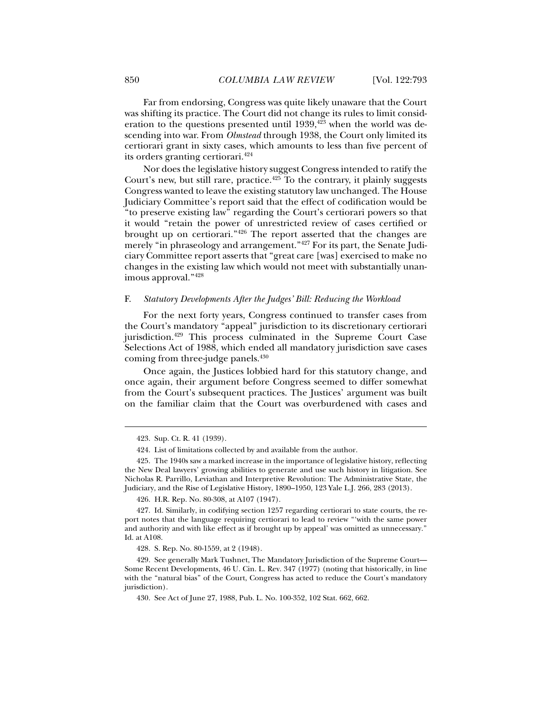Far from endorsing, Congress was quite likely unaware that the Court was shifting its practice. The Court did not change its rules to limit consideration to the questions presented until  $1939,$ <sup>423</sup> when the world was descending into war. From *Olmstead* through 1938, the Court only limited its certiorari grant in sixty cases, which amounts to less than five percent of its orders granting certiorari.424

Nor does the legislative history suggest Congress intended to ratify the Court's new, but still rare, practice.<sup>425</sup> To the contrary, it plainly suggests Congress wanted to leave the existing statutory law unchanged. The House Judiciary Committee's report said that the effect of codification would be "to preserve existing law" regarding the Court's certiorari powers so that it would "retain the power of unrestricted review of cases certified or brought up on certiorari."426 The report asserted that the changes are merely "in phraseology and arrangement."427 For its part, the Senate Judiciary Committee report asserts that "great care [was] exercised to make no changes in the existing law which would not meet with substantially unanimous approval."428

### F. *Statutory Developments After the Judges' Bill: Reducing the Workload*

For the next forty years, Congress continued to transfer cases from the Court's mandatory "appeal" jurisdiction to its discretionary certiorari jurisdiction.429 This process culminated in the Supreme Court Case Selections Act of 1988, which ended all mandatory jurisdiction save cases coming from three-judge panels.<sup>430</sup>

Once again, the Justices lobbied hard for this statutory change, and once again, their argument before Congress seemed to differ somewhat from the Court's subsequent practices. The Justices' argument was built on the familiar claim that the Court was overburdened with cases and

j

426. H.R. Rep. No. 80-308, at A107 (1947).

428. S. Rep. No. 80-1559, at 2 (1948).

 429. See generally Mark Tushnet, The Mandatory Jurisdiction of the Supreme Court— Some Recent Developments, 46 U. Cin. L. Rev. 347 (1977) (noting that historically, in line with the "natural bias" of the Court, Congress has acted to reduce the Court's mandatory jurisdiction).

430. See Act of June 27, 1988, Pub. L. No. 100-352, 102 Stat. 662, 662.

 <sup>423.</sup> Sup. Ct. R. 41 (1939).

 <sup>424.</sup> List of limitations collected by and available from the author.

 <sup>425.</sup> The 1940s saw a marked increase in the importance of legislative history, reflecting the New Deal lawyers' growing abilities to generate and use such history in litigation. See Nicholas R. Parrillo, Leviathan and Interpretive Revolution: The Administrative State, the Judiciary, and the Rise of Legislative History, 1890–1950, 123 Yale L.J. 266, 283 (2013).

 <sup>427.</sup> Id. Similarly, in codifying section 1257 regarding certiorari to state courts, the report notes that the language requiring certiorari to lead to review "'with the same power and authority and with like effect as if brought up by appeal' was omitted as unnecessary." Id. at A108.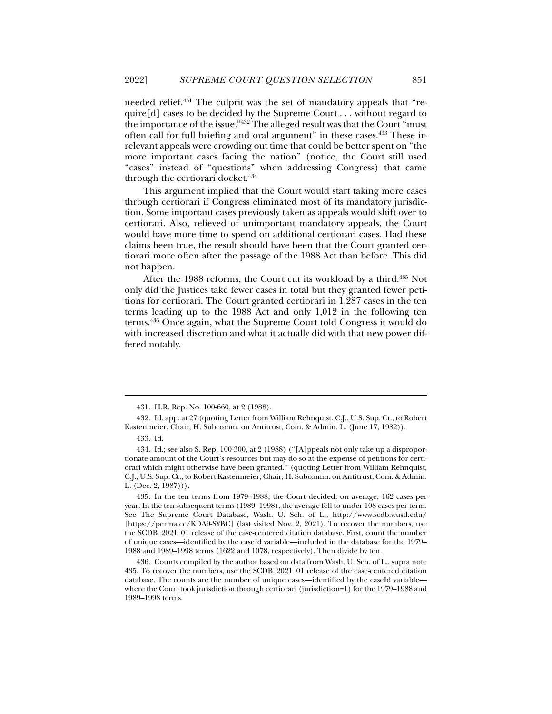needed relief.431 The culprit was the set of mandatory appeals that "require[d] cases to be decided by the Supreme Court . . . without regard to the importance of the issue."432 The alleged result was that the Court "must often call for full briefing and oral argument" in these cases.433 These irrelevant appeals were crowding out time that could be better spent on "the more important cases facing the nation" (notice, the Court still used "cases" instead of "questions" when addressing Congress) that came through the certiorari docket.<sup>434</sup>

This argument implied that the Court would start taking more cases through certiorari if Congress eliminated most of its mandatory jurisdiction. Some important cases previously taken as appeals would shift over to certiorari. Also, relieved of unimportant mandatory appeals, the Court would have more time to spend on additional certiorari cases. Had these claims been true, the result should have been that the Court granted certiorari more often after the passage of the 1988 Act than before. This did not happen.

After the 1988 reforms, the Court cut its workload by a third.435 Not only did the Justices take fewer cases in total but they granted fewer petitions for certiorari. The Court granted certiorari in 1,287 cases in the ten terms leading up to the 1988 Act and only 1,012 in the following ten terms.436 Once again, what the Supreme Court told Congress it would do with increased discretion and what it actually did with that new power differed notably.

 <sup>431.</sup> H.R. Rep. No. 100-660, at 2 (1988).

 <sup>432.</sup> Id. app. at 27 (quoting Letter from William Rehnquist, C.J., U.S. Sup. Ct., to Robert Kastenmeier, Chair, H. Subcomm. on Antitrust, Com. & Admin. L. (June 17, 1982)).

 <sup>433.</sup> Id.

 <sup>434.</sup> Id.; see also S. Rep. 100-300, at 2 (1988) ("[A]ppeals not only take up a disproportionate amount of the Court's resources but may do so at the expense of petitions for certiorari which might otherwise have been granted." (quoting Letter from William Rehnquist, C.J., U.S. Sup. Ct., to Robert Kastenmeier, Chair, H. Subcomm. on Antitrust, Com. & Admin. L. (Dec. 2, 1987))).

 <sup>435.</sup> In the ten terms from 1979–1988, the Court decided, on average, 162 cases per year. In the ten subsequent terms (1989–1998), the average fell to under 108 cases per term. See The Supreme Court Database, Wash. U. Sch. of L., http://www.scdb.wustl.edu/ [https://perma.cc/KDA9-SYBC] (last visited Nov. 2, 2021). To recover the numbers, use the SCDB\_2021\_01 release of the case-centered citation database. First, count the number of unique cases—identified by the caseId variable—included in the database for the 1979– 1988 and 1989–1998 terms (1622 and 1078, respectively). Then divide by ten.

 <sup>436.</sup> Counts compiled by the author based on data from Wash. U. Sch. of L., supra note 435. To recover the numbers, use the SCDB\_2021\_01 release of the case-centered citation database. The counts are the number of unique cases—identified by the caseId variable where the Court took jurisdiction through certiorari (jurisdiction=1) for the 1979–1988 and 1989–1998 terms.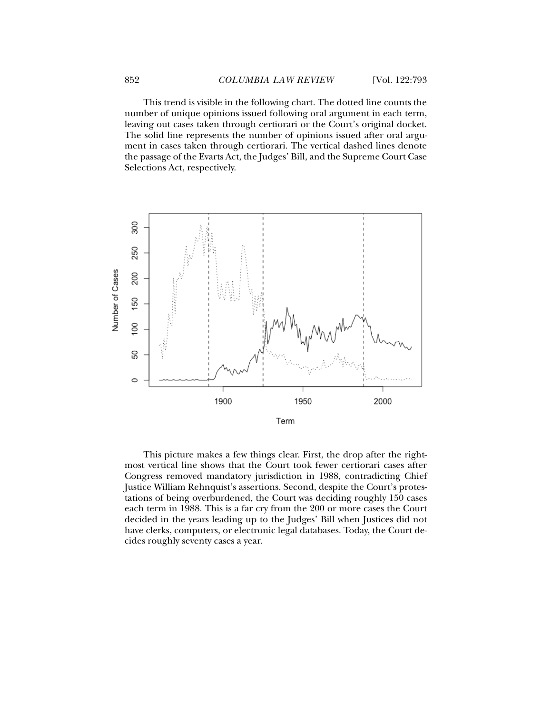This trend is visible in the following chart. The dotted line counts the number of unique opinions issued following oral argument in each term, leaving out cases taken through certiorari or the Court's original docket. The solid line represents the number of opinions issued after oral argument in cases taken through certiorari. The vertical dashed lines denote the passage of the Evarts Act, the Judges' Bill, and the Supreme Court Case Selections Act, respectively.



This picture makes a few things clear. First, the drop after the rightmost vertical line shows that the Court took fewer certiorari cases after Congress removed mandatory jurisdiction in 1988, contradicting Chief Justice William Rehnquist's assertions. Second, despite the Court's protestations of being overburdened, the Court was deciding roughly 150 cases each term in 1988. This is a far cry from the 200 or more cases the Court decided in the years leading up to the Judges' Bill when Justices did not have clerks, computers, or electronic legal databases. Today, the Court decides roughly seventy cases a year.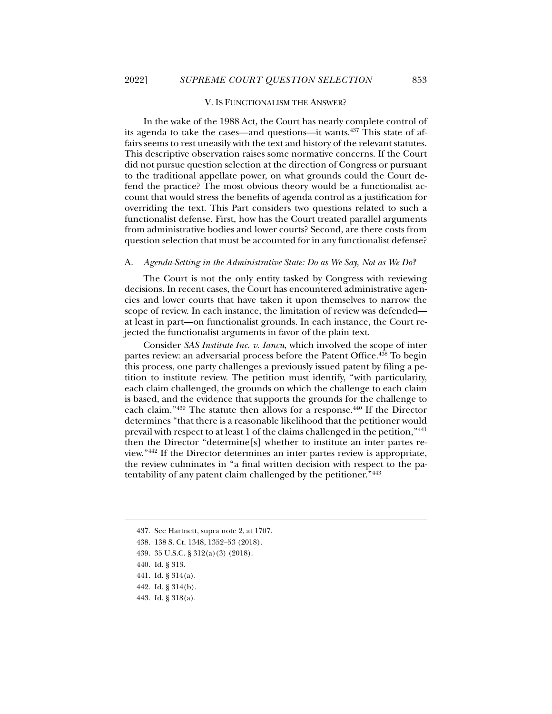### V. IS FUNCTIONALISM THE ANSWER?

In the wake of the 1988 Act, the Court has nearly complete control of its agenda to take the cases—and questions—it wants.437 This state of affairs seems to rest uneasily with the text and history of the relevant statutes. This descriptive observation raises some normative concerns. If the Court did not pursue question selection at the direction of Congress or pursuant to the traditional appellate power, on what grounds could the Court defend the practice? The most obvious theory would be a functionalist account that would stress the benefits of agenda control as a justification for overriding the text. This Part considers two questions related to such a functionalist defense. First, how has the Court treated parallel arguments from administrative bodies and lower courts? Second, are there costs from question selection that must be accounted for in any functionalist defense?

# A. *Agenda-Setting in the Administrative State: Do as We Say, Not as We Do?*

The Court is not the only entity tasked by Congress with reviewing decisions. In recent cases, the Court has encountered administrative agencies and lower courts that have taken it upon themselves to narrow the scope of review. In each instance, the limitation of review was defended at least in part—on functionalist grounds. In each instance, the Court rejected the functionalist arguments in favor of the plain text.

Consider *SAS Institute Inc. v. Iancu*, which involved the scope of inter partes review: an adversarial process before the Patent Office.<sup>438</sup> To begin this process, one party challenges a previously issued patent by filing a petition to institute review. The petition must identify, "with particularity, each claim challenged, the grounds on which the challenge to each claim is based, and the evidence that supports the grounds for the challenge to each claim."<sup>439</sup> The statute then allows for a response.<sup>440</sup> If the Director determines "that there is a reasonable likelihood that the petitioner would prevail with respect to at least 1 of the claims challenged in the petition,"441 then the Director "determine[s] whether to institute an inter partes review."442 If the Director determines an inter partes review is appropriate, the review culminates in "a final written decision with respect to the patentability of any patent claim challenged by the petitioner."443

 <sup>437.</sup> See Hartnett, supra note 2, at 1707.

 <sup>438. 138</sup> S. Ct. 1348, 1352–53 (2018).

 <sup>439. 35</sup> U.S.C. § 312(a)(3) (2018).

 <sup>440.</sup> Id. § 313.

 <sup>441.</sup> Id. § 314(a).

 <sup>442.</sup> Id. § 314(b).

 <sup>443.</sup> Id. § 318(a).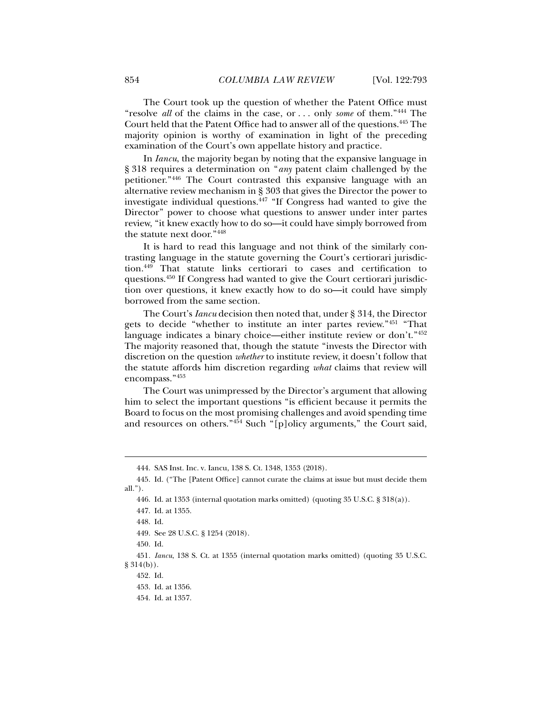The Court took up the question of whether the Patent Office must "resolve *all* of the claims in the case, or . . . only *some* of them."444 The Court held that the Patent Office had to answer all of the questions.445 The majority opinion is worthy of examination in light of the preceding examination of the Court's own appellate history and practice.

In *Iancu*, the majority began by noting that the expansive language in § 318 requires a determination on "*any* patent claim challenged by the petitioner."446 The Court contrasted this expansive language with an alternative review mechanism in § 303 that gives the Director the power to investigate individual questions.447 "If Congress had wanted to give the Director" power to choose what questions to answer under inter partes review, "it knew exactly how to do so—it could have simply borrowed from the statute next door."448

It is hard to read this language and not think of the similarly contrasting language in the statute governing the Court's certiorari jurisdiction.449 That statute links certiorari to cases and certification to questions.450 If Congress had wanted to give the Court certiorari jurisdiction over questions, it knew exactly how to do so—it could have simply borrowed from the same section.

The Court's *Iancu* decision then noted that, under § 314, the Director gets to decide "whether to institute an inter partes review."451 "That language indicates a binary choice—either institute review or don't."452 The majority reasoned that, though the statute "invests the Director with discretion on the question *whether* to institute review, it doesn't follow that the statute affords him discretion regarding *what* claims that review will encompass."453

The Court was unimpressed by the Director's argument that allowing him to select the important questions "is efficient because it permits the Board to focus on the most promising challenges and avoid spending time and resources on others."<sup>454</sup> Such "[p]olicy arguments," the Court said,

 <sup>444.</sup> SAS Inst. Inc. v. Iancu, 138 S. Ct. 1348, 1353 (2018).

 <sup>445.</sup> Id. ("The [Patent Office] cannot curate the claims at issue but must decide them all.").

 <sup>446.</sup> Id. at 1353 (internal quotation marks omitted) (quoting 35 U.S.C. § 318(a)).

 <sup>447.</sup> Id. at 1355.

 <sup>448.</sup> Id.

 <sup>449.</sup> See 28 U.S.C. § 1254 (2018).

 <sup>450.</sup> Id.

<sup>451</sup>*. Iancu*, 138 S. Ct. at 1355 (internal quotation marks omitted) (quoting 35 U.S.C. § 314(b)).

 <sup>452.</sup> Id.

 <sup>453.</sup> Id. at 1356.

 <sup>454.</sup> Id. at 1357.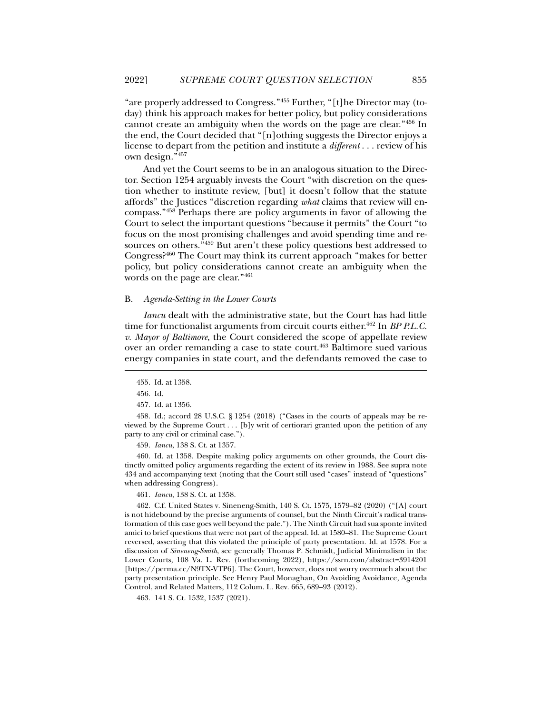"are properly addressed to Congress."455 Further, "[t]he Director may (today) think his approach makes for better policy, but policy considerations cannot create an ambiguity when the words on the page are clear."456 In the end, the Court decided that "[n]othing suggests the Director enjoys a license to depart from the petition and institute a *different* . . . review of his own design."457

And yet the Court seems to be in an analogous situation to the Director. Section 1254 arguably invests the Court "with discretion on the question whether to institute review, [but] it doesn't follow that the statute affords" the Justices "discretion regarding *what* claims that review will encompass."458 Perhaps there are policy arguments in favor of allowing the Court to select the important questions "because it permits" the Court "to focus on the most promising challenges and avoid spending time and resources on others.<sup>7459</sup> But aren't these policy questions best addressed to Congress?460 The Court may think its current approach "makes for better policy, but policy considerations cannot create an ambiguity when the words on the page are clear."461

### B. *Agenda-Setting in the Lower Courts*

*Iancu* dealt with the administrative state, but the Court has had little time for functionalist arguments from circuit courts either.<sup>462</sup> In *BP P.L.C. v. Mayor of Baltimore*, the Court considered the scope of appellate review over an order remanding a case to state court.<sup>463</sup> Baltimore sued various energy companies in state court, and the defendants removed the case to

j

457. Id. at 1356.

 458. Id.; accord 28 U.S.C. § 1254 (2018) ("Cases in the courts of appeals may be reviewed by the Supreme Court . . . [b]y writ of certiorari granted upon the petition of any party to any civil or criminal case.").

459*. Iancu*, 138 S. Ct. at 1357.

 460. Id. at 1358. Despite making policy arguments on other grounds, the Court distinctly omitted policy arguments regarding the extent of its review in 1988. See supra note 434 and accompanying text (noting that the Court still used "cases" instead of "questions" when addressing Congress).

461*. Iancu*, 138 S. Ct. at 1358.

 462. C.f. United States v. Sineneng-Smith, 140 S. Ct. 1575, 1579–82 (2020) ("[A] court is not hidebound by the precise arguments of counsel, but the Ninth Circuit's radical transformation of this case goes well beyond the pale."). The Ninth Circuit had sua sponte invited amici to brief questions that were not part of the appeal. Id. at 1580–81. The Supreme Court reversed, asserting that this violated the principle of party presentation. Id. at 1578. For a discussion of *Sineneng-Smith*, see generally Thomas P. Schmidt, Judicial Minimalism in the Lower Courts, 108 Va. L. Rev. (forthcoming 2022), https://ssrn.com/abstract=3914201 [https://perma.cc/N9TX-VTP6]. The Court, however, does not worry overmuch about the party presentation principle. See Henry Paul Monaghan, On Avoiding Avoidance, Agenda Control, and Related Matters, 112 Colum. L. Rev. 665, 689–93 (2012).

463. 141 S. Ct. 1532, 1537 (2021).

 <sup>455.</sup> Id. at 1358.

 <sup>456.</sup> Id.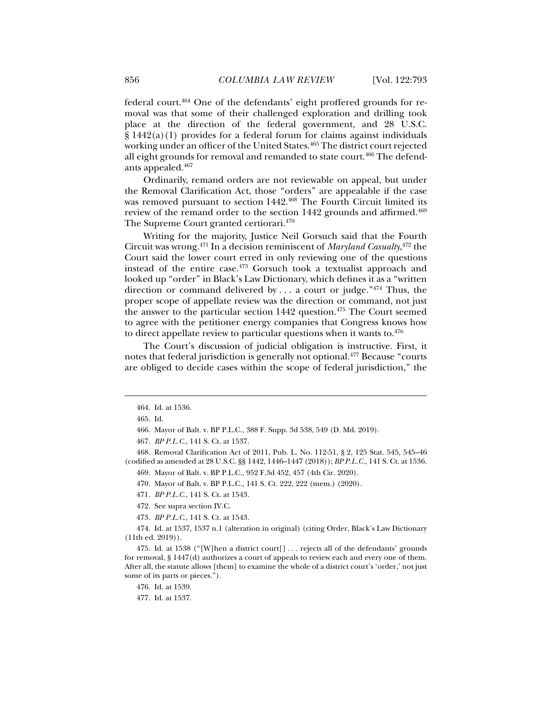federal court.464 One of the defendants' eight proffered grounds for removal was that some of their challenged exploration and drilling took place at the direction of the federal government, and 28 U.S.C.  $\S 1442(a)(1)$  provides for a federal forum for claims against individuals working under an officer of the United States.<sup>465</sup> The district court rejected all eight grounds for removal and remanded to state court.<sup>466</sup> The defendants appealed.467

Ordinarily, remand orders are not reviewable on appeal, but under the Removal Clarification Act, those "orders" are appealable if the case was removed pursuant to section 1442.<sup>468</sup> The Fourth Circuit limited its review of the remand order to the section 1442 grounds and affirmed.<sup>469</sup> The Supreme Court granted certiorari.470

Writing for the majority, Justice Neil Gorsuch said that the Fourth Circuit was wrong.471 In a decision reminiscent of *Maryland Casualty*, 472 the Court said the lower court erred in only reviewing one of the questions instead of the entire case.473 Gorsuch took a textualist approach and looked up "order" in Black's Law Dictionary, which defines it as a "written direction or command delivered by ... a court or judge." $474$  Thus, the proper scope of appellate review was the direction or command, not just the answer to the particular section 1442 question.475 The Court seemed to agree with the petitioner energy companies that Congress knows how to direct appellate review to particular questions when it wants to. $476$ 

The Court's discussion of judicial obligation is instructive. First, it notes that federal jurisdiction is generally not optional.477 Because "courts are obliged to decide cases within the scope of federal jurisdiction," the

 <sup>464.</sup> Id. at 1536.

 <sup>465.</sup> Id.

 <sup>466.</sup> Mayor of Balt. v. BP P.L.C., 388 F. Supp. 3d 538, 549 (D. Md. 2019).

<sup>467</sup>*. BP P.L.C.*, 141 S. Ct. at 1537.

 <sup>468.</sup> Removal Clarification Act of 2011, Pub. L. No. 112-51, § 2, 125 Stat. 545, 545–46 (codified as amended at 28 U.S.C. §§ 1442, 1446–1447 (2018)); *BP P.L.C.*, 141 S. Ct. at 1536. 469. Mayor of Balt. v. BP P.L.C., 952 F.3d 452, 457 (4th Cir. 2020).

 <sup>470.</sup> Mayor of Balt. v. BP P.L.C., 141 S. Ct. 222, 222 (mem.) (2020).

<sup>471</sup>*. BP P.L.C.*, 141 S. Ct. at 1543.

 <sup>472.</sup> See supra section IV.C.

<sup>473</sup>*. BP P.L.C.*, 141 S. Ct. at 1543.

 <sup>474.</sup> Id. at 1537, 1537 n.1 (alteration in original) (citing Order, Black's Law Dictionary (11th ed. 2019)).

 <sup>475.</sup> Id. at 1538 ("[W]hen a district court[] . . . rejects all of the defendants' grounds for removal, § 1447(d) authorizes a court of appeals to review each and every one of them. After all, the statute allows [them] to examine the whole of a district court's 'order,' not just some of its parts or pieces.").

 <sup>476.</sup> Id. at 1539.

 <sup>477.</sup> Id. at 1537.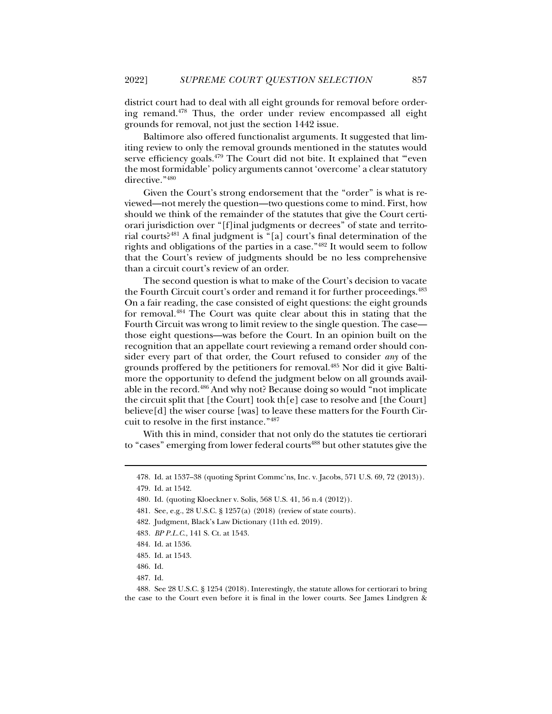district court had to deal with all eight grounds for removal before ordering remand.478 Thus, the order under review encompassed all eight grounds for removal, not just the section 1442 issue.

Baltimore also offered functionalist arguments. It suggested that limiting review to only the removal grounds mentioned in the statutes would serve efficiency goals.<sup>479</sup> The Court did not bite. It explained that "even the most formidable' policy arguments cannot 'overcome' a clear statutory directive."480

Given the Court's strong endorsement that the "order" is what is reviewed—not merely the question—two questions come to mind. First, how should we think of the remainder of the statutes that give the Court certiorari jurisdiction over "[f]inal judgments or decrees" of state and territorial courts?481 A final judgment is "[a] court's final determination of the rights and obligations of the parties in a case."482 It would seem to follow that the Court's review of judgments should be no less comprehensive than a circuit court's review of an order.

The second question is what to make of the Court's decision to vacate the Fourth Circuit court's order and remand it for further proceedings.483 On a fair reading, the case consisted of eight questions: the eight grounds for removal.484 The Court was quite clear about this in stating that the Fourth Circuit was wrong to limit review to the single question. The case those eight questions—was before the Court. In an opinion built on the recognition that an appellate court reviewing a remand order should consider every part of that order, the Court refused to consider *any* of the grounds proffered by the petitioners for removal.485 Nor did it give Baltimore the opportunity to defend the judgment below on all grounds available in the record.486 And why not? Because doing so would "not implicate the circuit split that [the Court] took th[e] case to resolve and [the Court] believe[d] the wiser course [was] to leave these matters for the Fourth Circuit to resolve in the first instance."487

With this in mind, consider that not only do the statutes tie certiorari to "cases" emerging from lower federal courts<sup>488</sup> but other statutes give the

 <sup>478.</sup> Id. at 1537–38 (quoting Sprint Commc'ns, Inc. v. Jacobs, 571 U.S. 69, 72 (2013)).

 <sup>479.</sup> Id. at 1542.

 <sup>480.</sup> Id. (quoting Kloeckner v. Solis, 568 U.S. 41, 56 n.4 (2012)).

 <sup>481.</sup> See, e.g., 28 U.S.C. § 1257(a) (2018) (review of state courts).

 <sup>482.</sup> Judgment, Black's Law Dictionary (11th ed. 2019).

<sup>483</sup>*. BP P.L.C.*, 141 S. Ct. at 1543.

 <sup>484.</sup> Id. at 1536.

 <sup>485.</sup> Id. at 1543.

 <sup>486.</sup> Id.

 <sup>487.</sup> Id.

 <sup>488.</sup> See 28 U.S.C. § 1254 (2018). Interestingly, the statute allows for certiorari to bring the case to the Court even before it is final in the lower courts. See James Lindgren &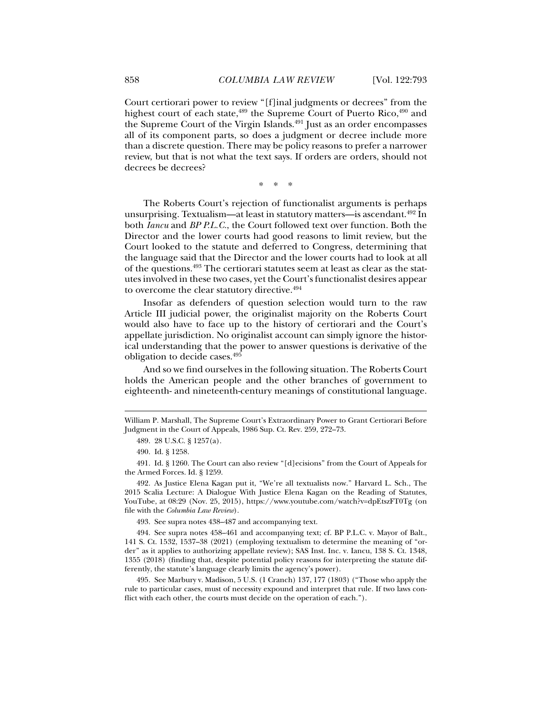Court certiorari power to review "[f]inal judgments or decrees" from the highest court of each state,<sup>489</sup> the Supreme Court of Puerto Rico,<sup>490</sup> and the Supreme Court of the Virgin Islands.<sup>491</sup> Just as an order encompasses all of its component parts, so does a judgment or decree include more than a discrete question. There may be policy reasons to prefer a narrower review, but that is not what the text says. If orders are orders, should not decrees be decrees?

\* \* \*

The Roberts Court's rejection of functionalist arguments is perhaps unsurprising. Textualism—at least in statutory matters—is ascendant.492 In both *Iancu* and *BP P.L.C.*, the Court followed text over function. Both the Director and the lower courts had good reasons to limit review, but the Court looked to the statute and deferred to Congress, determining that the language said that the Director and the lower courts had to look at all of the questions.493 The certiorari statutes seem at least as clear as the statutes involved in these two cases, yet the Court's functionalist desires appear to overcome the clear statutory directive.494

Insofar as defenders of question selection would turn to the raw Article III judicial power, the originalist majority on the Roberts Court would also have to face up to the history of certiorari and the Court's appellate jurisdiction. No originalist account can simply ignore the historical understanding that the power to answer questions is derivative of the obligation to decide cases.495

And so we find ourselves in the following situation. The Roberts Court holds the American people and the other branches of government to eighteenth- and nineteenth-century meanings of constitutional language.

j

493. See supra notes 438–487 and accompanying text.

 494. See supra notes 458–461 and accompanying text; cf. BP P.L.C. v. Mayor of Balt., 141 S. Ct. 1532, 1537–38 (2021) (employing textualism to determine the meaning of "order" as it applies to authorizing appellate review); SAS Inst. Inc. v. Iancu, 138 S. Ct. 1348, 1355 (2018) (finding that, despite potential policy reasons for interpreting the statute differently, the statute's language clearly limits the agency's power).

 495. See Marbury v. Madison, 5 U.S. (1 Cranch) 137, 177 (1803) ("Those who apply the rule to particular cases, must of necessity expound and interpret that rule. If two laws conflict with each other, the courts must decide on the operation of each.").

William P. Marshall, The Supreme Court's Extraordinary Power to Grant Certiorari Before Judgment in the Court of Appeals, 1986 Sup. Ct. Rev. 259, 272–73.

 <sup>489. 28</sup> U.S.C. § 1257(a).

 <sup>490.</sup> Id. § 1258.

 <sup>491.</sup> Id. § 1260. The Court can also review "[d]ecisions" from the Court of Appeals for the Armed Forces. Id. § 1259.

 <sup>492.</sup> As Justice Elena Kagan put it, "We're all textualists now." Harvard L. Sch., The 2015 Scalia Lecture: A Dialogue With Justice Elena Kagan on the Reading of Statutes, YouTube, at 08:29 (Nov. 25, 2015), https://www.youtube.com/watch?v=dpEtszFT0Tg (on file with the *Columbia Law Review*).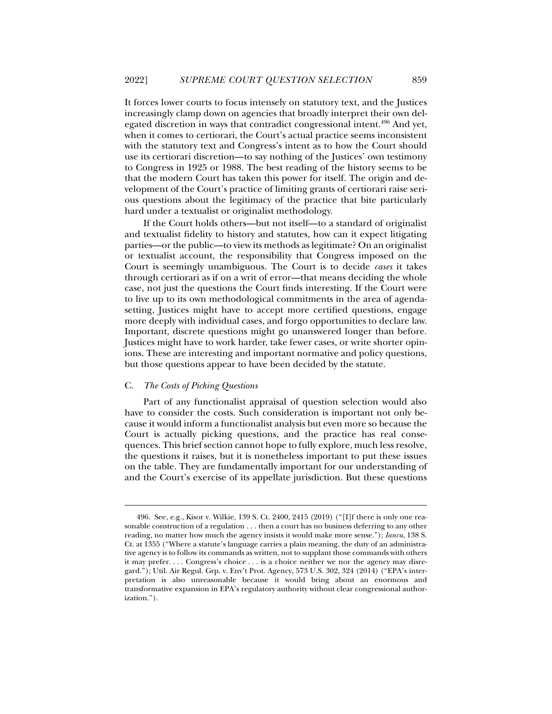It forces lower courts to focus intensely on statutory text, and the Justices increasingly clamp down on agencies that broadly interpret their own delegated discretion in ways that contradict congressional intent.<sup>496</sup> And yet, when it comes to certiorari, the Court's actual practice seems inconsistent with the statutory text and Congress's intent as to how the Court should use its certiorari discretion—to say nothing of the Justices' own testimony to Congress in 1925 or 1988. The best reading of the history seems to be that the modern Court has taken this power for itself. The origin and development of the Court's practice of limiting grants of certiorari raise serious questions about the legitimacy of the practice that bite particularly hard under a textualist or originalist methodology.

If the Court holds others—but not itself—to a standard of originalist and textualist fidelity to history and statutes, how can it expect litigating parties—or the public—to view its methods as legitimate? On an originalist or textualist account, the responsibility that Congress imposed on the Court is seemingly unambiguous. The Court is to decide *cases* it takes through certiorari as if on a writ of error—that means deciding the whole case, not just the questions the Court finds interesting. If the Court were to live up to its own methodological commitments in the area of agendasetting, Justices might have to accept more certified questions, engage more deeply with individual cases, and forgo opportunities to declare law. Important, discrete questions might go unanswered longer than before. Justices might have to work harder, take fewer cases, or write shorter opinions. These are interesting and important normative and policy questions, but those questions appear to have been decided by the statute.

# C. *The Costs of Picking Questions*

j

Part of any functionalist appraisal of question selection would also have to consider the costs. Such consideration is important not only because it would inform a functionalist analysis but even more so because the Court is actually picking questions, and the practice has real consequences. This brief section cannot hope to fully explore, much less resolve, the questions it raises, but it is nonetheless important to put these issues on the table. They are fundamentally important for our understanding of and the Court's exercise of its appellate jurisdiction. But these questions

 <sup>496.</sup> See, e.g., Kisor v. Wilkie, 139 S. Ct. 2400, 2415 (2019) ("[I]f there is only one reasonable construction of a regulation . . . then a court has no business deferring to any other reading, no matter how much the agency insists it would make more sense."); *Iancu*, 138 S. Ct. at 1355 ("Where a statute's language carries a plain meaning, the duty of an administrative agency is to follow its commands as written, not to supplant those commands with others it may prefer. . . . Congress's choice . . . is a choice neither we nor the agency may disregard."); Util. Air Regul. Grp. v. Env't Prot. Agency, 573 U.S. 302, 324 (2014) ("EPA's interpretation is also unreasonable because it would bring about an enormous and transformative expansion in EPA's regulatory authority without clear congressional authorization.").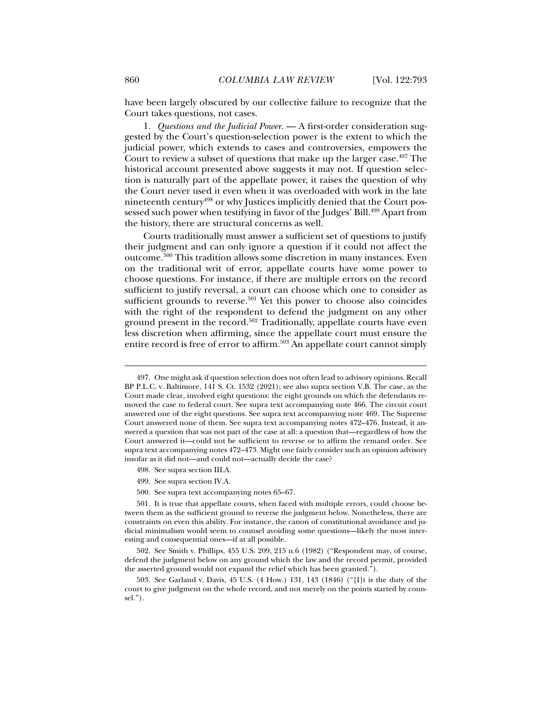have been largely obscured by our collective failure to recognize that the Court takes questions, not cases.

1. *Questions and the Judicial Power*. — A first-order consideration suggested by the Court's question-selection power is the extent to which the judicial power, which extends to cases and controversies, empowers the Court to review a subset of questions that make up the larger case.<sup>497</sup> The historical account presented above suggests it may not. If question selection is naturally part of the appellate power, it raises the question of why the Court never used it even when it was overloaded with work in the late nineteenth century<sup>498</sup> or why Justices implicitly denied that the Court possessed such power when testifying in favor of the Judges' Bill.<sup>499</sup> Apart from the history, there are structural concerns as well.

Courts traditionally must answer a sufficient set of questions to justify their judgment and can only ignore a question if it could not affect the outcome.500 This tradition allows some discretion in many instances. Even on the traditional writ of error, appellate courts have some power to choose questions. For instance, if there are multiple errors on the record sufficient to justify reversal, a court can choose which one to consider as sufficient grounds to reverse.<sup>501</sup> Yet this power to choose also coincides with the right of the respondent to defend the judgment on any other ground present in the record.502 Traditionally, appellate courts have even less discretion when affirming, since the appellate court must ensure the entire record is free of error to affirm.<sup>503</sup> An appellate court cannot simply

- 498. See supra section III.A.
- 499. See supra section IV.A.
- 500. See supra text accompanying notes 65–67.

 <sup>497.</sup> One might ask if question selection does not often lead to advisory opinions. Recall BP P.L.C. v. Baltimore, 141 S. Ct. 1532 (2021); see also supra section V.B. The case, as the Court made clear, involved eight questions: the eight grounds on which the defendants removed the case to federal court. See supra text accompanying note 466. The circuit court answered one of the eight questions. See supra text accompanying note 469. The Supreme Court answered none of them. See supra text accompanying notes 472–476. Instead, it answered a question that was not part of the case at all: a question that—regardless of how the Court answered it—could not be sufficient to reverse or to affirm the remand order. See supra text accompanying notes 472–473. Might one fairly consider such an opinion advisory insofar as it did not—and could not—actually decide the case?

 <sup>501.</sup> It is true that appellate courts, when faced with multiple errors, could choose between them as the sufficient ground to reverse the judgment below. Nonetheless, there are constraints on even this ability. For instance, the canon of constitutional avoidance and judicial minimalism would seem to counsel avoiding some questions—likely the most interesting and consequential ones—if at all possible.

 <sup>502.</sup> See Smith v. Phillips, 455 U.S. 209, 215 n.6 (1982) ("Respondent may, of course, defend the judgment below on any ground which the law and the record permit, provided the asserted ground would not expand the relief which has been granted.").

 <sup>503.</sup> See Garland v. Davis, 45 U.S. (4 How.) 131, 143 (1846) ("[I]t is the duty of the court to give judgment on the whole record, and not merely on the points started by counsel.").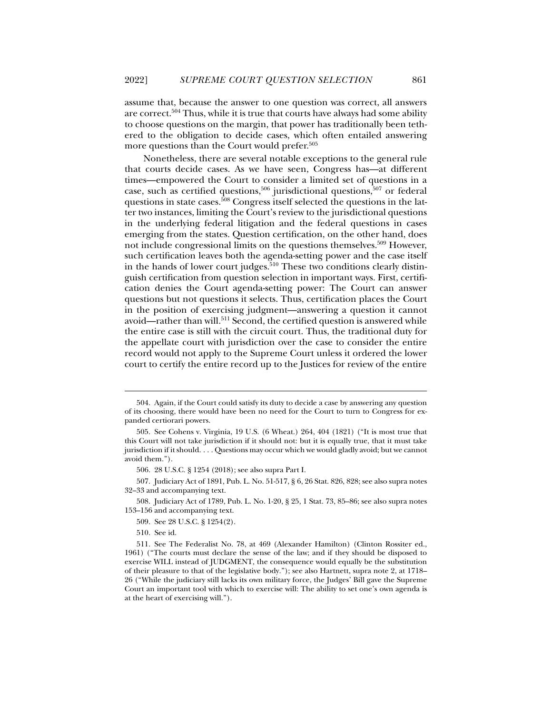assume that, because the answer to one question was correct, all answers are correct.504 Thus, while it is true that courts have always had some ability to choose questions on the margin, that power has traditionally been tethered to the obligation to decide cases, which often entailed answering more questions than the Court would prefer.<sup>505</sup>

Nonetheless, there are several notable exceptions to the general rule that courts decide cases. As we have seen, Congress has—at different times—empowered the Court to consider a limited set of questions in a case, such as certified questions, $506$  jurisdictional questions, $507$  or federal questions in state cases.<sup>508</sup> Congress itself selected the questions in the latter two instances, limiting the Court's review to the jurisdictional questions in the underlying federal litigation and the federal questions in cases emerging from the states. Question certification, on the other hand, does not include congressional limits on the questions themselves.<sup>509</sup> However, such certification leaves both the agenda-setting power and the case itself in the hands of lower court judges.<sup>510</sup> These two conditions clearly distinguish certification from question selection in important ways. First, certification denies the Court agenda-setting power: The Court can answer questions but not questions it selects. Thus, certification places the Court in the position of exercising judgment—answering a question it cannot avoid—rather than will.<sup>511</sup> Second, the certified question is answered while the entire case is still with the circuit court. Thus, the traditional duty for the appellate court with jurisdiction over the case to consider the entire record would not apply to the Supreme Court unless it ordered the lower court to certify the entire record up to the Justices for review of the entire

 <sup>504.</sup> Again, if the Court could satisfy its duty to decide a case by answering any question of its choosing, there would have been no need for the Court to turn to Congress for expanded certiorari powers.

 <sup>505.</sup> See Cohens v. Virginia, 19 U.S. (6 Wheat.) 264, 404 (1821) ("It is most true that this Court will not take jurisdiction if it should not: but it is equally true, that it must take jurisdiction if it should. . . . Questions may occur which we would gladly avoid; but we cannot avoid them.").

 <sup>506. 28</sup> U.S.C. § 1254 (2018); see also supra Part I.

 <sup>507.</sup> Judiciary Act of 1891, Pub. L. No. 51-517, § 6, 26 Stat. 826, 828; see also supra notes 32–33 and accompanying text.

 <sup>508.</sup> Judiciary Act of 1789, Pub. L. No. 1-20, § 25, 1 Stat. 73, 85–86; see also supra notes 153–156 and accompanying text.

 <sup>509.</sup> See 28 U.S.C. § 1254(2).

 <sup>510.</sup> See id.

 <sup>511.</sup> See The Federalist No. 78, at 469 (Alexander Hamilton) (Clinton Rossiter ed., 1961) ("The courts must declare the sense of the law; and if they should be disposed to exercise WILL instead of JUDGMENT, the consequence would equally be the substitution of their pleasure to that of the legislative body."); see also Hartnett, supra note 2, at 1718– 26 ("While the judiciary still lacks its own military force, the Judges' Bill gave the Supreme Court an important tool with which to exercise will: The ability to set one's own agenda is at the heart of exercising will.").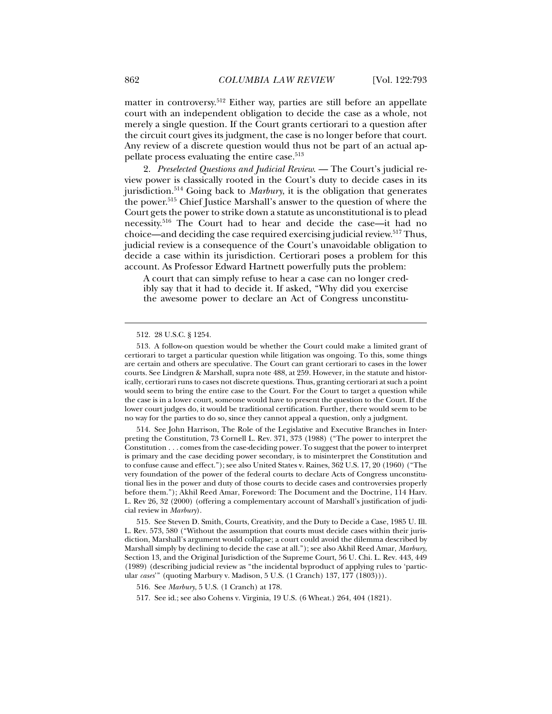matter in controversy.512 Either way, parties are still before an appellate court with an independent obligation to decide the case as a whole, not merely a single question. If the Court grants certiorari to a question after the circuit court gives its judgment, the case is no longer before that court. Any review of a discrete question would thus not be part of an actual appellate process evaluating the entire case.513

2. *Preselected Questions and Judicial Review*. — The Court's judicial review power is classically rooted in the Court's duty to decide cases in its jurisdiction.514 Going back to *Marbury*, it is the obligation that generates the power.515 Chief Justice Marshall's answer to the question of where the Court gets the power to strike down a statute as unconstitutional is to plead necessity.516 The Court had to hear and decide the case—it had no choice—and deciding the case required exercising judicial review.<sup>517</sup> Thus, judicial review is a consequence of the Court's unavoidable obligation to decide a case within its jurisdiction. Certiorari poses a problem for this account. As Professor Edward Hartnett powerfully puts the problem:

A court that can simply refuse to hear a case can no longer credibly say that it had to decide it. If asked, "Why did you exercise the awesome power to declare an Act of Congress unconstitu-

j

 514. See John Harrison, The Role of the Legislative and Executive Branches in Interpreting the Constitution, 73 Cornell L. Rev. 371, 373 (1988) ("The power to interpret the Constitution . . . comes from the case-deciding power. To suggest that the power to interpret is primary and the case deciding power secondary, is to misinterpret the Constitution and to confuse cause and effect."); see also United States v. Raines, 362 U.S. 17, 20 (1960) ("The very foundation of the power of the federal courts to declare Acts of Congress unconstitutional lies in the power and duty of those courts to decide cases and controversies properly before them."); Akhil Reed Amar, Foreword: The Document and the Doctrine, 114 Harv. L. Rev 26, 32 (2000) (offering a complementary account of Marshall's justification of judicial review in *Marbury*).

 515. See Steven D. Smith, Courts, Creativity, and the Duty to Decide a Case, 1985 U. Ill. L. Rev. 573, 580 ("Without the assumption that courts must decide cases within their jurisdiction, Marshall's argument would collapse; a court could avoid the dilemma described by Marshall simply by declining to decide the case at all."); see also Akhil Reed Amar, *Marbury*, Section 13, and the Original Jurisdiction of the Supreme Court, 56 U. Chi. L. Rev. 443, 449 (1989) (describing judicial review as "the incidental byproduct of applying rules to 'particular *cases*'" (quoting Marbury v. Madison, 5 U.S. (1 Cranch) 137, 177 (1803))).

517. See id.; see also Cohens v. Virginia, 19 U.S. (6 Wheat.) 264, 404 (1821).

 <sup>512. 28</sup> U.S.C. § 1254.

 <sup>513.</sup> A follow-on question would be whether the Court could make a limited grant of certiorari to target a particular question while litigation was ongoing. To this, some things are certain and others are speculative. The Court can grant certiorari to cases in the lower courts. See Lindgren & Marshall, supra note 488, at 259. However, in the statute and historically, certiorari runs to cases not discrete questions. Thus, granting certiorari at such a point would seem to bring the entire case to the Court. For the Court to target a question while the case is in a lower court, someone would have to present the question to the Court. If the lower court judges do, it would be traditional certification. Further, there would seem to be no way for the parties to do so, since they cannot appeal a question, only a judgment.

 <sup>516.</sup> See *Marbury*, 5 U.S. (1 Cranch) at 178.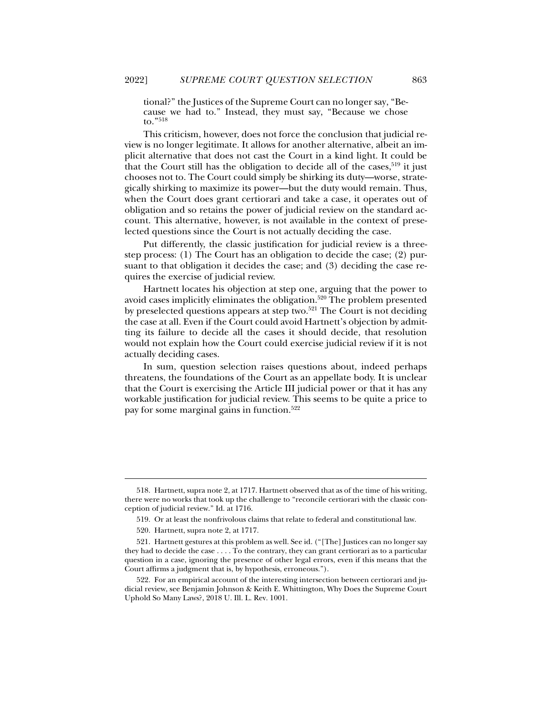tional?" the Justices of the Supreme Court can no longer say, "Because we had to." Instead, they must say, "Because we chose to."518

This criticism, however, does not force the conclusion that judicial review is no longer legitimate. It allows for another alternative, albeit an implicit alternative that does not cast the Court in a kind light. It could be that the Court still has the obligation to decide all of the cases,  $519$  it just chooses not to. The Court could simply be shirking its duty—worse, strategically shirking to maximize its power—but the duty would remain. Thus, when the Court does grant certiorari and take a case, it operates out of obligation and so retains the power of judicial review on the standard account. This alternative, however, is not available in the context of preselected questions since the Court is not actually deciding the case.

Put differently, the classic justification for judicial review is a threestep process: (1) The Court has an obligation to decide the case; (2) pursuant to that obligation it decides the case; and (3) deciding the case requires the exercise of judicial review.

Hartnett locates his objection at step one, arguing that the power to avoid cases implicitly eliminates the obligation.<sup>520</sup> The problem presented by preselected questions appears at step two.<sup>521</sup> The Court is not deciding the case at all. Even if the Court could avoid Hartnett's objection by admitting its failure to decide all the cases it should decide, that resolution would not explain how the Court could exercise judicial review if it is not actually deciding cases.

In sum, question selection raises questions about, indeed perhaps threatens, the foundations of the Court as an appellate body. It is unclear that the Court is exercising the Article III judicial power or that it has any workable justification for judicial review. This seems to be quite a price to pay for some marginal gains in function.522

 <sup>518.</sup> Hartnett, supra note 2, at 1717. Hartnett observed that as of the time of his writing, there were no works that took up the challenge to "reconcile certiorari with the classic conception of judicial review." Id. at 1716.

 <sup>519.</sup> Or at least the nonfrivolous claims that relate to federal and constitutional law.

 <sup>520.</sup> Hartnett, supra note 2, at 1717.

 <sup>521.</sup> Hartnett gestures at this problem as well. See id. ("[The] Justices can no longer say they had to decide the case . . . . To the contrary, they can grant certiorari as to a particular question in a case, ignoring the presence of other legal errors, even if this means that the Court affirms a judgment that is, by hypothesis, erroneous.").

 <sup>522.</sup> For an empirical account of the interesting intersection between certiorari and judicial review, see Benjamin Johnson & Keith E. Whittington, Why Does the Supreme Court Uphold So Many Laws?, 2018 U. Ill. L. Rev. 1001.